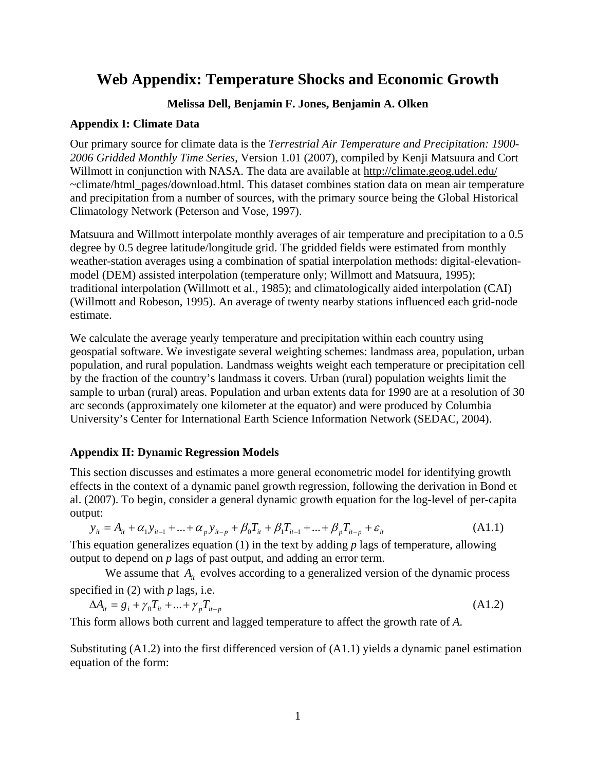# **Web Appendix: Temperature Shocks and Economic Growth**

# **Melissa Dell, Benjamin F. Jones, Benjamin A. Olken**

### **Appendix I: Climate Data**

Our primary source for climate data is the *Terrestrial Air Temperature and Precipitation: 1900- 2006 Gridded Monthly Time Series*, Version 1.01 (2007), compiled by Kenji Matsuura and Cort Willmott in conjunction with NASA. The data are available at<http://climate.geog.udel.edu/> ~climate/html\_pages/download.html. This dataset combines station data on mean air temperature and precipitation from a number of sources, with the primary source being the Global Historical Climatology Network (Peterson and Vose, 1997).

Matsuura and Willmott interpolate monthly averages of air temperature and precipitation to a 0.5 degree by 0.5 degree latitude/longitude grid. The gridded fields were estimated from monthly weather-station averages using a combination of spatial interpolation methods: digital-elevationmodel (DEM) assisted interpolation (temperature only; Willmott and Matsuura, 1995); traditional interpolation (Willmott et al., 1985); and climatologically aided interpolation (CAI) (Willmott and Robeson, 1995). An average of twenty nearby stations influenced each grid-node estimate.

We calculate the average yearly temperature and precipitation within each country using geospatial software. We investigate several weighting schemes: landmass area, population, urban population, and rural population. Landmass weights weight each temperature or precipitation cell by the fraction of the country's landmass it covers. Urban (rural) population weights limit the sample to urban (rural) areas. Population and urban extents data for 1990 are at a resolution of 30 arc seconds (approximately one kilometer at the equator) and were produced by Columbia University's Center for International Earth Science Information Network (SEDAC, 2004).

### **Appendix II: Dynamic Regression Models**

This section discusses and estimates a more general econometric model for identifying growth effects in the context of a dynamic panel growth regression, following the derivation in Bond et al. (2007). To begin, consider a general dynamic growth equation for the log-level of per-capita output:

$$
y_{it} = A_{it} + \alpha_1 y_{it-1} + \dots + \alpha_p y_{it-p} + \beta_0 T_{it} + \beta_1 T_{it-1} + \dots + \beta_p T_{it-p} + \varepsilon_{it}
$$
(A1.1)

This equation generalizes equation (1) in the text by adding *p* lags of temperature, allowing output to depend on *p* lags of past output, and adding an error term.

We assume that  $A_{i}$  evolves according to a generalized version of the dynamic process specified in (2) with *p* lags, i.e.

$$
\Delta A_{it} = g_i + \gamma_0 T_{it} + ... + \gamma_p T_{it-p}
$$
\n(A1.2)

This form allows both current and lagged temperature to affect the growth rate of *A.* 

Substituting (A1.2) into the first differenced version of (A1.1) yields a dynamic panel estimation equation of the form: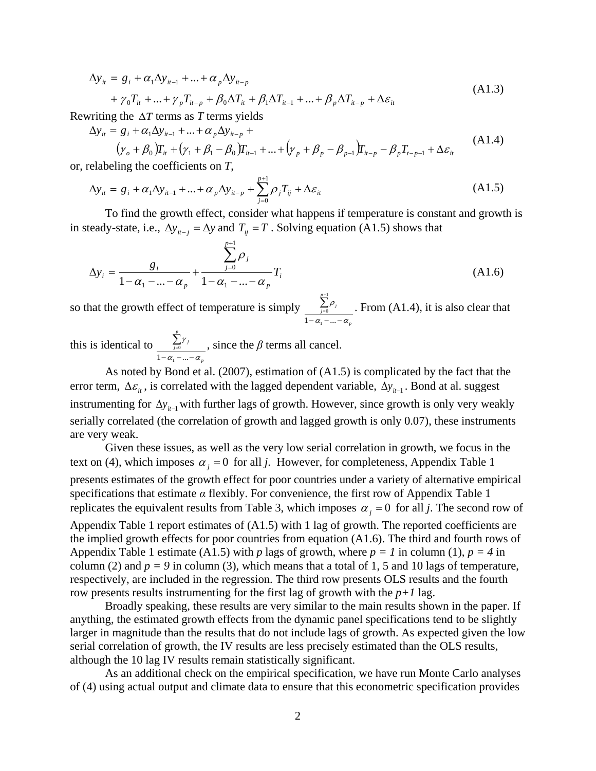$$
\Delta y_{it} = g_i + \alpha_1 \Delta y_{it-1} + ... + \alpha_p \Delta y_{it-p} + \gamma_0 T_{it} + ... + \gamma_p T_{it-p} + \beta_0 \Delta T_{it} + \beta_1 \Delta T_{it-1} + ... + \beta_p \Delta T_{it-p} + \Delta \varepsilon_{it}
$$
\n(A1.3)

Rewriting the ∆*T* terms as *T* terms yields

$$
\Delta y_{it} = g_i + \alpha_1 \Delta y_{it-1} + \dots + \alpha_p \Delta y_{it-p} +
$$
\n
$$
(A1.4)
$$

$$
(\gamma_o + \beta_0)T_{it} + (\gamma_1 + \beta_1 - \beta_0)T_{it-1} + \dots + (\gamma_p + \beta_p - \beta_{p-1})T_{it-p} - \beta_p T_{t-p-1} + \Delta \varepsilon_{it}
$$
\nwhich gives the coefficients on  $T$ .

or, relabeling the coefficients on *T*,

$$
\Delta y_{it} = g_i + \alpha_1 \Delta y_{it-1} + \dots + \alpha_p \Delta y_{it-p} + \sum_{j=0}^{p+1} \rho_j T_{ij} + \Delta \varepsilon_{it}
$$
\n(A1.5)

To find the growth effect, consider what happens if temperature is constant and growth is in steady-state, i.e.,  $\Delta y_{it-1} = \Delta y$  and  $T_{ij} = T$ . Solving equation (A1.5) shows that

$$
\Delta y_i = \frac{g_i}{1 - \alpha_1 - \dots - \alpha_p} + \frac{\sum_{j=0}^{p+1} \rho_j}{1 - \alpha_1 - \dots - \alpha_p} T_i
$$
\n(A1.6)

so that the growth effect of temperature is simply *p*  $\sum_{j=0}^{\infty} P_j$  $\alpha$  - ... -  $\alpha$ ρ  $- \alpha_1 - ... \sum^{p+1}$ =  $1 - \alpha_1 - ...$  $\sigma^{P_j}$  . From (A1.4), it is also clear that

this is identical to *p p j j*  $\alpha$  .  $-\alpha$ γ  $- \alpha_1 - ... \sum_{j=0}$  $1 - \alpha_1 - ...$  $\delta^{'}$ , since the  $\beta$  terms all cancel.

As noted by Bond et al. (2007), estimation of (A1.5) is complicated by the fact that the error term,  $\Delta \varepsilon_i$ , is correlated with the lagged dependent variable,  $\Delta y_{i-1}$ . Bond at al. suggest instrumenting for  $\Delta y_{it-1}$  with further lags of growth. However, since growth is only very weakly serially correlated (the correlation of growth and lagged growth is only 0.07), these instruments are very weak.

Given these issues, as well as the very low serial correlation in growth, we focus in the text on (4), which imposes  $\alpha_i = 0$  for all *j*. However, for completeness, Appendix Table 1 presents estimates of the growth effect for poor countries under a variety of alternative empirical specifications that estimate  $\alpha$  flexibly. For convenience, the first row of Appendix Table 1 replicates the equivalent results from Table 3, which imposes  $\alpha_j = 0$  for all *j*. The second row of Appendix Table 1 report estimates of (A1.5) with 1 lag of growth. The reported coefficients are the implied growth effects for poor countries from equation (A1.6). The third and fourth rows of Appendix Table 1 estimate (A1.5) with *p* lags of growth, where  $p = 1$  in column (1),  $p = 4$  in column (2) and  $p = 9$  in column (3), which means that a total of 1, 5 and 10 lags of temperature, respectively, are included in the regression. The third row presents OLS results and the fourth row presents results instrumenting for the first lag of growth with the  $p+1$  lag.

Broadly speaking, these results are very similar to the main results shown in the paper. If anything, the estimated growth effects from the dynamic panel specifications tend to be slightly larger in magnitude than the results that do not include lags of growth. As expected given the low serial correlation of growth, the IV results are less precisely estimated than the OLS results, although the 10 lag IV results remain statistically significant.

As an additional check on the empirical specification, we have run Monte Carlo analyses of (4) using actual output and climate data to ensure that this econometric specification provides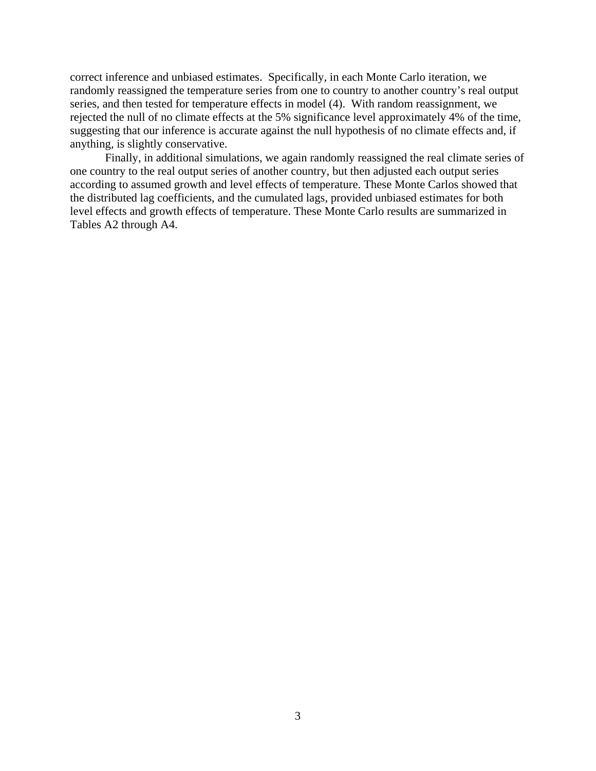correct inference and unbiased estimates. Specifically, in each Monte Carlo iteration, we randomly reassigned the temperature series from one to country to another country's real output series, and then tested for temperature effects in model (4). With random reassignment, we rejected the null of no climate effects at the 5% significance level approximately 4% of the time, suggesting that our inference is accurate against the null hypothesis of no climate effects and, if anything, is slightly conservative.

Finally, in additional simulations, we again randomly reassigned the real climate series of one country to the real output series of another country, but then adjusted each output series according to assumed growth and level effects of temperature. These Monte Carlos showed that the distributed lag coefficients, and the cumulated lags, provided unbiased estimates for both level effects and growth effects of temperature. These Monte Carlo results are summarized in Tables A2 through A4.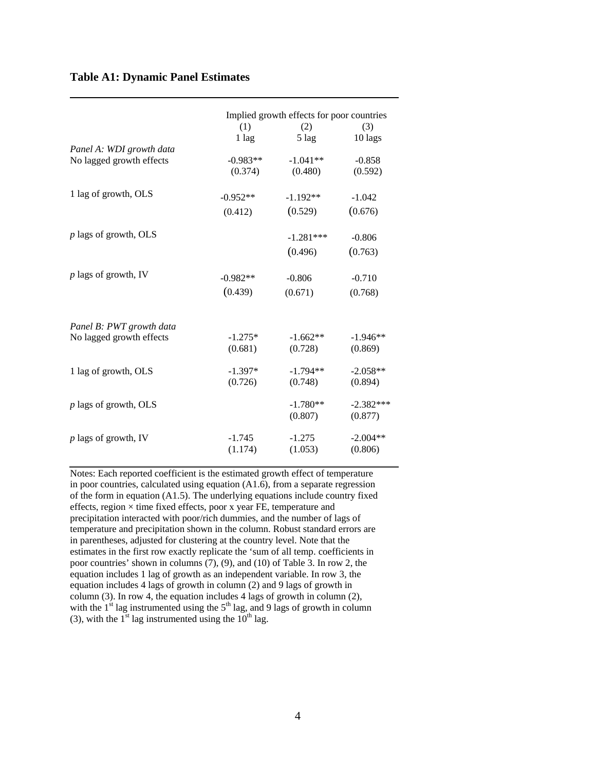#### **Table A1: Dynamic Panel Estimates**

|                                                      |            | Implied growth effects for poor countries |             |  |  |  |  |  |
|------------------------------------------------------|------------|-------------------------------------------|-------------|--|--|--|--|--|
|                                                      | (1)        | (2)                                       | (3)         |  |  |  |  |  |
|                                                      | $1$ lag    | $5 \text{ lag}$                           | 10 lags     |  |  |  |  |  |
| Panel A: WDI growth data                             |            |                                           |             |  |  |  |  |  |
| No lagged growth effects                             | $-0.983**$ | $-1.041**$                                | $-0.858$    |  |  |  |  |  |
|                                                      | (0.374)    | (0.480)                                   | (0.592)     |  |  |  |  |  |
| 1 lag of growth, OLS                                 | $-0.952**$ | $-1.192**$                                | $-1.042$    |  |  |  |  |  |
|                                                      | (0.412)    | (0.529)                                   | (0.676)     |  |  |  |  |  |
| $p$ lags of growth, OLS                              |            | $-1.281***$                               | $-0.806$    |  |  |  |  |  |
|                                                      |            | (0.496)                                   | (0.763)     |  |  |  |  |  |
|                                                      |            |                                           |             |  |  |  |  |  |
| $p$ lags of growth, IV                               | $-0.982**$ | $-0.806$                                  | $-0.710$    |  |  |  |  |  |
|                                                      | (0.439)    | (0.671)                                   | (0.768)     |  |  |  |  |  |
|                                                      |            |                                           |             |  |  |  |  |  |
| Panel B: PWT growth data<br>No lagged growth effects | $-1.275*$  | $-1.662**$                                | $-1.946**$  |  |  |  |  |  |
|                                                      | (0.681)    | (0.728)                                   | (0.869)     |  |  |  |  |  |
| 1 lag of growth, OLS                                 | $-1.397*$  | $-1.794**$                                | $-2.058**$  |  |  |  |  |  |
|                                                      | (0.726)    | (0.748)                                   | (0.894)     |  |  |  |  |  |
| $p$ lags of growth, OLS                              |            | $-1.780**$                                | $-2.382***$ |  |  |  |  |  |
|                                                      |            | (0.807)                                   | (0.877)     |  |  |  |  |  |
| $p$ lags of growth, IV                               | $-1.745$   | $-1.275$                                  | $-2.004**$  |  |  |  |  |  |
|                                                      | (1.174)    | (1.053)                                   | (0.806)     |  |  |  |  |  |

Notes: Each reported coefficient is the estimated growth effect of temperature in poor countries, calculated using equation (A1.6), from a separate regression of the form in equation (A1.5). The underlying equations include country fixed effects, region × time fixed effects, poor x year FE, temperature and precipitation interacted with poor/rich dummies, and the number of lags of temperature and precipitation shown in the column. Robust standard errors are in parentheses, adjusted for clustering at the country level. Note that the estimates in the first row exactly replicate the 'sum of all temp. coefficients in poor countries' shown in columns (7), (9), and (10) of Table 3. In row 2, the equation includes 1 lag of growth as an independent variable. In row 3, the equation includes 4 lags of growth in column (2) and 9 lags of growth in column (3). In row 4, the equation includes 4 lags of growth in column (2), with the  $1<sup>st</sup>$  lag instrumented using the  $5<sup>th</sup>$  lag, and 9 lags of growth in column (3), with the  $1<sup>st</sup>$  lag instrumented using the  $10<sup>th</sup>$  lag.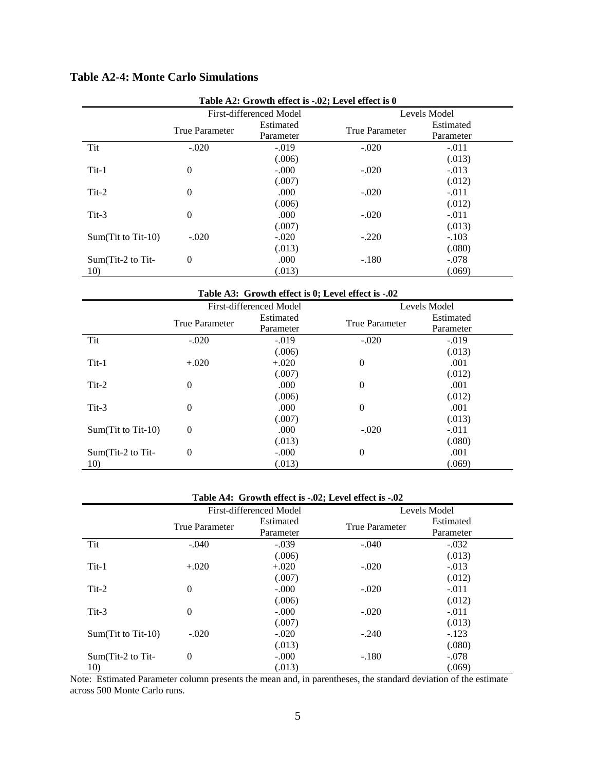|                      | Table A2: Growth effect is -.02; Level effect is 0 |                         |                       |                        |  |  |  |  |  |  |
|----------------------|----------------------------------------------------|-------------------------|-----------------------|------------------------|--|--|--|--|--|--|
|                      |                                                    | First-differenced Model |                       | Levels Model           |  |  |  |  |  |  |
|                      | <b>True Parameter</b>                              | Estimated<br>Parameter  | <b>True Parameter</b> | Estimated<br>Parameter |  |  |  |  |  |  |
| Tit                  | $-.020$                                            | $-.019$                 | $-.020$               | $-.011$                |  |  |  |  |  |  |
|                      |                                                    | (.006)                  |                       | (.013)                 |  |  |  |  |  |  |
| $Tit-1$              | $\theta$                                           | $-.000$                 | $-.020$               | $-.013$                |  |  |  |  |  |  |
|                      |                                                    | (.007)                  |                       | (.012)                 |  |  |  |  |  |  |
| $Tit-2$              | $\theta$                                           | .000                    | $-.020$               | $-.011$                |  |  |  |  |  |  |
|                      |                                                    | (.006)                  |                       | (.012)                 |  |  |  |  |  |  |
| $Tit-3$              | $\overline{0}$                                     | .000                    | $-.020$               | $-.011$                |  |  |  |  |  |  |
|                      |                                                    | (.007)                  |                       | (.013)                 |  |  |  |  |  |  |
| $Sum(Tit to Tit-10)$ | $-.020$                                            | $-.020$                 | $-.220$               | $-.103$                |  |  |  |  |  |  |
|                      |                                                    | (.013)                  |                       | (.080)                 |  |  |  |  |  |  |
| Sum(Tit-2 to Tit-    | $\overline{0}$                                     | .000                    | $-.180$               | $-.078$                |  |  |  |  |  |  |
| 10)                  |                                                    | (.013)                  |                       | (.069)                 |  |  |  |  |  |  |

# **Table A2-4: Monte Carlo Simulations**

**Table A3: Growth effect is 0; Level effect is -.02**

|                      |                       | First-differenced Model |                       | Levels Model |
|----------------------|-----------------------|-------------------------|-----------------------|--------------|
|                      | <b>True Parameter</b> | Estimated               | <b>True Parameter</b> | Estimated    |
|                      |                       | Parameter               |                       | Parameter    |
| Tit                  | $-.020$               | $-.019$                 | $-.020$               | $-.019$      |
|                      |                       | (.006)                  |                       | (.013)       |
| $Tit-1$              | $+.020$               | $+.020$                 | $\theta$              | .001         |
|                      |                       | (.007)                  |                       | (.012)       |
| $Tit-2$              | $\overline{0}$        | .000                    | $\theta$              | .001         |
|                      |                       | (.006)                  |                       | (.012)       |
| $Tit-3$              | $\overline{0}$        | .000                    | $\theta$              | .001         |
|                      |                       | (.007)                  |                       | (.013)       |
| $Sum(Tit to Tit-10)$ | $\theta$              | .000                    | $-.020$               | $-.011$      |
|                      |                       | (.013)                  |                       | (.080)       |
| Sum(Tit-2 to Tit-    | $\overline{0}$        | $-.000$                 | $\theta$              | .001         |
| 10)                  |                       | (.013)                  |                       | (.069)       |

#### **Table A4: Growth effect is -.02; Level effect is -.02**

|                      |                       | First-differenced Model |                       | Levels Model |
|----------------------|-----------------------|-------------------------|-----------------------|--------------|
|                      | <b>True Parameter</b> | Estimated               | <b>True Parameter</b> | Estimated    |
|                      |                       | Parameter               |                       | Parameter    |
| Tit                  | $-.040$               | $-.039$                 | $-.040$               | $-.032$      |
|                      |                       | (.006)                  |                       | (.013)       |
| $Tit-1$              | $+.020$               | $+.020$                 | $-.020$               | $-.013$      |
|                      |                       | (.007)                  |                       | (.012)       |
| $Tit-2$              | $\theta$              | $-.000$                 | $-.020$               | $-.011$      |
|                      |                       | (.006)                  |                       | (.012)       |
| $Tit-3$              | $\overline{0}$        | $-.000$                 | $-.020$               | $-.011$      |
|                      |                       | (.007)                  |                       | (.013)       |
| $Sum(Tit to Tit-10)$ | $-.020$               | $-.020$                 | $-.240$               | $-123$       |
|                      |                       | (.013)                  |                       | (.080)       |
| $Sum(Tit-2 to Tit-$  | $\theta$              | $-.000$                 | $-.180$               | $-.078$      |
| 10)                  |                       | (.013)                  |                       | (.069)       |

Note: Estimated Parameter column presents the mean and, in parentheses, the standard deviation of the estimate across 500 Monte Carlo runs.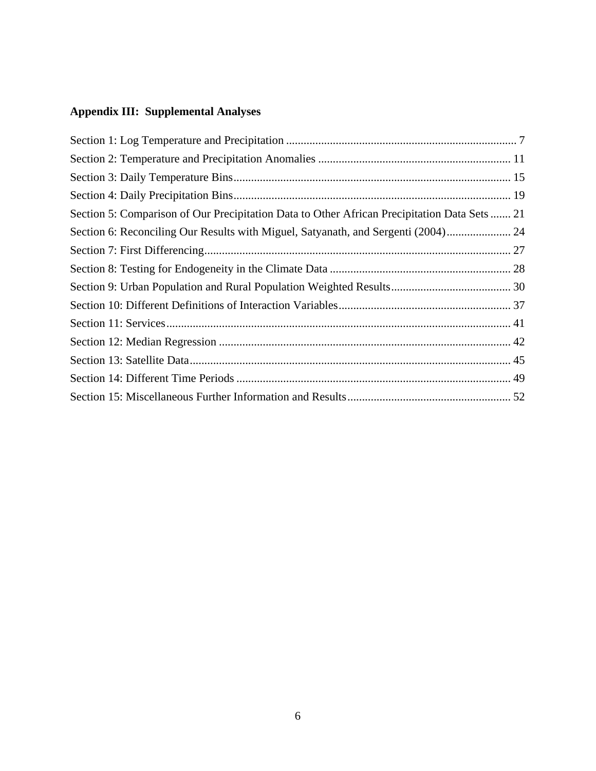# **Appendix III: Supplemental Analyses**

| Section 5: Comparison of Our Precipitation Data to Other African Precipitation Data Sets  21 |  |
|----------------------------------------------------------------------------------------------|--|
| Section 6: Reconciling Our Results with Miguel, Satyanath, and Sergenti (2004) 24            |  |
|                                                                                              |  |
|                                                                                              |  |
|                                                                                              |  |
|                                                                                              |  |
|                                                                                              |  |
|                                                                                              |  |
|                                                                                              |  |
|                                                                                              |  |
|                                                                                              |  |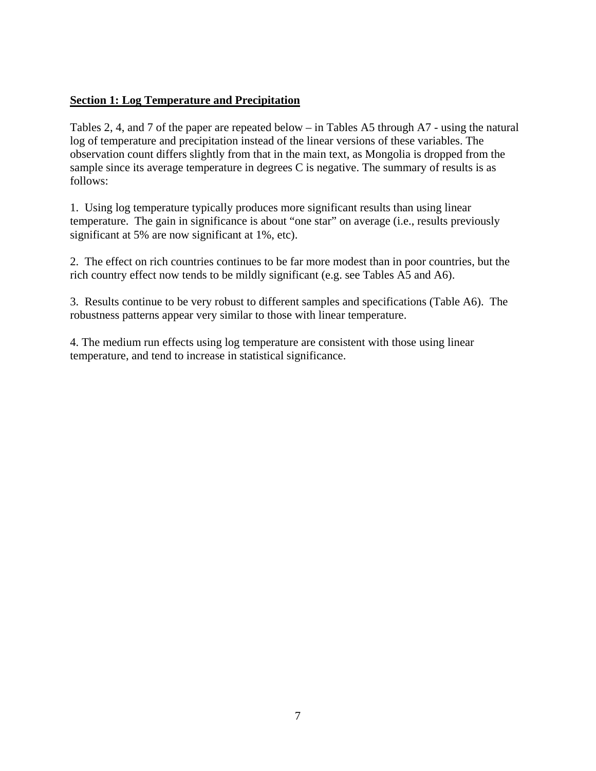# <span id="page-6-0"></span>**Section 1: Log Temperature and Precipitation**

Tables 2, 4, and 7 of the paper are repeated below – in Tables A5 through A7 - using the natural log of temperature and precipitation instead of the linear versions of these variables. The observation count differs slightly from that in the main text, as Mongolia is dropped from the sample since its average temperature in degrees C is negative. The summary of results is as follows:

1. Using log temperature typically produces more significant results than using linear temperature. The gain in significance is about "one star" on average (i.e., results previously significant at 5% are now significant at 1%, etc).

2. The effect on rich countries continues to be far more modest than in poor countries, but the rich country effect now tends to be mildly significant (e.g. see Tables A5 and A6).

3. Results continue to be very robust to different samples and specifications (Table A6). The robustness patterns appear very similar to those with linear temperature.

4. The medium run effects using log temperature are consistent with those using linear temperature, and tend to increase in statistical significance.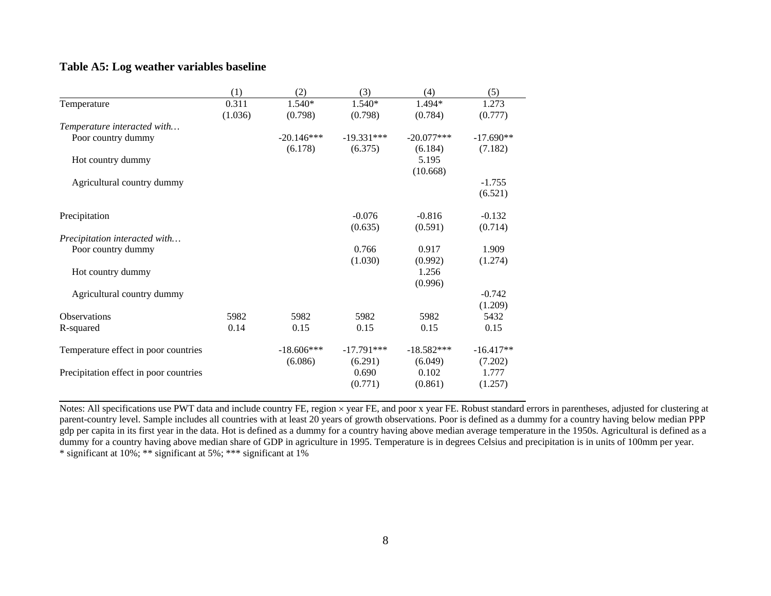### **Table A5: Log weather variables baseline**

|                                        | (1)     | (2)          | (3)          | (4)          | (5)         |
|----------------------------------------|---------|--------------|--------------|--------------|-------------|
| Temperature                            | 0.311   | 1.540*       | 1.540*       | 1.494*       | 1.273       |
|                                        | (1.036) | (0.798)      | (0.798)      | (0.784)      | (0.777)     |
| Temperature interacted with            |         |              |              |              |             |
| Poor country dummy                     |         | $-20.146***$ | $-19.331***$ | $-20.077***$ | $-17.690**$ |
|                                        |         | (6.178)      | (6.375)      | (6.184)      | (7.182)     |
| Hot country dummy                      |         |              |              | 5.195        |             |
|                                        |         |              |              | (10.668)     |             |
| Agricultural country dummy             |         |              |              |              | $-1.755$    |
|                                        |         |              |              |              | (6.521)     |
| Precipitation                          |         |              | $-0.076$     | $-0.816$     | $-0.132$    |
|                                        |         |              | (0.635)      | (0.591)      | (0.714)     |
| Precipitation interacted with          |         |              |              |              |             |
| Poor country dummy                     |         |              | 0.766        | 0.917        | 1.909       |
|                                        |         |              | (1.030)      | (0.992)      | (1.274)     |
| Hot country dummy                      |         |              |              | 1.256        |             |
|                                        |         |              |              | (0.996)      |             |
| Agricultural country dummy             |         |              |              |              | $-0.742$    |
|                                        |         |              |              |              | (1.209)     |
| <b>Observations</b>                    | 5982    | 5982         | 5982         | 5982         | 5432        |
| R-squared                              | 0.14    | 0.15         | 0.15         | 0.15         | 0.15        |
| Temperature effect in poor countries   |         | $-18.606***$ | $-17.791***$ | $-18.582***$ | $-16.417**$ |
|                                        |         | (6.086)      | (6.291)      | (6.049)      | (7.202)     |
| Precipitation effect in poor countries |         |              | 0.690        | 0.102        | 1.777       |
|                                        |         |              | (0.771)      | (0.861)      | (1.257)     |

Notes: All specifications use PWT data and include country FE, region × year FE, and poor x year FE. Robust standard errors in parentheses, adjusted for clustering at parent-country level. Sample includes all countries with at least 20 years of growth observations. Poor is defined as a dummy for a country having below median PPP gdp per capita in its first year in the data. Hot is defined as a dummy for a country having above median average temperature in the 1950s. Agricultural is defined as a dummy for a country having above median share of GDP in agriculture in 1995. Temperature is in degrees Celsius and precipitation is in units of 100mm per year. \* significant at 10%; \*\* significant at 5%; \*\*\* significant at 1%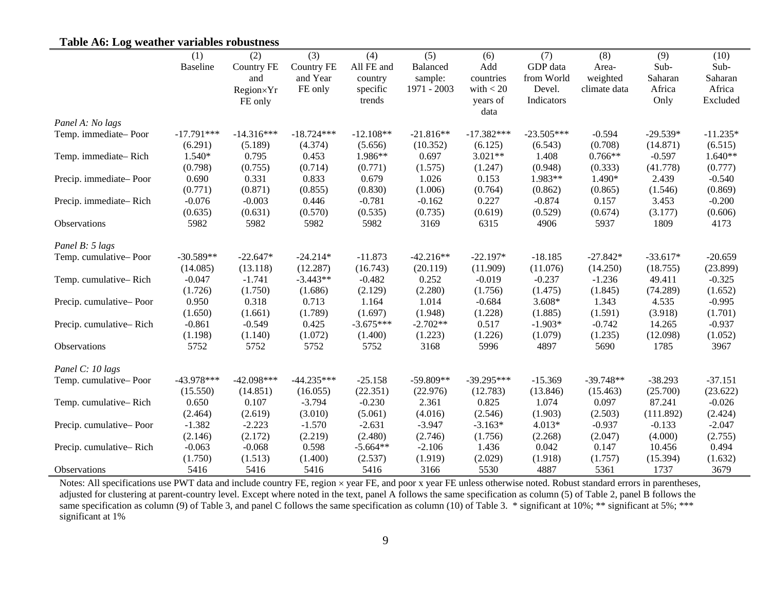# **Table A6: Log weather variables robustness**

|                         | (1)             | (2)          | (3)               | (4)         | (5)         | (6)          | (7)          | (8)          | (9)        | (10)       |
|-------------------------|-----------------|--------------|-------------------|-------------|-------------|--------------|--------------|--------------|------------|------------|
|                         | <b>Baseline</b> | Country FE   | <b>Country FE</b> | All FE and  | Balanced    | Add          | GDP data     | Area-        | Sub-       | Sub-       |
|                         |                 | and          | and Year          | country     | sample:     | countries    | from World   | weighted     | Saharan    | Saharan    |
|                         |                 | Region×Yr    | FE only           | specific    | 1971 - 2003 | with $< 20$  | Devel.       | climate data | Africa     | Africa     |
|                         |                 | FE only      |                   | trends      |             | years of     | Indicators   |              | Only       | Excluded   |
|                         |                 |              |                   |             |             | data         |              |              |            |            |
| Panel A: No lags        |                 |              |                   |             |             |              |              |              |            |            |
| Temp. immediate-Poor    | $-17.791***$    | $-14.316***$ | $-18.724***$      | $-12.108**$ | $-21.816**$ | $-17.382***$ | $-23.505***$ | $-0.594$     | $-29.539*$ | $-11.235*$ |
|                         | (6.291)         | (5.189)      | (4.374)           | (5.656)     | (10.352)    | (6.125)      | (6.543)      | (0.708)      | (14.871)   | (6.515)    |
| Temp. immediate-Rich    | 1.540*          | 0.795        | 0.453             | 1.986**     | 0.697       | $3.021**$    | 1.408        | $0.766**$    | $-0.597$   | $1.640**$  |
|                         | (0.798)         | (0.755)      | (0.714)           | (0.771)     | (1.575)     | (1.247)      | (0.948)      | (0.333)      | (41.778)   | (0.777)    |
| Precip. immediate-Poor  | 0.690           | 0.331        | 0.833             | 0.679       | 1.026       | 0.153        | 1.983**      | 1.490*       | 2.439      | $-0.540$   |
|                         | (0.771)         | (0.871)      | (0.855)           | (0.830)     | (1.006)     | (0.764)      | (0.862)      | (0.865)      | (1.546)    | (0.869)    |
| Precip. immediate-Rich  | $-0.076$        | $-0.003$     | 0.446             | $-0.781$    | $-0.162$    | 0.227        | $-0.874$     | 0.157        | 3.453      | $-0.200$   |
|                         | (0.635)         | (0.631)      | (0.570)           | (0.535)     | (0.735)     | (0.619)      | (0.529)      | (0.674)      | (3.177)    | (0.606)    |
| Observations            | 5982            | 5982         | 5982              | 5982        | 3169        | 6315         | 4906         | 5937         | 1809       | 4173       |
| Panel B: 5 lags         |                 |              |                   |             |             |              |              |              |            |            |
| Temp. cumulative-Poor   | $-30.589**$     | $-22.647*$   | $-24.214*$        | $-11.873$   | $-42.216**$ | $-22.197*$   | $-18.185$    | $-27.842*$   | $-33.617*$ | $-20.659$  |
|                         | (14.085)        | (13.118)     | (12.287)          | (16.743)    | (20.119)    | (11.909)     | (11.076)     | (14.250)     | (18.755)   | (23.899)   |
| Temp. cumulative-Rich   | $-0.047$        | $-1.741$     | $-3.443**$        | $-0.482$    | 0.252       | $-0.019$     | $-0.237$     | $-1.236$     | 49.411     | $-0.325$   |
|                         | (1.726)         | (1.750)      | (1.686)           | (2.129)     | (2.280)     | (1.756)      | (1.475)      | (1.845)      | (74.289)   | (1.652)    |
| Precip. cumulative-Poor | 0.950           | 0.318        | 0.713             | 1.164       | 1.014       | $-0.684$     | $3.608*$     | 1.343        | 4.535      | $-0.995$   |
|                         | (1.650)         | (1.661)      | (1.789)           | (1.697)     | (1.948)     | (1.228)      | (1.885)      | (1.591)      | (3.918)    | (1.701)    |
| Precip. cumulative-Rich | $-0.861$        | $-0.549$     | 0.425             | $-3.675***$ | $-2.702**$  | 0.517        | $-1.903*$    | $-0.742$     | 14.265     | $-0.937$   |
|                         | (1.198)         | (1.140)      | (1.072)           | (1.400)     | (1.223)     | (1.226)      | (1.079)      | (1.235)      | (12.098)   | (1.052)    |
| Observations            | 5752            | 5752         | 5752              | 5752        | 3168        | 5996         | 4897         | 5690         | 1785       | 3967       |
| Panel C: 10 lags        |                 |              |                   |             |             |              |              |              |            |            |
| Temp. cumulative-Poor   | $-43.978***$    | $-42.098***$ | $-44.235***$      | $-25.158$   | $-59.809**$ | $-39.295***$ | $-15.369$    | $-39.748**$  | $-38.293$  | $-37.151$  |
|                         | (15.550)        | (14.851)     | (16.055)          | (22.351)    | (22.976)    | (12.783)     | (13.846)     | (15.463)     | (25.700)   | (23.622)   |
| Temp. cumulative-Rich   | 0.650           | 0.107        | $-3.794$          | $-0.230$    | 2.361       | 0.825        | 1.074        | 0.097        | 87.241     | $-0.026$   |
|                         | (2.464)         | (2.619)      | (3.010)           | (5.061)     | (4.016)     | (2.546)      | (1.903)      | (2.503)      | (111.892)  | (2.424)    |
| Precip. cumulative-Poor | $-1.382$        | $-2.223$     | $-1.570$          | $-2.631$    | $-3.947$    | $-3.163*$    | $4.013*$     | $-0.937$     | $-0.133$   | $-2.047$   |
|                         | (2.146)         | (2.172)      | (2.219)           | (2.480)     | (2.746)     | (1.756)      | (2.268)      | (2.047)      | (4.000)    | (2.755)    |
| Precip. cumulative-Rich | $-0.063$        | $-0.068$     | 0.598             | $-5.664**$  | $-2.106$    | 1.436        | 0.042        | 0.147        | 10.456     | 0.494      |
|                         | (1.750)         | (1.513)      | (1.400)           | (2.537)     | (1.919)     | (2.029)      | (1.918)      | (1.757)      | (15.394)   | (1.632)    |
| Observations            | 5416            | 5416         | 5416              | 5416        | 3166        | 5530         | 4887         | 5361         | 1737       | 3679       |

Notes: All specifications use PWT data and include country FE, region × year FE, and poor x year FE unless otherwise noted. Robust standard errors in parentheses, adjusted for clustering at parent-country level. Except where noted in the text, panel A follows the same specification as column (5) of Table 2, panel B follows the same specification as column (9) of Table 3, and panel C follows the same specification as column (10) of Table 3. \* significant at 10%; \*\* significant at 5%; \*\*\* significant at 1%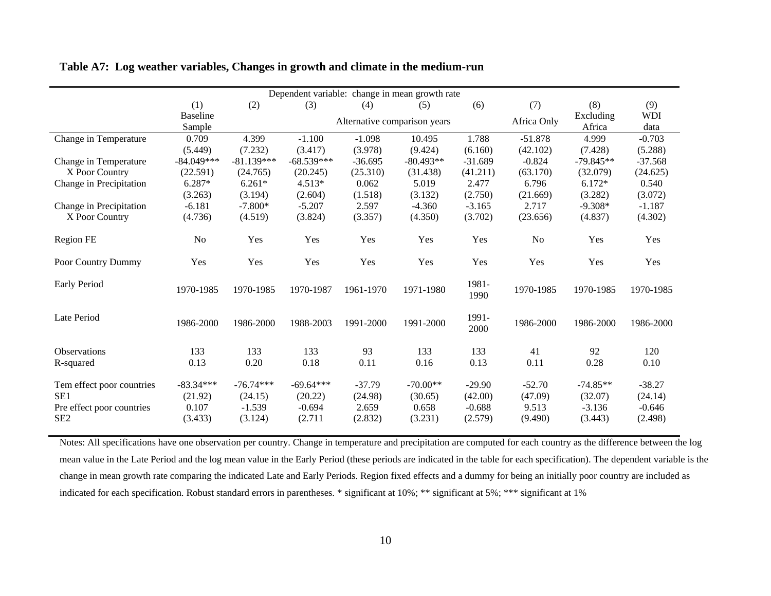| Dependent variable: change in mean growth rate                                               |                                            |                                               |                                               |                                         |                                           |                                            |                                         |                                              |                                            |
|----------------------------------------------------------------------------------------------|--------------------------------------------|-----------------------------------------------|-----------------------------------------------|-----------------------------------------|-------------------------------------------|--------------------------------------------|-----------------------------------------|----------------------------------------------|--------------------------------------------|
|                                                                                              | (1)                                        | (2)                                           | (3)                                           | (4)                                     | (5)                                       | (6)                                        | (7)                                     | (8)                                          | (9)                                        |
|                                                                                              | <b>Baseline</b>                            |                                               |                                               |                                         | Alternative comparison years              |                                            | Africa Only                             | Excluding                                    | <b>WDI</b>                                 |
|                                                                                              | Sample                                     |                                               |                                               |                                         |                                           |                                            |                                         | Africa                                       | data                                       |
| Change in Temperature                                                                        | 0.709                                      | 4.399                                         | $-1.100$                                      | $-1.098$                                | 10.495                                    | 1.788                                      | $-51.878$                               | 4.999                                        | $-0.703$                                   |
|                                                                                              | (5.449)                                    | (7.232)                                       | (3.417)                                       | (3.978)                                 | (9.424)                                   | (6.160)                                    | (42.102)                                | (7.428)                                      | (5.288)                                    |
| Change in Temperature                                                                        | $-84.049***$                               | $-81.139***$                                  | $-68.539***$                                  | $-36.695$                               | $-80.493**$                               | $-31.689$                                  | $-0.824$                                | $-79.845**$                                  | $-37.568$                                  |
| X Poor Country                                                                               | (22.591)                                   | (24.765)                                      | (20.245)                                      | (25.310)                                | (31.438)                                  | (41.211)                                   | (63.170)                                | (32.079)                                     | (24.625)                                   |
| Change in Precipitation                                                                      | 6.287*                                     | $6.261*$                                      | 4.513*                                        | 0.062                                   | 5.019                                     | 2.477                                      | 6.796                                   | $6.172*$                                     | 0.540                                      |
|                                                                                              | (3.263)                                    | (3.194)                                       | (2.604)                                       | (1.518)                                 | (3.132)                                   | (2.750)                                    | (21.669)                                | (3.282)                                      | (3.072)                                    |
| Change in Precipitation                                                                      | $-6.181$                                   | $-7.800*$                                     | $-5.207$                                      | 2.597                                   | $-4.360$                                  | $-3.165$                                   | 2.717                                   | $-9.308*$                                    | $-1.187$                                   |
| X Poor Country                                                                               | (4.736)                                    | (4.519)                                       | (3.824)                                       | (3.357)                                 | (4.350)                                   | (3.702)                                    | (23.656)                                | (4.837)                                      | (4.302)                                    |
| <b>Region FE</b>                                                                             | No                                         | Yes                                           | Yes                                           | Yes                                     | Yes                                       | Yes                                        | N <sub>o</sub>                          | Yes                                          | Yes                                        |
| Poor Country Dummy                                                                           | Yes                                        | Yes                                           | Yes                                           | Yes                                     | Yes                                       | Yes                                        | Yes                                     | Yes                                          | Yes                                        |
| <b>Early Period</b>                                                                          | 1970-1985                                  | 1970-1985                                     | 1970-1987                                     | 1961-1970                               | 1971-1980                                 | 1981-<br>1990                              | 1970-1985                               | 1970-1985                                    | 1970-1985                                  |
| Late Period                                                                                  | 1986-2000                                  | 1986-2000                                     | 1988-2003                                     | 1991-2000                               | 1991-2000                                 | 1991-<br>2000                              | 1986-2000                               | 1986-2000                                    | 1986-2000                                  |
| <b>Observations</b>                                                                          | 133                                        | 133                                           | 133                                           | 93                                      | 133                                       | 133                                        | 41                                      | 92                                           | 120                                        |
| R-squared                                                                                    | 0.13                                       | 0.20                                          | 0.18                                          | 0.11                                    | 0.16                                      | 0.13                                       | 0.11                                    | 0.28                                         | 0.10                                       |
| Tem effect poor countries<br>SE <sub>1</sub><br>Pre effect poor countries<br>SE <sub>2</sub> | $-83.34***$<br>(21.92)<br>0.107<br>(3.433) | $-76.74***$<br>(24.15)<br>$-1.539$<br>(3.124) | $-69.64***$<br>(20.22)<br>$-0.694$<br>(2.711) | $-37.79$<br>(24.98)<br>2.659<br>(2.832) | $-70.00**$<br>(30.65)<br>0.658<br>(3.231) | $-29.90$<br>(42.00)<br>$-0.688$<br>(2.579) | $-52.70$<br>(47.09)<br>9.513<br>(9.490) | $-74.85**$<br>(32.07)<br>$-3.136$<br>(3.443) | $-38.27$<br>(24.14)<br>$-0.646$<br>(2.498) |

### **Table A7: Log weather variables, Changes in growth and climate in the medium-run**

Notes: All specifications have one observation per country. Change in temperature and precipitation are computed for each country as the difference between the log mean value in the Late Period and the log mean value in the Early Period (these periods are indicated in the table for each specification). The dependent variable is the change in mean growth rate comparing the indicated Late and Early Periods. Region fixed effects and a dummy for being an initially poor country are included as indicated for each specification. Robust standard errors in parentheses. \* significant at 10%; \*\* significant at 5%; \*\*\* significant at 1%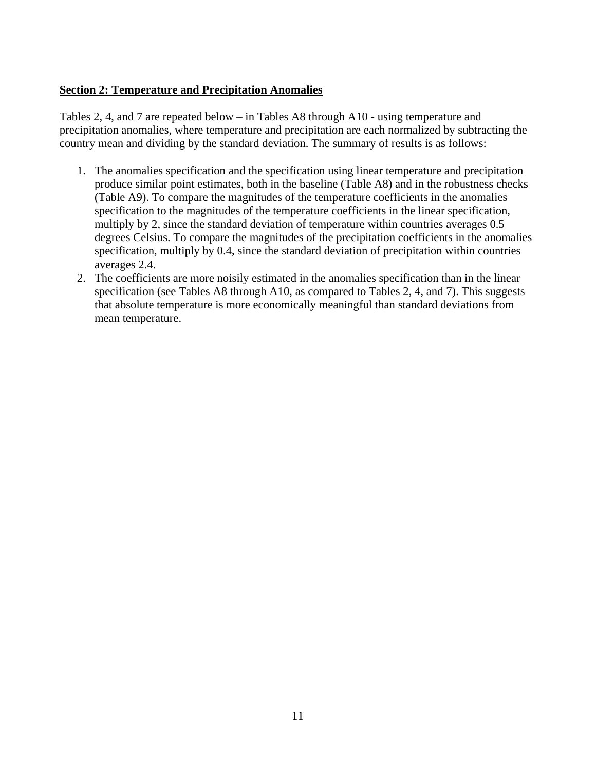## <span id="page-10-0"></span>**Section 2: Temperature and Precipitation Anomalies**

Tables 2, 4, and 7 are repeated below – in Tables A8 through A10 - using temperature and precipitation anomalies, where temperature and precipitation are each normalized by subtracting the country mean and dividing by the standard deviation. The summary of results is as follows:

- 1. The anomalies specification and the specification using linear temperature and precipitation produce similar point estimates, both in the baseline (Table A8) and in the robustness checks (Table A9). To compare the magnitudes of the temperature coefficients in the anomalies specification to the magnitudes of the temperature coefficients in the linear specification, multiply by 2, since the standard deviation of temperature within countries averages 0.5 degrees Celsius. To compare the magnitudes of the precipitation coefficients in the anomalies specification, multiply by 0.4, since the standard deviation of precipitation within countries averages 2.4.
- 2. The coefficients are more noisily estimated in the anomalies specification than in the linear specification (see Tables A8 through A10, as compared to Tables 2, 4, and 7). This suggests that absolute temperature is more economically meaningful than standard deviations from mean temperature.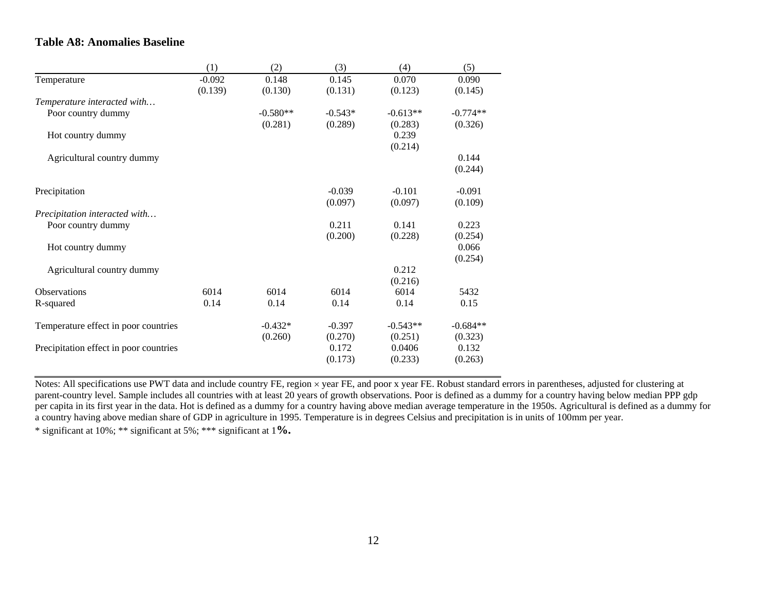## **Table A8: Anomalies Baseline**

|                                        | (1)      | (2)        | (3)       | (4)        | (5)        |
|----------------------------------------|----------|------------|-----------|------------|------------|
| Temperature                            | $-0.092$ | 0.148      | 0.145     | 0.070      | 0.090      |
|                                        | (0.139)  | (0.130)    | (0.131)   | (0.123)    | (0.145)    |
| Temperature interacted with            |          |            |           |            |            |
| Poor country dummy                     |          | $-0.580**$ | $-0.543*$ | $-0.613**$ | $-0.774**$ |
|                                        |          | (0.281)    | (0.289)   | (0.283)    | (0.326)    |
| Hot country dummy                      |          |            |           | 0.239      |            |
|                                        |          |            |           | (0.214)    |            |
| Agricultural country dummy             |          |            |           |            | 0.144      |
|                                        |          |            |           |            | (0.244)    |
| Precipitation                          |          |            | $-0.039$  | $-0.101$   | $-0.091$   |
|                                        |          |            | (0.097)   | (0.097)    | (0.109)    |
| Precipitation interacted with          |          |            |           |            |            |
| Poor country dummy                     |          |            | 0.211     | 0.141      | 0.223      |
|                                        |          |            | (0.200)   | (0.228)    | (0.254)    |
| Hot country dummy                      |          |            |           |            | 0.066      |
|                                        |          |            |           |            | (0.254)    |
| Agricultural country dummy             |          |            |           | 0.212      |            |
|                                        |          |            |           | (0.216)    |            |
| <b>Observations</b>                    | 6014     | 6014       | 6014      | 6014       | 5432       |
| R-squared                              | 0.14     | 0.14       | 0.14      | 0.14       | 0.15       |
| Temperature effect in poor countries   |          | $-0.432*$  | $-0.397$  | $-0.543**$ | $-0.684**$ |
|                                        |          | (0.260)    | (0.270)   | (0.251)    | (0.323)    |
| Precipitation effect in poor countries |          |            | 0.172     | 0.0406     | 0.132      |
|                                        |          |            | (0.173)   | (0.233)    | (0.263)    |
|                                        |          |            |           |            |            |

Notes: All specifications use PWT data and include country FE, region × year FE, and poor x year FE. Robust standard errors in parentheses, adjusted for clustering at parent-country level. Sample includes all countries with at least 20 years of growth observations. Poor is defined as a dummy for a country having below median PPP gdp per capita in its first year in the data. Hot is defined as a dummy for a country having above median average temperature in the 1950s. Agricultural is defined as a dummy for a country having above median share of GDP in agriculture in 1995. Temperature is in degrees Celsius and precipitation is in units of 100mm per year. \* significant at 10%; \*\* significant at 5%; \*\*\* significant at 1**%.**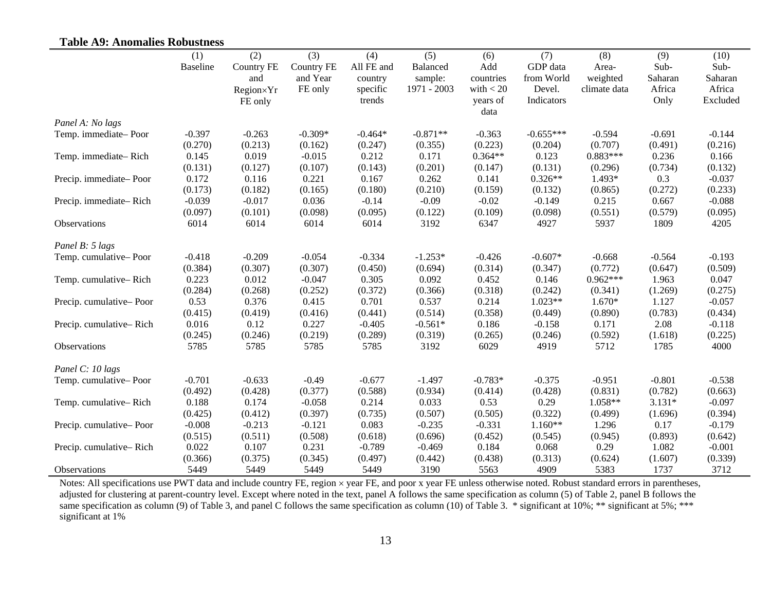| <b>Table A9: Anomalies Robustness</b> |          |                   |                   |            |                        |                  |                      |              |                   |                   |
|---------------------------------------|----------|-------------------|-------------------|------------|------------------------|------------------|----------------------|--------------|-------------------|-------------------|
|                                       | (1)      | (2)               | (3)               | (4)        | (5)                    | (6)              | (7)                  | (8)          | (9)               | (10)              |
|                                       | Baseline | <b>Country FE</b> | <b>Country FE</b> | All FE and | Balanced               | Add              | GDP data             | Area-        | Sub-              | Sub-              |
|                                       |          | and               | and Year          | country    | sample:<br>1971 - 2003 | countries        | from World<br>Devel. | weighted     | Saharan<br>Africa | Saharan<br>Africa |
|                                       |          | Region×Yr         | FE only           | specific   |                        | with $< 20$      | Indicators           | climate data |                   | Excluded          |
|                                       |          | FE only           |                   | trends     |                        | years of<br>data |                      |              | Only              |                   |
| Panel A: No lags                      |          |                   |                   |            |                        |                  |                      |              |                   |                   |
| Temp. immediate-Poor                  | $-0.397$ | $-0.263$          | $-0.309*$         | $-0.464*$  | $-0.871**$             | $-0.363$         | $-0.655***$          | $-0.594$     | $-0.691$          | $-0.144$          |
|                                       | (0.270)  | (0.213)           | (0.162)           | (0.247)    | (0.355)                | (0.223)          | (0.204)              | (0.707)      | (0.491)           | (0.216)           |
| Temp. immediate-Rich                  | 0.145    | 0.019             | $-0.015$          | 0.212      | 0.171                  | $0.364**$        | 0.123                | $0.883***$   | 0.236             | 0.166             |
|                                       | (0.131)  | (0.127)           | (0.107)           | (0.143)    | (0.201)                | (0.147)          | (0.131)              | (0.296)      | (0.734)           | (0.132)           |
| Precip. immediate-Poor                | 0.172    | 0.116             | 0.221             | 0.167      | 0.262                  | 0.141            | $0.326**$            | 1.493*       | 0.3               | $-0.037$          |
|                                       | (0.173)  | (0.182)           | (0.165)           | (0.180)    | (0.210)                | (0.159)          | (0.132)              | (0.865)      | (0.272)           | (0.233)           |
| Precip. immediate-Rich                | $-0.039$ | $-0.017$          | 0.036             | $-0.14$    | $-0.09$                | $-0.02$          | $-0.149$             | 0.215        | 0.667             | $-0.088$          |
|                                       | (0.097)  | (0.101)           | (0.098)           | (0.095)    | (0.122)                | (0.109)          | (0.098)              | (0.551)      | (0.579)           | (0.095)           |
| Observations                          | 6014     | 6014              | 6014              | 6014       | 3192                   | 6347             | 4927                 | 5937         | 1809              | 4205              |
| Panel B: 5 lags                       |          |                   |                   |            |                        |                  |                      |              |                   |                   |
| Temp. cumulative-Poor                 | $-0.418$ | $-0.209$          | $-0.054$          | $-0.334$   | $-1.253*$              | $-0.426$         | $-0.607*$            | $-0.668$     | $-0.564$          | $-0.193$          |
|                                       | (0.384)  | (0.307)           | (0.307)           | (0.450)    | (0.694)                | (0.314)          | (0.347)              | (0.772)      | (0.647)           | (0.509)           |
| Temp. cumulative-Rich                 | 0.223    | 0.012             | $-0.047$          | 0.305      | 0.092                  | 0.452            | 0.146                | $0.962***$   | 1.963             | 0.047             |
|                                       | (0.284)  | (0.268)           | (0.252)           | (0.372)    | (0.366)                | (0.318)          | (0.242)              | (0.341)      | (1.269)           | (0.275)           |
| Precip. cumulative-Poor               | 0.53     | 0.376             | 0.415             | 0.701      | 0.537                  | 0.214            | $1.023**$            | 1.670*       | 1.127             | $-0.057$          |
|                                       | (0.415)  | (0.419)           | (0.416)           | (0.441)    | (0.514)                | (0.358)          | (0.449)              | (0.890)      | (0.783)           | (0.434)           |
| Precip. cumulative-Rich               | 0.016    | 0.12              | 0.227             | $-0.405$   | $-0.561*$              | 0.186            | $-0.158$             | 0.171        | 2.08              | $-0.118$          |
|                                       | (0.245)  | (0.246)           | (0.219)           | (0.289)    | (0.319)                | (0.265)          | (0.246)              | (0.592)      | (1.618)           | (0.225)           |
| Observations                          | 5785     | 5785              | 5785              | 5785       | 3192                   | 6029             | 4919                 | 5712         | 1785              | 4000              |
| Panel C: 10 lags                      |          |                   |                   |            |                        |                  |                      |              |                   |                   |
| Temp. cumulative-Poor                 | $-0.701$ | $-0.633$          | $-0.49$           | $-0.677$   | $-1.497$               | $-0.783*$        | $-0.375$             | $-0.951$     | $-0.801$          | $-0.538$          |
|                                       | (0.492)  | (0.428)           | (0.377)           | (0.588)    | (0.934)                | (0.414)          | (0.428)              | (0.831)      | (0.782)           | (0.663)           |
| Temp. cumulative-Rich                 | 0.188    | 0.174             | $-0.058$          | 0.214      | 0.033                  | 0.53             | 0.29                 | 1.058**      | $3.131*$          | $-0.097$          |
|                                       | (0.425)  | (0.412)           | (0.397)           | (0.735)    | (0.507)                | (0.505)          | (0.322)              | (0.499)      | (1.696)           | (0.394)           |
| Precip. cumulative-Poor               | $-0.008$ | $-0.213$          | $-0.121$          | 0.083      | $-0.235$               | $-0.331$         | $1.160**$            | 1.296        | 0.17              | $-0.179$          |
|                                       | (0.515)  | (0.511)           | (0.508)           | (0.618)    | (0.696)                | (0.452)          | (0.545)              | (0.945)      | (0.893)           | (0.642)           |
| Precip. cumulative-Rich               | 0.022    | 0.107             | 0.231             | $-0.789$   | $-0.469$               | 0.184            | 0.068                | 0.29         | 1.082             | $-0.001$          |
|                                       | (0.366)  | (0.375)           | (0.345)           | (0.497)    | (0.442)                | (0.438)          | (0.313)              | (0.624)      | (1.607)           | (0.339)           |
| <b>Observations</b>                   | 5449     | 5449              | 5449              | 5449       | 3190                   | 5563             | 4909                 | 5383         | 1737              | 3712              |

Notes: All specifications use PWT data and include country FE, region × year FE, and poor x year FE unless otherwise noted. Robust standard errors in parentheses, adjusted for clustering at parent-country level. Except where noted in the text, panel A follows the same specification as column (5) of Table 2, panel B follows the same specification as column (9) of Table 3, and panel C follows the same specification as column (10) of Table 3. \* significant at 10%; \*\* significant at 5%; \*\*\* significant at 1%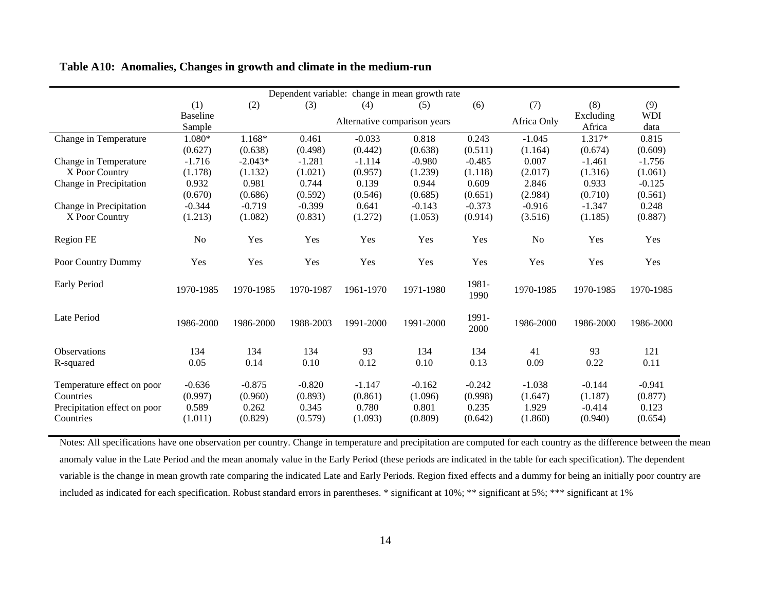| Table A10: Anomalies, Changes in growth and climate in the medium-run |  |  |  |  |  |  |
|-----------------------------------------------------------------------|--|--|--|--|--|--|
|-----------------------------------------------------------------------|--|--|--|--|--|--|

|                              | Dependent variable: change in mean growth rate |           |           |                              |           |               |             |           |            |  |  |
|------------------------------|------------------------------------------------|-----------|-----------|------------------------------|-----------|---------------|-------------|-----------|------------|--|--|
|                              | (1)                                            | (2)       | (3)       | (4)                          | (5)       | (6)           | (7)         | (8)       | (9)        |  |  |
|                              | <b>Baseline</b>                                |           |           | Alternative comparison years |           |               | Africa Only | Excluding | <b>WDI</b> |  |  |
|                              | Sample                                         |           |           |                              |           |               |             | Africa    | data       |  |  |
| Change in Temperature        | $1.080*$                                       | 1.168*    | 0.461     | $-0.033$                     | 0.818     | 0.243         | $-1.045$    | 1.317*    | 0.815      |  |  |
|                              | (0.627)                                        | (0.638)   | (0.498)   | (0.442)                      | (0.638)   | (0.511)       | (1.164)     | (0.674)   | (0.609)    |  |  |
| Change in Temperature        | $-1.716$                                       | $-2.043*$ | $-1.281$  | $-1.114$                     | $-0.980$  | $-0.485$      | 0.007       | $-1.461$  | $-1.756$   |  |  |
| X Poor Country               | (1.178)                                        | (1.132)   | (1.021)   | (0.957)                      | (1.239)   | (1.118)       | (2.017)     | (1.316)   | (1.061)    |  |  |
| Change in Precipitation      | 0.932                                          | 0.981     | 0.744     | 0.139                        | 0.944     | 0.609         | 2.846       | 0.933     | $-0.125$   |  |  |
|                              | (0.670)                                        | (0.686)   | (0.592)   | (0.546)                      | (0.685)   | (0.651)       | (2.984)     | (0.710)   | (0.561)    |  |  |
| Change in Precipitation      | $-0.344$                                       | $-0.719$  | $-0.399$  | 0.641                        | $-0.143$  | $-0.373$      | $-0.916$    | $-1.347$  | 0.248      |  |  |
| X Poor Country               | (1.213)                                        | (1.082)   | (0.831)   | (1.272)                      | (1.053)   | (0.914)       | (3.516)     | (1.185)   | (0.887)    |  |  |
|                              |                                                |           |           |                              |           |               |             |           |            |  |  |
| Region FE                    | No                                             | Yes       | Yes       | Yes                          | Yes       | Yes           | No          | Yes       | Yes        |  |  |
| Poor Country Dummy           | Yes                                            | Yes       | Yes       | Yes                          | Yes       | Yes           | Yes         | Yes       | Yes        |  |  |
|                              |                                                |           |           |                              |           |               |             |           |            |  |  |
| Early Period                 | 1970-1985                                      | 1970-1985 | 1970-1987 | 1961-1970                    | 1971-1980 | 1981-<br>1990 | 1970-1985   | 1970-1985 | 1970-1985  |  |  |
| Late Period                  | 1986-2000                                      | 1986-2000 | 1988-2003 | 1991-2000                    | 1991-2000 | 1991-<br>2000 | 1986-2000   | 1986-2000 | 1986-2000  |  |  |
| <b>Observations</b>          | 134                                            | 134       | 134       | 93                           | 134       | 134           | 41          | 93        | 121        |  |  |
| R-squared                    | 0.05                                           | 0.14      | 0.10      | 0.12                         | 0.10      | 0.13          | 0.09        | 0.22      | 0.11       |  |  |
|                              |                                                |           |           |                              |           |               |             |           |            |  |  |
| Temperature effect on poor   | $-0.636$                                       | $-0.875$  | $-0.820$  | $-1.147$                     | $-0.162$  | $-0.242$      | $-1.038$    | $-0.144$  | $-0.941$   |  |  |
| Countries                    | (0.997)                                        | (0.960)   | (0.893)   | (0.861)                      | (1.096)   | (0.998)       | (1.647)     | (1.187)   | (0.877)    |  |  |
| Precipitation effect on poor | 0.589                                          | 0.262     | 0.345     | 0.780                        | 0.801     | 0.235         | 1.929       | $-0.414$  | 0.123      |  |  |
| Countries                    | (1.011)                                        | (0.829)   | (0.579)   | (1.093)                      | (0.809)   | (0.642)       | (1.860)     | (0.940)   | (0.654)    |  |  |

Notes: All specifications have one observation per country. Change in temperature and precipitation are computed for each country as the difference between the mean anomaly value in the Late Period and the mean anomaly value in the Early Period (these periods are indicated in the table for each specification). The dependent variable is the change in mean growth rate comparing the indicated Late and Early Periods. Region fixed effects and a dummy for being an initially poor country are included as indicated for each specification. Robust standard errors in parentheses. \* significant at 10%; \*\* significant at 5%; \*\*\* significant at 1%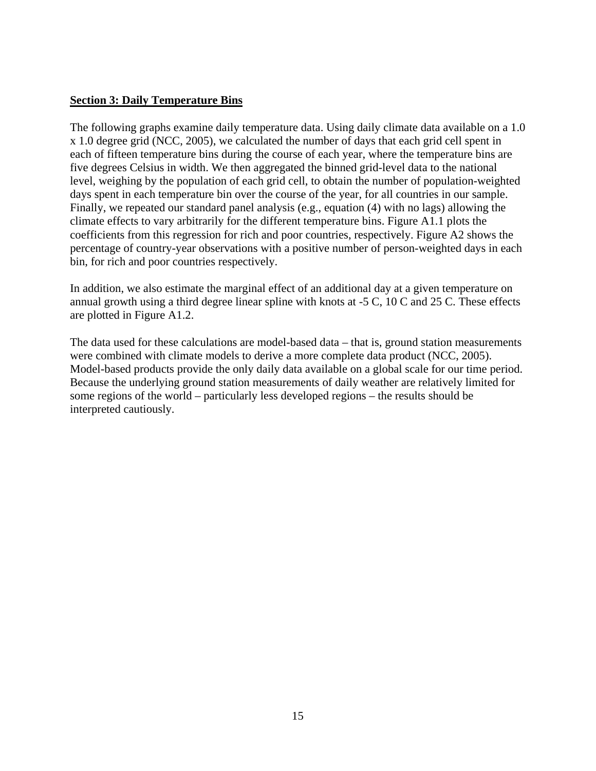# <span id="page-14-0"></span>**Section 3: Daily Temperature Bins**

The following graphs examine daily temperature data. Using daily climate data available on a 1.0 x 1.0 degree grid (NCC, 2005), we calculated the number of days that each grid cell spent in each of fifteen temperature bins during the course of each year, where the temperature bins are five degrees Celsius in width. We then aggregated the binned grid-level data to the national level, weighing by the population of each grid cell, to obtain the number of population-weighted days spent in each temperature bin over the course of the year, for all countries in our sample. Finally, we repeated our standard panel analysis (e.g., equation (4) with no lags) allowing the climate effects to vary arbitrarily for the different temperature bins. Figure A1.1 plots the coefficients from this regression for rich and poor countries, respectively. Figure A2 shows the percentage of country-year observations with a positive number of person-weighted days in each bin, for rich and poor countries respectively.

In addition, we also estimate the marginal effect of an additional day at a given temperature on annual growth using a third degree linear spline with knots at -5 C, 10 C and 25 C. These effects are plotted in Figure A1.2.

The data used for these calculations are model-based data – that is, ground station measurements were combined with climate models to derive a more complete data product (NCC, 2005). Model-based products provide the only daily data available on a global scale for our time period. Because the underlying ground station measurements of daily weather are relatively limited for some regions of the world – particularly less developed regions – the results should be interpreted cautiously.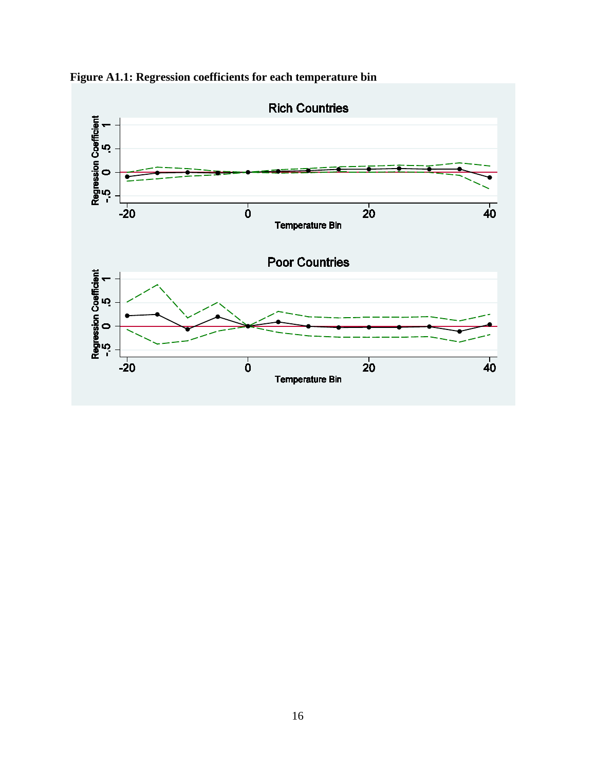

**Figure A1.1: Regression coefficients for each temperature bin**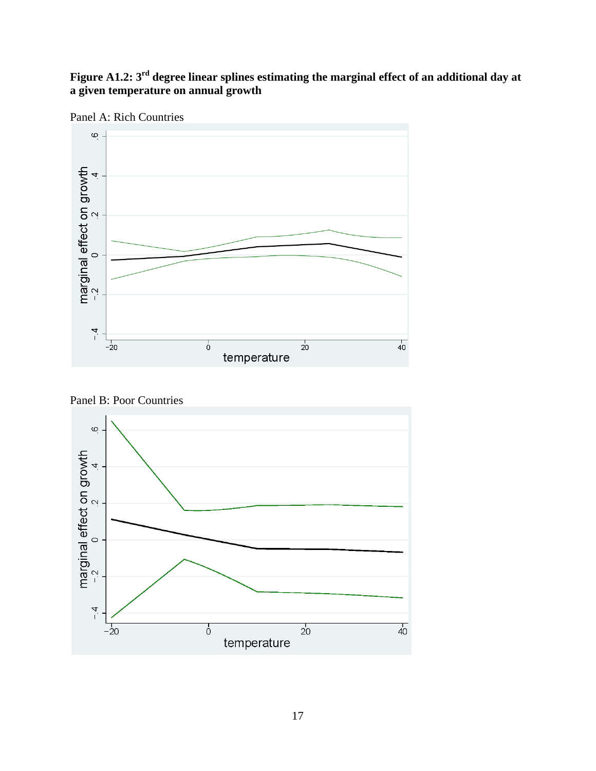# **Figure A1.2: 3rd degree linear splines estimating the marginal effect of an additional day at a given temperature on annual growth**



Panel A: Rich Countries

Panel B: Poor Countries

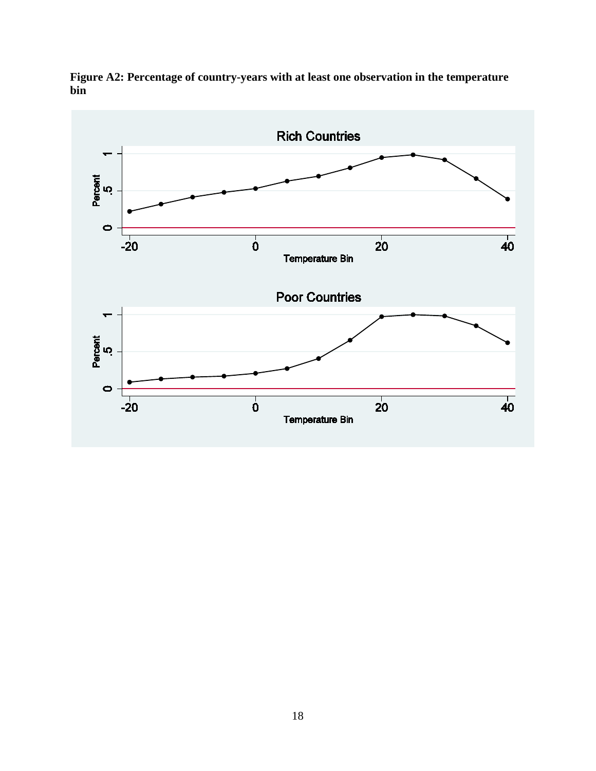

**Figure A2: Percentage of country-years with at least one observation in the temperature bin**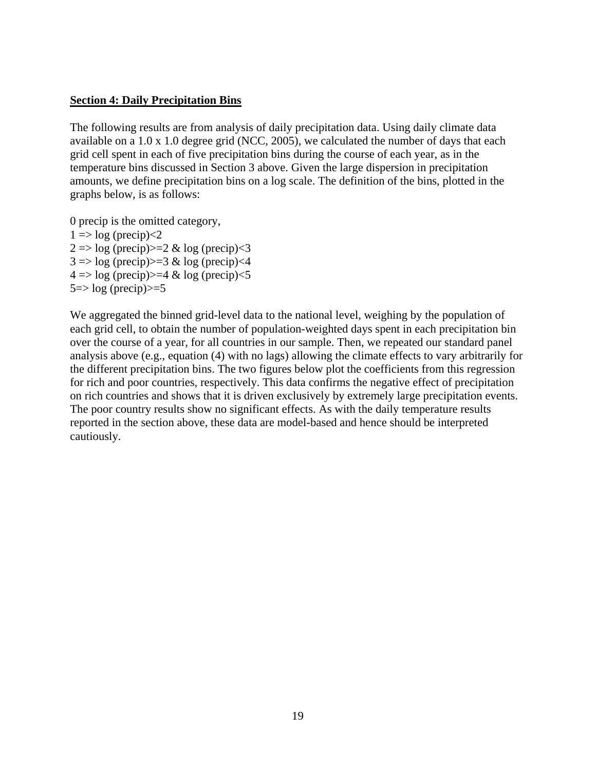### <span id="page-18-0"></span>**Section 4: Daily Precipitation Bins**

The following results are from analysis of daily precipitation data. Using daily climate data available on a 1.0 x 1.0 degree grid (NCC, 2005), we calculated the number of days that each grid cell spent in each of five precipitation bins during the course of each year, as in the temperature bins discussed in Section 3 above. Given the large dispersion in precipitation amounts, we define precipitation bins on a log scale. The definition of the bins, plotted in the graphs below, is as follows:

0 precip is the omitted category,  $1 \Rightarrow \log(\text{precip}) < 2$  $2 \Rightarrow \log(\text{precip}) > = 2 \& \log(\text{precip}) < 3$  $3 \Rightarrow \log(\text{precip}) > = 3 \& \log(\text{precip}) < 4$  $4 \Rightarrow \log(\text{precip}) > 4 \& \log(\text{precip}) < 5$  $5 \Rightarrow \log$  (precip) $\geq 5$ 

We aggregated the binned grid-level data to the national level, weighing by the population of each grid cell, to obtain the number of population-weighted days spent in each precipitation bin over the course of a year, for all countries in our sample. Then, we repeated our standard panel analysis above (e.g., equation (4) with no lags) allowing the climate effects to vary arbitrarily for the different precipitation bins. The two figures below plot the coefficients from this regression for rich and poor countries, respectively. This data confirms the negative effect of precipitation on rich countries and shows that it is driven exclusively by extremely large precipitation events. The poor country results show no significant effects. As with the daily temperature results reported in the section above, these data are model-based and hence should be interpreted cautiously.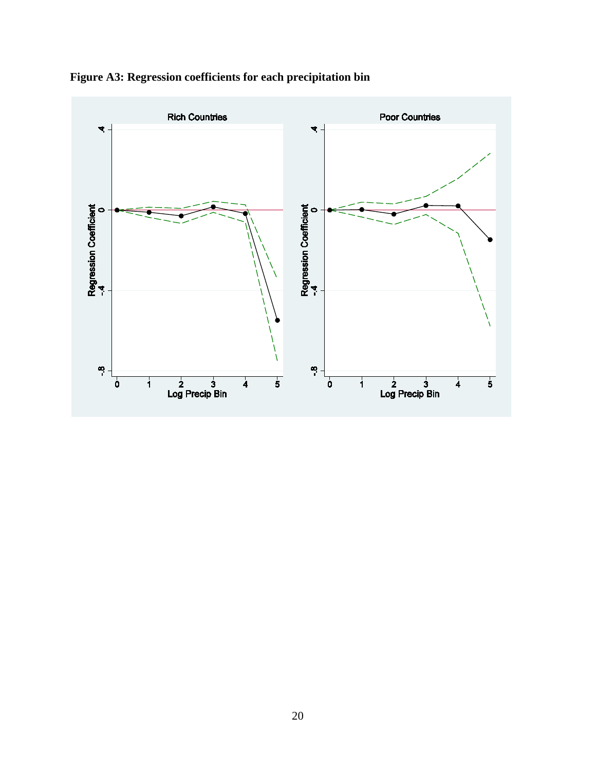

**Figure A3: Regression coefficients for each precipitation bin**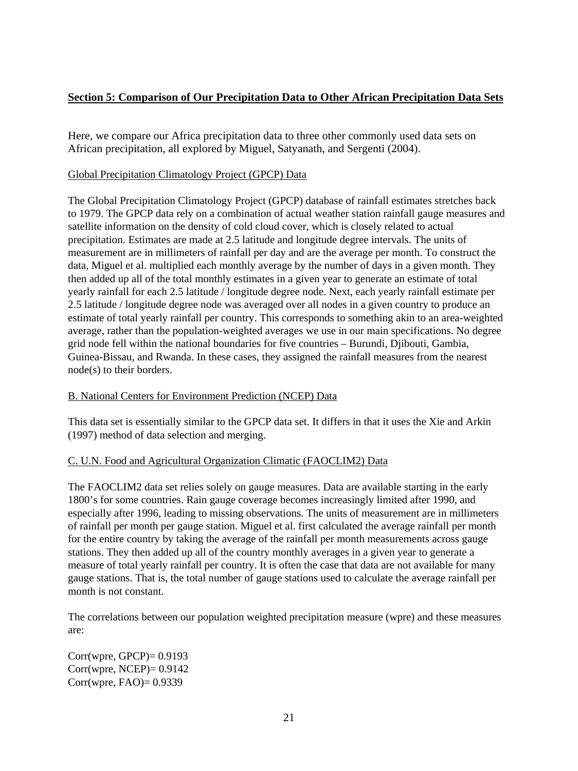# <span id="page-20-0"></span>**Section 5: Comparison of Our Precipitation Data to Other African Precipitation Data Sets**

Here, we compare our Africa precipitation data to three other commonly used data sets on African precipitation, all explored by Miguel, Satyanath, and Sergenti (2004).

## Global Precipitation Climatology Project (GPCP) Data

The Global Precipitation Climatology Project (GPCP) database of rainfall estimates stretches back to 1979. The GPCP data rely on a combination of actual weather station rainfall gauge measures and satellite information on the density of cold cloud cover, which is closely related to actual precipitation. Estimates are made at 2.5 latitude and longitude degree intervals. The units of measurement are in millimeters of rainfall per day and are the average per month. To construct the data, Miguel et al. multiplied each monthly average by the number of days in a given month. They then added up all of the total monthly estimates in a given year to generate an estimate of total yearly rainfall for each 2.5 latitude / longitude degree node. Next, each yearly rainfall estimate per 2.5 latitude / longitude degree node was averaged over all nodes in a given country to produce an estimate of total yearly rainfall per country. This corresponds to something akin to an area-weighted average, rather than the population-weighted averages we use in our main specifications. No degree grid node fell within the national boundaries for five countries – Burundi, Djibouti, Gambia, Guinea-Bissau, and Rwanda. In these cases, they assigned the rainfall measures from the nearest node(s) to their borders.

# B. National Centers for Environment Prediction (NCEP) Data

This data set is essentially similar to the GPCP data set. It differs in that it uses the Xie and Arkin (1997) method of data selection and merging.

# C. U.N. Food and Agricultural Organization Climatic (FAOCLIM2) Data

The FAOCLIM2 data set relies solely on gauge measures. Data are available starting in the early 1800's for some countries. Rain gauge coverage becomes increasingly limited after 1990, and especially after 1996, leading to missing observations. The units of measurement are in millimeters of rainfall per month per gauge station. Miguel et al. first calculated the average rainfall per month for the entire country by taking the average of the rainfall per month measurements across gauge stations. They then added up all of the country monthly averages in a given year to generate a measure of total yearly rainfall per country. It is often the case that data are not available for many gauge stations. That is, the total number of gauge stations used to calculate the average rainfall per month is not constant.

The correlations between our population weighted precipitation measure (wpre) and these measures are:

 $Corr(wpre, GPCP) = 0.9193$  $Corr(wpre, NCEP) = 0.9142$ Corr(wpre, FAO)= 0.9339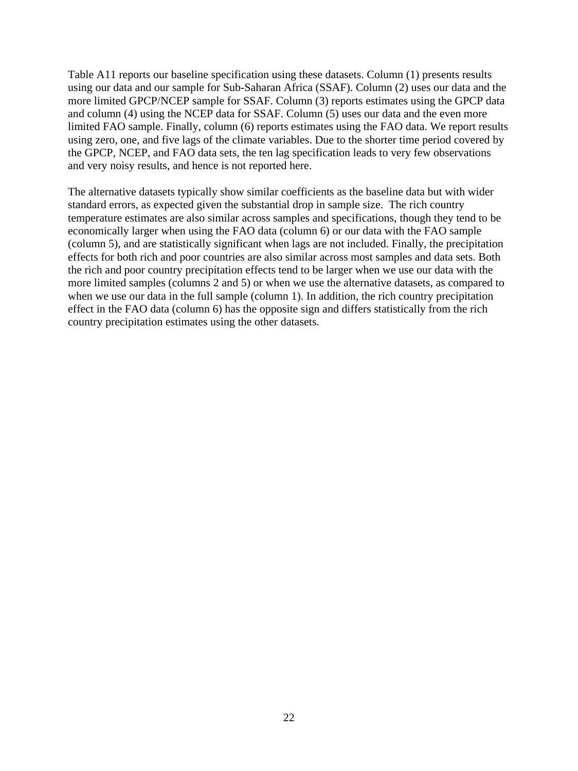Table A11 reports our baseline specification using these datasets. Column (1) presents results using our data and our sample for Sub-Saharan Africa (SSAF). Column (2) uses our data and the more limited GPCP/NCEP sample for SSAF. Column (3) reports estimates using the GPCP data and column (4) using the NCEP data for SSAF. Column (5) uses our data and the even more limited FAO sample. Finally, column (6) reports estimates using the FAO data. We report results using zero, one, and five lags of the climate variables. Due to the shorter time period covered by the GPCP, NCEP, and FAO data sets, the ten lag specification leads to very few observations and very noisy results, and hence is not reported here.

The alternative datasets typically show similar coefficients as the baseline data but with wider standard errors, as expected given the substantial drop in sample size. The rich country temperature estimates are also similar across samples and specifications, though they tend to be economically larger when using the FAO data (column 6) or our data with the FAO sample (column 5), and are statistically significant when lags are not included. Finally, the precipitation effects for both rich and poor countries are also similar across most samples and data sets. Both the rich and poor country precipitation effects tend to be larger when we use our data with the more limited samples (columns 2 and 5) or when we use the alternative datasets, as compared to when we use our data in the full sample (column 1). In addition, the rich country precipitation effect in the FAO data (column 6) has the opposite sign and differs statistically from the rich country precipitation estimates using the other datasets.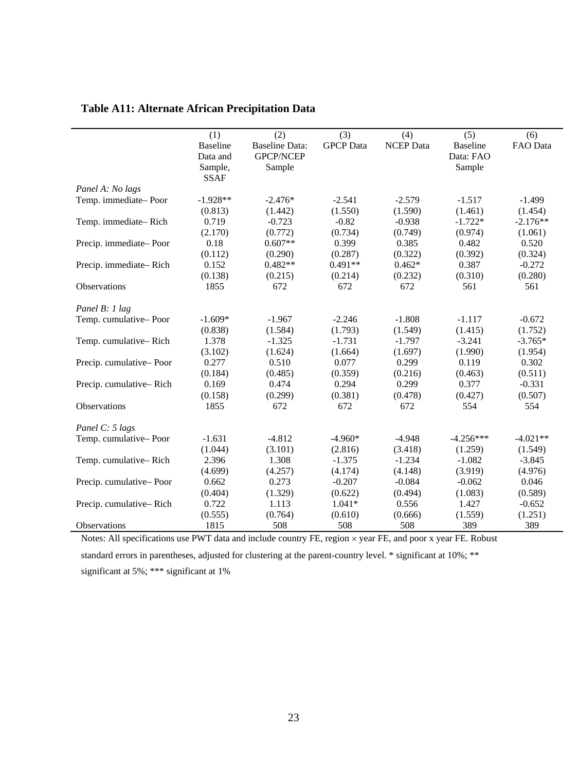|  |  |  | <b>Table A11: Alternate African Precipitation Data</b> |  |
|--|--|--|--------------------------------------------------------|--|
|--|--|--|--------------------------------------------------------|--|

|                                                        | (1)                                                                                           | (2)                   | (3)              | (4)              | (5)                                               | (6)        |
|--------------------------------------------------------|-----------------------------------------------------------------------------------------------|-----------------------|------------------|------------------|---------------------------------------------------|------------|
|                                                        | <b>Baseline</b>                                                                               | <b>Baseline Data:</b> | <b>GPCP</b> Data | <b>NCEP</b> Data | <b>Baseline</b>                                   | FAO Data   |
|                                                        | Data and                                                                                      | GPCP/NCEP             |                  |                  | Data: FAO                                         |            |
|                                                        | Sample,                                                                                       | Sample                |                  |                  | Sample                                            |            |
|                                                        | <b>SSAF</b>                                                                                   |                       |                  |                  |                                                   |            |
| Panel A: No lags                                       |                                                                                               |                       |                  |                  |                                                   |            |
| Temp. immediate-Poor                                   | $-1.928**$                                                                                    | $-2.476*$             | $-2.541$         | $-2.579$         | $-1.517$                                          | $-1.499$   |
|                                                        | (0.813)                                                                                       | (1.442)               | (1.550)          | (1.590)          | (1.461)                                           | (1.454)    |
| Temp. immediate-Rich                                   | 0.719                                                                                         | $-0.723$              | $-0.82$          | $-0.938$         | $-1.722*$                                         | $-2.176**$ |
|                                                        | (2.170)                                                                                       | (0.772)               | (0.734)          | (0.749)          | (0.974)                                           | (1.061)    |
| Precip. immediate-Poor                                 | 0.18                                                                                          | $0.607**$             | 0.399            | 0.385            | 0.482                                             | 0.520      |
|                                                        | (0.112)                                                                                       | (0.290)               | (0.287)          | (0.322)          | (0.392)                                           | (0.324)    |
| Precip. immediate-Rich                                 | 0.152                                                                                         | $0.482**$             | $0.491**$        | $0.462*$         | 0.387                                             | $-0.272$   |
|                                                        | (0.138)                                                                                       | (0.215)               | (0.214)          | (0.232)          | (0.310)                                           | (0.280)    |
| Observations                                           | 1855                                                                                          | 672                   | 672              | 672              | 561                                               | 561        |
| Panel B: 1 lag                                         |                                                                                               |                       |                  |                  |                                                   |            |
| Temp. cumulative-Poor                                  | $-1.609*$                                                                                     | $-1.967$              | $-2.246$         | $-1.808$         | $-1.117$                                          | $-0.672$   |
|                                                        | (0.838)                                                                                       | (1.584)               | (1.793)          | (1.549)          | (1.415)                                           | (1.752)    |
| Temp. cumulative-Rich                                  | 1.378                                                                                         | $-1.325$              | $-1.731$         | $-1.797$         | $-3.241$                                          | $-3.765*$  |
|                                                        | (3.102)                                                                                       | (1.624)               | (1.664)          | (1.697)          | (1.990)                                           | (1.954)    |
| Precip. cumulative-Poor                                | 0.277                                                                                         | 0.510                 | 0.077            | 0.299            | 0.119                                             | 0.302      |
|                                                        | (0.184)                                                                                       | (0.485)               | (0.359)          | (0.216)          | (0.463)                                           | (0.511)    |
| Precip. cumulative-Rich                                | 0.169                                                                                         | 0.474                 | 0.294            | 0.299            | 0.377                                             | $-0.331$   |
|                                                        | (0.158)                                                                                       | (0.299)               | (0.381)          | (0.478)          | (0.427)                                           | (0.507)    |
| Observations                                           | 1855                                                                                          | 672                   | 672              | 672              | 554                                               | 554        |
| Panel C: 5 lags                                        |                                                                                               |                       |                  |                  |                                                   |            |
| Temp. cumulative-Poor                                  | $-1.631$                                                                                      | $-4.812$              | $-4.960*$        | $-4.948$         | $-4.256***$                                       | $-4.021**$ |
|                                                        | (1.044)                                                                                       | (3.101)               | (2.816)          | (3.418)          | (1.259)                                           | (1.549)    |
| Temp. cumulative-Rich                                  | 2.396                                                                                         | 1.308                 | $-1.375$         | $-1.234$         | $-1.082$                                          | $-3.845$   |
|                                                        | (4.699)                                                                                       | (4.257)               | (4.174)          | (4.148)          | (3.919)                                           | (4.976)    |
| Precip. cumulative-Poor                                | 0.662                                                                                         | 0.273                 | $-0.207$         | $-0.084$         | $-0.062$                                          | 0.046      |
|                                                        | (0.404)                                                                                       | (1.329)               | (0.622)          | (0.494)          | (1.083)                                           | (0.589)    |
| Precip. cumulative-Rich                                | 0.722                                                                                         | 1.113                 | $1.041*$         | 0.556            | 1.427                                             | $-0.652$   |
|                                                        | (0.555)                                                                                       | (0.764)               | (0.610)          | (0.666)          | (1.559)                                           | (1.251)    |
| Observations                                           | 1815                                                                                          | 508                   | 508              | 508              | 389                                               | 389        |
| $M_{\text{other}}$ , $M11$ , $M2$ , $M2$ , $M2$ , $M3$ | $\mathbf{D}\mathbf{W}\mathbf{P}\mathbf{P}$ and $\mathbf{A}$ and $\mathbf{A}$ and $\mathbf{A}$ |                       | EE.              | ED.<br>د المست   | $\overline{DE}$ $\overline{D}$ and $\overline{D}$ |            |

Notes: All specifications use PWT data and include country FE, region  $\times$  year FE, and poor x year FE. Robust standard errors in parentheses, adjusted for clustering at the parent-country level. \* significant at 10%; \*\* significant at 5%; \*\*\* significant at 1%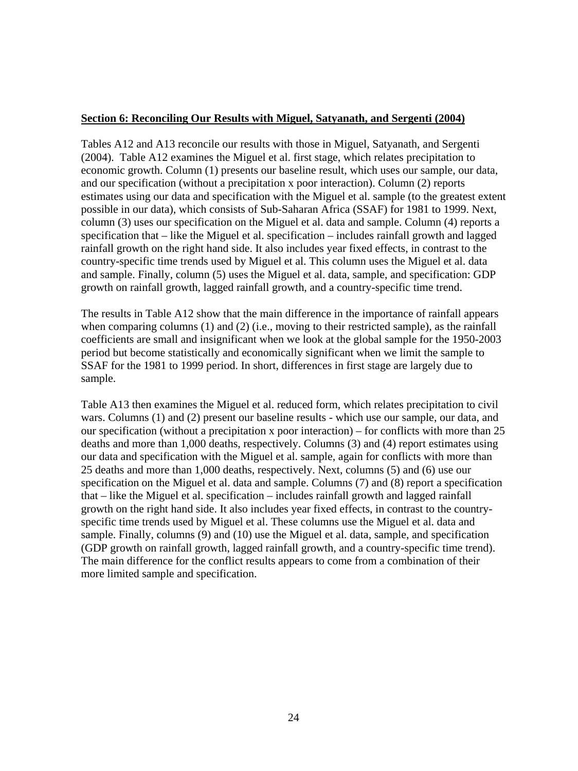# <span id="page-23-0"></span>**Section 6: Reconciling Our Results with Miguel, Satyanath, and Sergenti (2004)**

Tables A12 and A13 reconcile our results with those in Miguel, Satyanath, and Sergenti (2004). Table A12 examines the Miguel et al. first stage, which relates precipitation to economic growth. Column (1) presents our baseline result, which uses our sample, our data, and our specification (without a precipitation x poor interaction). Column (2) reports estimates using our data and specification with the Miguel et al. sample (to the greatest extent possible in our data), which consists of Sub-Saharan Africa (SSAF) for 1981 to 1999. Next, column (3) uses our specification on the Miguel et al. data and sample. Column (4) reports a specification that – like the Miguel et al. specification – includes rainfall growth and lagged rainfall growth on the right hand side. It also includes year fixed effects, in contrast to the country-specific time trends used by Miguel et al. This column uses the Miguel et al. data and sample. Finally, column (5) uses the Miguel et al. data, sample, and specification: GDP growth on rainfall growth, lagged rainfall growth, and a country-specific time trend.

The results in Table A12 show that the main difference in the importance of rainfall appears when comparing columns (1) and (2) (i.e., moving to their restricted sample), as the rainfall coefficients are small and insignificant when we look at the global sample for the 1950-2003 period but become statistically and economically significant when we limit the sample to SSAF for the 1981 to 1999 period. In short, differences in first stage are largely due to sample.

Table A13 then examines the Miguel et al. reduced form, which relates precipitation to civil wars. Columns (1) and (2) present our baseline results - which use our sample, our data, and our specification (without a precipitation x poor interaction) – for conflicts with more than 25 deaths and more than 1,000 deaths, respectively. Columns (3) and (4) report estimates using our data and specification with the Miguel et al. sample, again for conflicts with more than 25 deaths and more than 1,000 deaths, respectively. Next, columns (5) and (6) use our specification on the Miguel et al. data and sample. Columns (7) and (8) report a specification that – like the Miguel et al. specification – includes rainfall growth and lagged rainfall growth on the right hand side. It also includes year fixed effects, in contrast to the countryspecific time trends used by Miguel et al. These columns use the Miguel et al. data and sample. Finally, columns (9) and (10) use the Miguel et al. data, sample, and specification (GDP growth on rainfall growth, lagged rainfall growth, and a country-specific time trend). The main difference for the conflict results appears to come from a combination of their more limited sample and specification.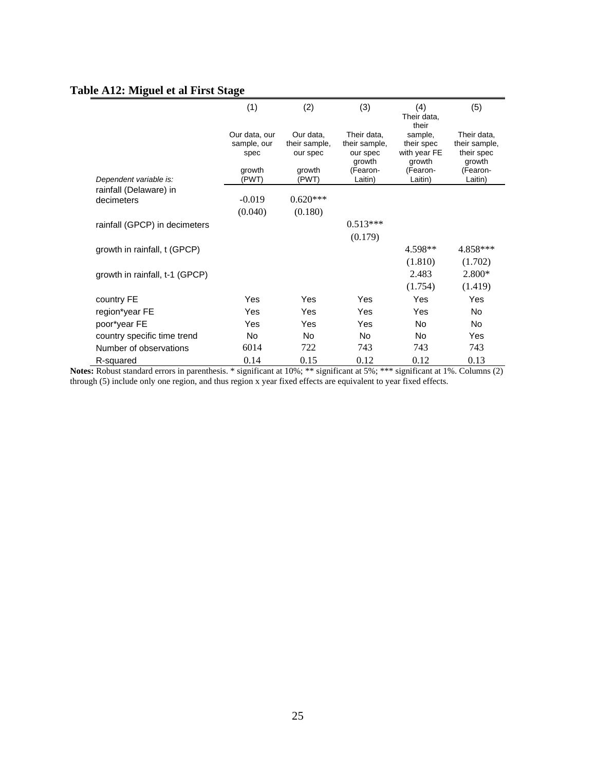# **Table A12: Miguel et al First Stage**

|                                | (1)                                  | (2)                                    | (3)                                      | (4)<br>Their data,<br>their           | (5)                                        |
|--------------------------------|--------------------------------------|----------------------------------------|------------------------------------------|---------------------------------------|--------------------------------------------|
|                                | Our data, our<br>sample, our<br>spec | Our data.<br>their sample,<br>our spec | Their data.<br>their sample,<br>our spec | sample,<br>their spec<br>with year FE | Their data,<br>their sample,<br>their spec |
| Dependent variable is:         | growth<br>(PWT)                      | growth<br>(PWT)                        | growth<br>(Fearon-<br>Laitin)            | growth<br>(Fearon-<br>Laitin)         | growth<br>(Fearon-<br>Laitin)              |
| rainfall (Delaware) in         |                                      |                                        |                                          |                                       |                                            |
| decimeters                     | $-0.019$                             | $0.620***$                             |                                          |                                       |                                            |
|                                | (0.040)                              | (0.180)                                |                                          |                                       |                                            |
| rainfall (GPCP) in decimeters  |                                      |                                        | $0.513***$                               |                                       |                                            |
|                                |                                      |                                        | (0.179)                                  |                                       |                                            |
| growth in rainfall, t (GPCP)   |                                      |                                        |                                          | 4.598**                               | 4.858***                                   |
|                                |                                      |                                        |                                          | (1.810)                               | (1.702)                                    |
| growth in rainfall, t-1 (GPCP) |                                      |                                        |                                          | 2.483                                 | 2.800*                                     |
|                                |                                      |                                        |                                          | (1.754)                               | (1.419)                                    |
| country FE                     | Yes                                  | Yes                                    | Yes                                      | Yes                                   | Yes                                        |
| region*year FE                 | Yes                                  | Yes                                    | Yes                                      | Yes                                   | No.                                        |
| poor*year FE                   | Yes                                  | Yes                                    | Yes                                      | No.                                   | No.                                        |
| country specific time trend    | No                                   | No                                     | <b>No</b>                                | <b>No</b>                             | Yes                                        |
| Number of observations         | 6014                                 | 722                                    | 743                                      | 743                                   | 743                                        |
| R-squared                      | 0.14                                 | 0.15                                   | 0.12                                     | 0.12                                  | 0.13                                       |

**Notes:** Robust standard errors in parenthesis. \* significant at 10%; \*\* significant at 5%; \*\*\* significant at 1%. Columns (2) through (5) include only one region, and thus region x year fixed effects are equivalent to year fixed effects.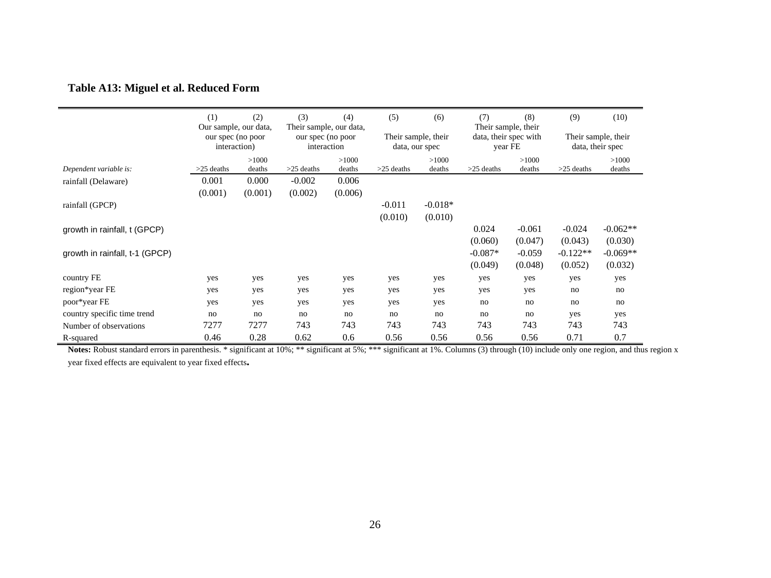# **Table A13: Miguel et al. Reduced Form**

|                                | (1)                                                        | (2)     | (3)                              | (4)<br>Their sample, our data, | (5)                                   | (6)             | (7)<br>Their sample, their       | (8)      | (9)                                     | (10)       |
|--------------------------------|------------------------------------------------------------|---------|----------------------------------|--------------------------------|---------------------------------------|-----------------|----------------------------------|----------|-----------------------------------------|------------|
|                                | Our sample, our data,<br>our spec (no poor<br>interaction) |         | our spec (no poor<br>interaction |                                | Their sample, their<br>data, our spec |                 | data, their spec with<br>year FE |          | Their sample, their<br>data, their spec |            |
|                                |                                                            | >1000   |                                  | >1000                          |                                       | >1000<br>deaths |                                  | >1000    |                                         | >1000      |
| Dependent variable is:         | $>25$ deaths                                               | deaths  | $>25$ deaths                     | deaths                         | $>25$ deaths                          |                 | $>25$ deaths                     | deaths   | $>25$ deaths                            | deaths     |
| rainfall (Delaware)            | 0.001                                                      | 0.000   | $-0.002$                         | 0.006                          |                                       |                 |                                  |          |                                         |            |
|                                | (0.001)                                                    | (0.001) | (0.002)                          | (0.006)                        |                                       |                 |                                  |          |                                         |            |
| rainfall (GPCP)                |                                                            |         |                                  |                                | $-0.011$                              | $-0.018*$       |                                  |          |                                         |            |
|                                |                                                            |         |                                  |                                | (0.010)                               | (0.010)         |                                  |          |                                         |            |
| growth in rainfall, t (GPCP)   |                                                            |         |                                  |                                |                                       |                 | 0.024                            | $-0.061$ | $-0.024$                                | $-0.062**$ |
|                                |                                                            |         |                                  |                                |                                       |                 | (0.060)                          | (0.047)  | (0.043)                                 | (0.030)    |
| growth in rainfall, t-1 (GPCP) |                                                            |         |                                  |                                |                                       |                 | $-0.087*$                        | $-0.059$ | $-0.122**$                              | $-0.069**$ |
|                                |                                                            |         |                                  |                                |                                       |                 | (0.049)                          | (0.048)  | (0.052)                                 | (0.032)    |
| country FE                     | yes                                                        | yes     | yes                              | yes                            | yes                                   | yes             | yes                              | yes      | yes                                     | yes        |
| region*year FE                 | yes                                                        | yes     | yes                              | yes                            | yes                                   | yes             | yes                              | yes      | no                                      | no         |
| poor*year FE                   | yes                                                        | yes     | yes                              | yes                            | yes                                   | yes             | no                               | no       | no                                      | no         |
| country specific time trend    | no                                                         | no      | no                               | no                             | no                                    | no              | no                               | no       | yes                                     | yes        |
| Number of observations         | 7277                                                       | 7277    | 743                              | 743                            | 743                                   | 743             | 743                              | 743      | 743                                     | 743        |
| R-squared                      | 0.46                                                       | 0.28    | 0.62                             | 0.6                            | 0.56                                  | 0.56            | 0.56                             | 0.56     | 0.71                                    | 0.7        |

Notes: Robust standard errors in parenthesis. \* significant at 10%; \*\* significant at 5%; \*\*\* significant at 1%. Columns (3) through (10) include only one region, and thus region x year fixed effects are equivalent to year fixed effects**.**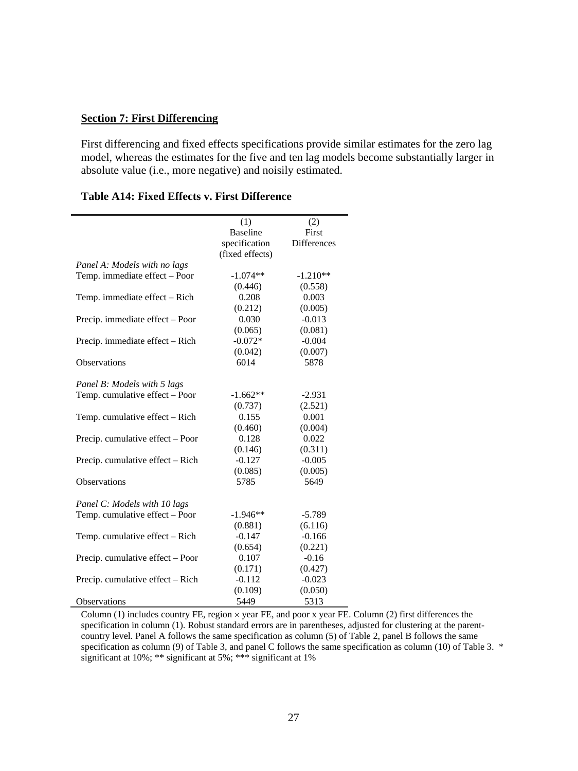### <span id="page-26-0"></span>**Section 7: First Differencing**

First differencing and fixed effects specifications provide similar estimates for the zero lag model, whereas the estimates for the five and ten lag models become substantially larger in absolute value (i.e., more negative) and noisily estimated.

|                                  | (1)             | (2)                |
|----------------------------------|-----------------|--------------------|
|                                  | <b>Baseline</b> | First              |
|                                  | specification   | <b>Differences</b> |
|                                  | (fixed effects) |                    |
| Panel A: Models with no lags     |                 |                    |
| Temp. immediate effect - Poor    | $-1.074**$      | $-1.210**$         |
|                                  | (0.446)         | (0.558)            |
| Temp. immediate effect - Rich    | 0.208           | 0.003              |
|                                  | (0.212)         | (0.005)            |
| Precip. immediate effect - Poor  | 0.030           | $-0.013$           |
|                                  | (0.065)         | (0.081)            |
| Precip. immediate effect – Rich  | $-0.072*$       | $-0.004$           |
|                                  | (0.042)         | (0.007)            |
| Observations                     | 6014            | 5878               |
|                                  |                 |                    |
| Panel B: Models with 5 lags      |                 |                    |
| Temp. cumulative effect - Poor   | $-1.662**$      | $-2.931$           |
|                                  | (0.737)         | (2.521)            |
| Temp. cumulative effect - Rich   | 0.155           | 0.001              |
|                                  | (0.460)         | (0.004)            |
| Precip. cumulative effect - Poor | 0.128           | 0.022              |
|                                  | (0.146)         | (0.311)            |
| Precip. cumulative effect – Rich | $-0.127$        | $-0.005$           |
|                                  | (0.085)         | (0.005)            |
| Observations                     | 5785            | 5649               |
|                                  |                 |                    |
| Panel C: Models with 10 lags     |                 |                    |
| Temp. cumulative effect - Poor   | $-1.946**$      | $-5.789$           |
|                                  | (0.881)         | (6.116)            |
| Temp. cumulative effect - Rich   | $-0.147$        | $-0.166$           |
|                                  | (0.654)         | (0.221)            |
| Precip. cumulative effect - Poor | 0.107           | $-0.16$            |
|                                  | (0.171)         | (0.427)            |
| Precip. cumulative effect – Rich | $-0.112$        | $-0.023$           |
|                                  | (0.109)         | (0.050)            |
| <b>Observations</b>              | 5449            | 5313               |

### **Table A14: Fixed Effects v. First Difference**

Column (1) includes country FE, region  $\times$  year FE, and poor x year FE. Column (2) first differences the specification in column (1). Robust standard errors are in parentheses, adjusted for clustering at the parentcountry level. Panel A follows the same specification as column (5) of Table 2, panel B follows the same specification as column (9) of Table 3, and panel C follows the same specification as column (10) of Table 3. \* significant at 10%; \*\*\* significant at 5%; \*\*\* significant at 1%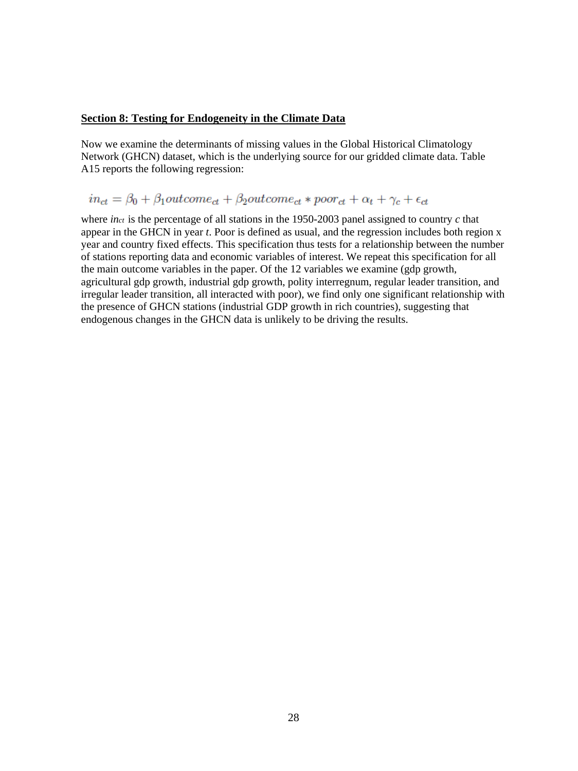#### <span id="page-27-0"></span>**Section 8: Testing for Endogeneity in the Climate Data**

Now we examine the determinants of missing values in the Global Historical Climatology Network (GHCN) dataset, which is the underlying source for our gridded climate data. Table A15 reports the following regression:

# $in_{ct} = \beta_0 + \beta_1 outcome_{ct} + \beta_2 outcome_{ct}*poor_{ct} + \alpha_t + \gamma_c + \epsilon_{ct}$

where *inct* is the percentage of all stations in the 1950-2003 panel assigned to country *c* that appear in the GHCN in year *t*. Poor is defined as usual, and the regression includes both region x year and country fixed effects. This specification thus tests for a relationship between the number of stations reporting data and economic variables of interest. We repeat this specification for all the main outcome variables in the paper. Of the 12 variables we examine (gdp growth, agricultural gdp growth, industrial gdp growth, polity interregnum, regular leader transition, and irregular leader transition, all interacted with poor), we find only one significant relationship with the presence of GHCN stations (industrial GDP growth in rich countries), suggesting that endogenous changes in the GHCN data is unlikely to be driving the results.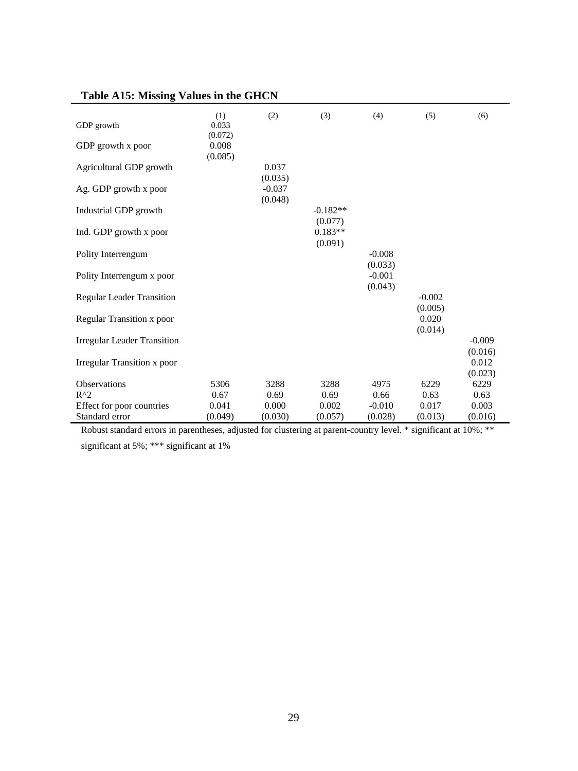| Table A15: MISSING Values in the GHCIN |                             |                     |                       |                     |                     |                  |
|----------------------------------------|-----------------------------|---------------------|-----------------------|---------------------|---------------------|------------------|
| GDP growth                             | (1)<br>0.033                | (2)                 | (3)                   | (4)                 | (5)                 | (6)              |
| GDP growth x poor                      | (0.072)<br>0.008<br>(0.085) |                     |                       |                     |                     |                  |
| Agricultural GDP growth                |                             | 0.037<br>(0.035)    |                       |                     |                     |                  |
| Ag. GDP growth x poor                  |                             | $-0.037$<br>(0.048) |                       |                     |                     |                  |
| Industrial GDP growth                  |                             |                     | $-0.182**$<br>(0.077) |                     |                     |                  |
| Ind. GDP growth x poor                 |                             |                     | $0.183**$<br>(0.091)  |                     |                     |                  |
| Polity Interrengum                     |                             |                     |                       | $-0.008$<br>(0.033) |                     |                  |
| Polity Interrengum x poor              |                             |                     |                       | $-0.001$<br>(0.043) |                     |                  |
| <b>Regular Leader Transition</b>       |                             |                     |                       |                     | $-0.002$<br>(0.005) |                  |
| <b>Regular Transition x poor</b>       |                             |                     |                       |                     | 0.020<br>(0.014)    |                  |
| <b>Irregular Leader Transition</b>     |                             |                     |                       |                     |                     | $-0.009$         |
| <b>Irregular Transition x poor</b>     |                             |                     |                       |                     |                     | (0.016)<br>0.012 |
| Observations                           | 5306                        | 3288                | 3288                  | 4975                | 6229                | (0.023)<br>6229  |
| $R^2$                                  | 0.67                        | 0.69                | 0.69                  | 0.66                | 0.63                | 0.63             |
| Effect for poor countries              | 0.041                       | 0.000               | 0.002                 | $-0.010$            | 0.017               | 0.003            |
| Standard error                         | (0.049)                     | (0.030)             | (0.057)               | (0.028)             | (0.013)             | (0.016)          |

# **Table A15: Missing Values in the GHCN**

Robust standard errors in parentheses, adjusted for clustering at parent-country level. \* significant at 10%; \*\*

significant at 5%; \*\*\* significant at 1%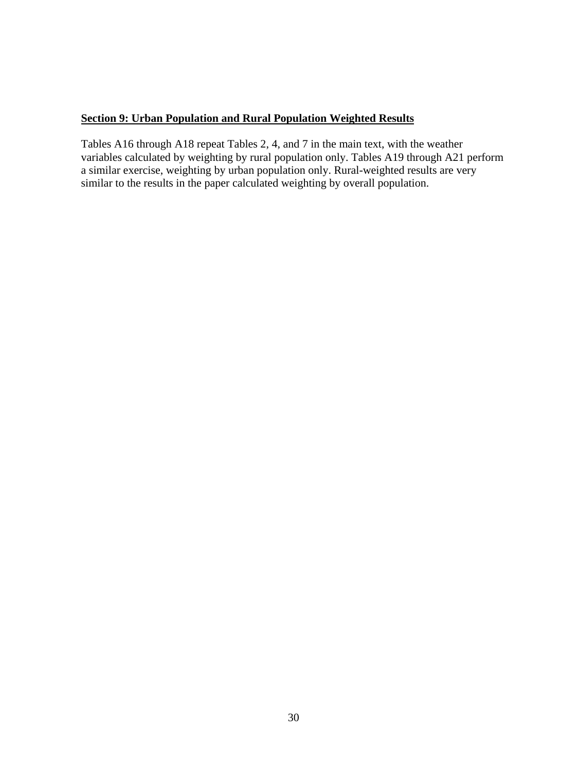# <span id="page-29-0"></span>**Section 9: Urban Population and Rural Population Weighted Results**

Tables A16 through A18 repeat Tables 2, 4, and 7 in the main text, with the weather variables calculated by weighting by rural population only. Tables A19 through A21 perform a similar exercise, weighting by urban population only. Rural-weighted results are very similar to the results in the paper calculated weighting by overall population.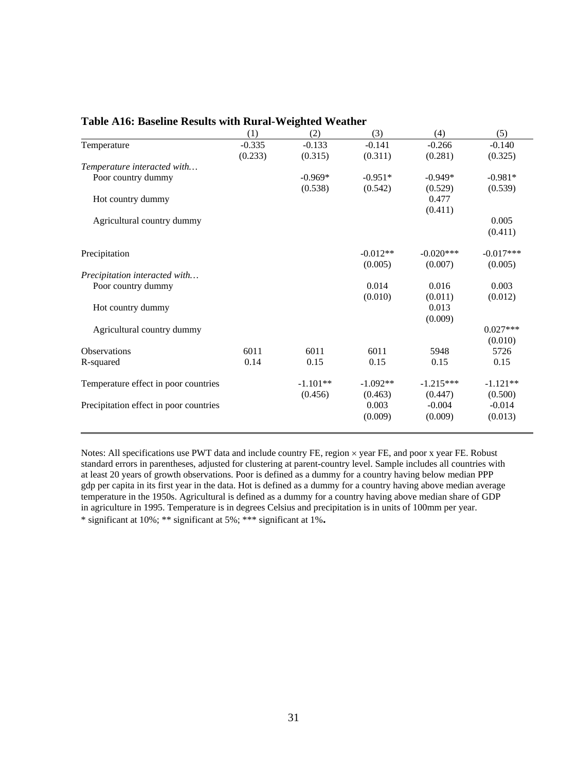|                                        | (1)      | (2)        | (3)        | (4)         | (5)         |
|----------------------------------------|----------|------------|------------|-------------|-------------|
| Temperature                            | $-0.335$ | $-0.133$   | $-0.141$   | $-0.266$    | $-0.140$    |
|                                        | (0.233)  | (0.315)    | (0.311)    | (0.281)     | (0.325)     |
| Temperature interacted with            |          |            |            |             |             |
| Poor country dummy                     |          | $-0.969*$  | $-0.951*$  | $-0.949*$   | $-0.981*$   |
|                                        |          | (0.538)    | (0.542)    | (0.529)     | (0.539)     |
| Hot country dummy                      |          |            |            | 0.477       |             |
|                                        |          |            |            | (0.411)     |             |
| Agricultural country dummy             |          |            |            |             | 0.005       |
|                                        |          |            |            |             | (0.411)     |
| Precipitation                          |          |            | $-0.012**$ | $-0.020***$ | $-0.017***$ |
|                                        |          |            | (0.005)    | (0.007)     | (0.005)     |
| Precipitation interacted with          |          |            |            |             |             |
| Poor country dummy                     |          |            | 0.014      | 0.016       | 0.003       |
|                                        |          |            | (0.010)    | (0.011)     | (0.012)     |
| Hot country dummy                      |          |            |            | 0.013       |             |
|                                        |          |            |            | (0.009)     |             |
| Agricultural country dummy             |          |            |            |             | $0.027***$  |
|                                        |          |            |            |             | (0.010)     |
| <b>Observations</b>                    | 6011     | 6011       | 6011       | 5948        | 5726        |
| R-squared                              | 0.14     | 0.15       | 0.15       | 0.15        | 0.15        |
| Temperature effect in poor countries   |          | $-1.101**$ | $-1.092**$ | $-1.215***$ | $-1.121**$  |
|                                        |          | (0.456)    | (0.463)    | (0.447)     | (0.500)     |
| Precipitation effect in poor countries |          |            | 0.003      | $-0.004$    | $-0.014$    |
|                                        |          |            | (0.009)    | (0.009)     | (0.013)     |
|                                        |          |            |            |             |             |

#### **Table A16: Baseline Results with Rural-Weighted Weather**

Notes: All specifications use PWT data and include country FE, region  $\times$  year FE, and poor x year FE. Robust standard errors in parentheses, adjusted for clustering at parent-country level. Sample includes all countries with at least 20 years of growth observations. Poor is defined as a dummy for a country having below median PPP gdp per capita in its first year in the data. Hot is defined as a dummy for a country having above median average temperature in the 1950s. Agricultural is defined as a dummy for a country having above median share of GDP in agriculture in 1995. Temperature is in degrees Celsius and precipitation is in units of 100mm per year. \* significant at 10%; \*\* significant at 5%; \*\*\* significant at 1%**.**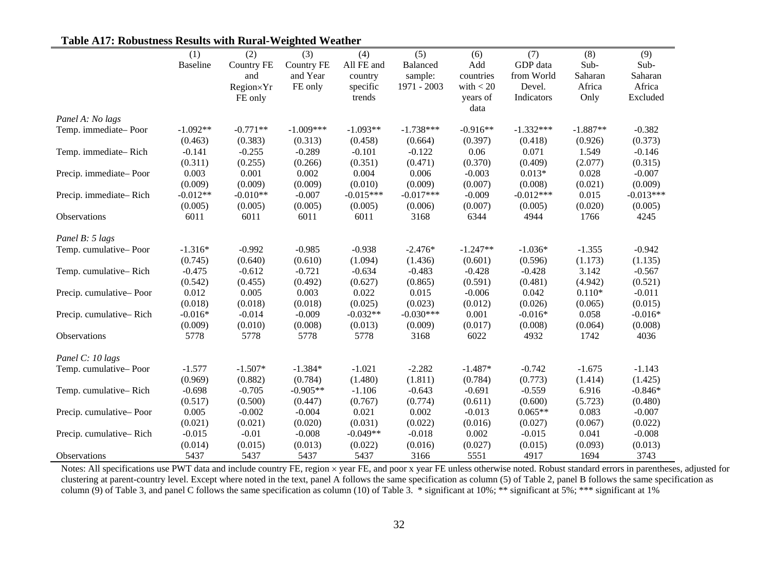|                         | (1)             | (2)        | (3)               | (4)         | (5)         | (6)         | (7)         | (8)        | (9)         |
|-------------------------|-----------------|------------|-------------------|-------------|-------------|-------------|-------------|------------|-------------|
|                         | <b>Baseline</b> | Country FE | <b>Country FE</b> | All FE and  | Balanced    | Add         | GDP data    | Sub-       | Sub-        |
|                         |                 | and        | and Year          | country     | sample:     | countries   | from World  | Saharan    | Saharan     |
|                         |                 | Region×Yr  | FE only           | specific    | 1971 - 2003 | with $<$ 20 | Devel.      | Africa     | Africa      |
|                         |                 | FE only    |                   | trends      |             | years of    | Indicators  | Only       | Excluded    |
|                         |                 |            |                   |             |             | data        |             |            |             |
| Panel A: No lags        |                 |            |                   |             |             |             |             |            |             |
| Temp. immediate-Poor    | $-1.092**$      | $-0.771**$ | $-1.009***$       | $-1.093**$  | $-1.738***$ | $-0.916**$  | $-1.332***$ | $-1.887**$ | $-0.382$    |
|                         | (0.463)         | (0.383)    | (0.313)           | (0.458)     | (0.664)     | (0.397)     | (0.418)     | (0.926)    | (0.373)     |
| Temp. immediate-Rich    | $-0.141$        | $-0.255$   | $-0.289$          | $-0.101$    | $-0.122$    | 0.06        | 0.071       | 1.549      | $-0.146$    |
|                         | (0.311)         | (0.255)    | (0.266)           | (0.351)     | (0.471)     | (0.370)     | (0.409)     | (2.077)    | (0.315)     |
| Precip. immediate-Poor  | 0.003           | 0.001      | 0.002             | 0.004       | 0.006       | $-0.003$    | $0.013*$    | 0.028      | $-0.007$    |
|                         | (0.009)         | (0.009)    | (0.009)           | (0.010)     | (0.009)     | (0.007)     | (0.008)     | (0.021)    | (0.009)     |
| Precip. immediate-Rich  | $-0.012**$      | $-0.010**$ | $-0.007$          | $-0.015***$ | $-0.017***$ | $-0.009$    | $-0.012***$ | 0.015      | $-0.013***$ |
|                         | (0.005)         | (0.005)    | (0.005)           | (0.005)     | (0.006)     | (0.007)     | (0.005)     | (0.020)    | (0.005)     |
| Observations            | 6011            | 6011       | 6011              | 6011        | 3168        | 6344        | 4944        | 1766       | 4245        |
| Panel B: 5 lags         |                 |            |                   |             |             |             |             |            |             |
| Temp. cumulative-Poor   | $-1.316*$       | $-0.992$   | $-0.985$          | $-0.938$    | $-2.476*$   | $-1.247**$  | $-1.036*$   | $-1.355$   | $-0.942$    |
|                         | (0.745)         | (0.640)    | (0.610)           | (1.094)     | (1.436)     | (0.601)     | (0.596)     | (1.173)    | (1.135)     |
| Temp. cumulative-Rich   | $-0.475$        | $-0.612$   | $-0.721$          | $-0.634$    | $-0.483$    | $-0.428$    | $-0.428$    | 3.142      | $-0.567$    |
|                         | (0.542)         | (0.455)    | (0.492)           | (0.627)     | (0.865)     | (0.591)     | (0.481)     | (4.942)    | (0.521)     |
| Precip. cumulative-Poor | 0.012           | 0.005      | 0.003             | 0.022       | 0.015       | $-0.006$    | 0.042       | $0.110*$   | $-0.011$    |
|                         | (0.018)         | (0.018)    | (0.018)           | (0.025)     | (0.023)     | (0.012)     | (0.026)     | (0.065)    | (0.015)     |
| Precip. cumulative-Rich | $-0.016*$       | $-0.014$   | $-0.009$          | $-0.032**$  | $-0.030***$ | 0.001       | $-0.016*$   | 0.058      | $-0.016*$   |
|                         | (0.009)         | (0.010)    | (0.008)           | (0.013)     | (0.009)     | (0.017)     | (0.008)     | (0.064)    | (0.008)     |
| Observations            | 5778            | 5778       | 5778              | 5778        | 3168        | 6022        | 4932        | 1742       | 4036        |
| Panel C: 10 lags        |                 |            |                   |             |             |             |             |            |             |
| Temp. cumulative-Poor   | $-1.577$        | $-1.507*$  | $-1.384*$         | $-1.021$    | $-2.282$    | $-1.487*$   | $-0.742$    | $-1.675$   | $-1.143$    |
|                         | (0.969)         | (0.882)    | (0.784)           | (1.480)     | (1.811)     | (0.784)     | (0.773)     | (1.414)    | (1.425)     |
| Temp. cumulative-Rich   | $-0.698$        | $-0.705$   | $-0.905**$        | $-1.106$    | $-0.643$    | $-0.691$    | $-0.559$    | 6.916      | $-0.846*$   |
|                         | (0.517)         | (0.500)    | (0.447)           | (0.767)     | (0.774)     | (0.611)     | (0.600)     | (5.723)    | (0.480)     |
| Precip. cumulative-Poor | 0.005           | $-0.002$   | $-0.004$          | 0.021       | 0.002       | $-0.013$    | $0.065**$   | 0.083      | $-0.007$    |
|                         | (0.021)         | (0.021)    | (0.020)           | (0.031)     | (0.022)     | (0.016)     | (0.027)     | (0.067)    | (0.022)     |
| Precip. cumulative-Rich | $-0.015$        | $-0.01$    | $-0.008$          | $-0.049**$  | $-0.018$    | 0.002       | $-0.015$    | 0.041      | $-0.008$    |
|                         | (0.014)         | (0.015)    | (0.013)           | (0.022)     | (0.016)     | (0.027)     | (0.015)     | (0.093)    | (0.013)     |
| Observations            | 5437            | 5437       | 5437              | 5437        | 3166        | 5551        | 4917        | 1694       | 3743        |

# **Table A17: Robustness Results with Rural-Weighted Weather**

Notes: All specifications use PWT data and include country FE, region  $\times$  year FE, and poor x year FE unless otherwise noted. Robust standard errors in parentheses, adjusted for clustering at parent-country level. Except where noted in the text, panel A follows the same specification as column (5) of Table 2, panel B follows the same specification as column (9) of Table 3, and panel C follows the same specification as column (10) of Table 3. \* significant at 10%; \*\* significant at 5%; \*\*\* significant at 1%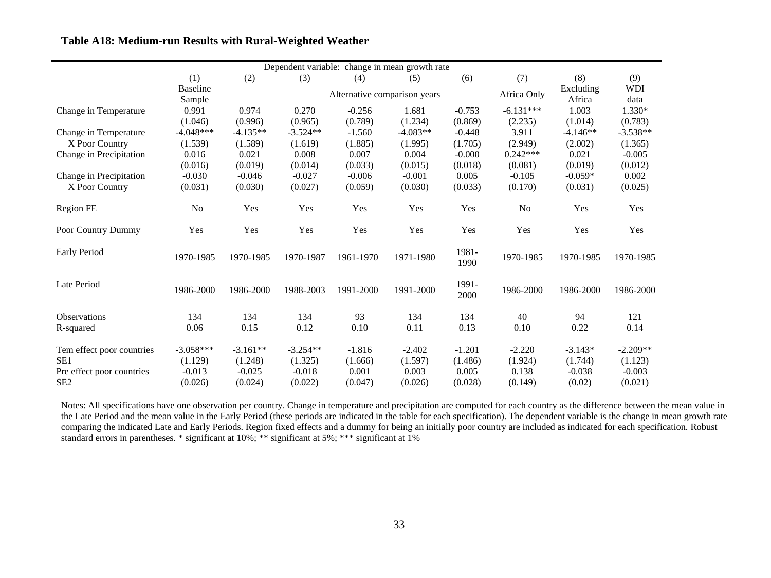| Dependent variable: change in mean growth rate |                 |            |            |                              |            |          |             |            |            |
|------------------------------------------------|-----------------|------------|------------|------------------------------|------------|----------|-------------|------------|------------|
|                                                | (1)             | (2)        | (3)        | (4)                          | (5)        | (6)      | (7)         | (8)        | (9)        |
|                                                | <b>Baseline</b> |            |            | Alternative comparison years |            |          | Africa Only | Excluding  | <b>WDI</b> |
|                                                | Sample          |            |            |                              |            |          |             | Africa     | data       |
| Change in Temperature                          | 0.991           | 0.974      | 0.270      | $-0.256$                     | 1.681      | $-0.753$ | $-6.131***$ | 1.003      | 1.330*     |
|                                                | (1.046)         | (0.996)    | (0.965)    | (0.789)                      | (1.234)    | (0.869)  | (2.235)     | (1.014)    | (0.783)    |
| Change in Temperature                          | $-4.048***$     | $-4.135**$ | $-3.524**$ | $-1.560$                     | $-4.083**$ | $-0.448$ | 3.911       | $-4.146**$ | $-3.538**$ |
| X Poor Country                                 | (1.539)         | (1.589)    | (1.619)    | (1.885)                      | (1.995)    | (1.705)  | (2.949)     | (2.002)    | (1.365)    |
| Change in Precipitation                        | 0.016           | 0.021      | 0.008      | 0.007                        | 0.004      | $-0.000$ | $0.242***$  | 0.021      | $-0.005$   |
|                                                | (0.016)         | (0.019)    | (0.014)    | (0.033)                      | (0.015)    | (0.018)  | (0.081)     | (0.019)    | (0.012)    |
| Change in Precipitation                        | $-0.030$        | $-0.046$   | $-0.027$   | $-0.006$                     | $-0.001$   | 0.005    | $-0.105$    | $-0.059*$  | 0.002      |
| X Poor Country                                 | (0.031)         | (0.030)    | (0.027)    | (0.059)                      | (0.030)    | (0.033)  | (0.170)     | (0.031)    | (0.025)    |
|                                                |                 |            |            |                              |            |          |             |            |            |
| Region FE                                      | No              | Yes        | Yes        | Yes                          | Yes        | Yes      | No          | Yes        | Yes        |
|                                                |                 |            |            |                              |            |          |             |            |            |
| Poor Country Dummy                             | Yes             | Yes        | Yes        | Yes                          | Yes        | Yes      | Yes         | Yes        | Yes        |
|                                                |                 |            |            |                              |            |          |             |            |            |
| Early Period                                   | 1970-1985       | 1970-1985  | 1970-1987  | 1961-1970                    | 1971-1980  | 1981-    | 1970-1985   | 1970-1985  | 1970-1985  |
|                                                |                 |            |            |                              |            | 1990     |             |            |            |
|                                                |                 |            |            |                              |            |          |             |            |            |
| Late Period                                    | 1986-2000       | 1986-2000  | 1988-2003  | 1991-2000                    | 1991-2000  | 1991-    | 1986-2000   | 1986-2000  | 1986-2000  |
|                                                |                 |            |            |                              |            | 2000     |             |            |            |
| <b>Observations</b>                            | 134             | 134        | 134        | 93                           | 134        | 134      | 40          | 94         | 121        |
|                                                | 0.06            | 0.15       | 0.12       | 0.10                         | 0.11       | 0.13     | 0.10        | 0.22       | 0.14       |
| R-squared                                      |                 |            |            |                              |            |          |             |            |            |
| Tem effect poor countries                      | $-3.058***$     | $-3.161**$ | $-3.254**$ | $-1.816$                     | $-2.402$   | $-1.201$ | $-2.220$    | $-3.143*$  | $-2.209**$ |
| SE1                                            | (1.129)         | (1.248)    | (1.325)    | (1.666)                      | (1.597)    | (1.486)  | (1.924)     | (1.744)    | (1.123)    |
| Pre effect poor countries                      | $-0.013$        | $-0.025$   | $-0.018$   | 0.001                        | 0.003      | 0.005    | 0.138       | $-0.038$   | $-0.003$   |
| SE <sub>2</sub>                                | (0.026)         | (0.024)    | (0.022)    | (0.047)                      | (0.026)    | (0.028)  | (0.149)     | (0.02)     | (0.021)    |
|                                                |                 |            |            |                              |            |          |             |            |            |

Notes: All specifications have one observation per country. Change in temperature and precipitation are computed for each country as the difference between the mean value in the Late Period and the mean value in the Early Period (these periods are indicated in the table for each specification). The dependent variable is the change in mean growth rate comparing the indicated Late and Early Periods. Region fixed effects and a dummy for being an initially poor country are included as indicated for each specification. Robust standard errors in parentheses. \* significant at 10%; \*\*\* significant at 5%; \*\*\* significant at 1%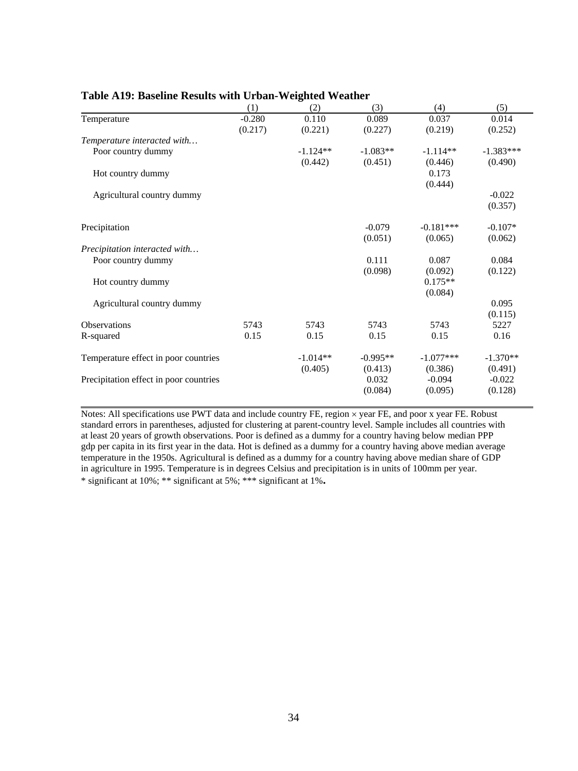|                                        | (1)      | (2)        | (3)        | (4)         | (5)         |
|----------------------------------------|----------|------------|------------|-------------|-------------|
| Temperature                            | $-0.280$ | 0.110      | 0.089      | 0.037       | 0.014       |
|                                        | (0.217)  | (0.221)    | (0.227)    | (0.219)     | (0.252)     |
| Temperature interacted with            |          |            |            |             |             |
| Poor country dummy                     |          | $-1.124**$ | $-1.083**$ | $-1.114**$  | $-1.383***$ |
|                                        |          | (0.442)    | (0.451)    | (0.446)     | (0.490)     |
| Hot country dummy                      |          |            |            | 0.173       |             |
|                                        |          |            |            | (0.444)     |             |
| Agricultural country dummy             |          |            |            |             | $-0.022$    |
|                                        |          |            |            |             | (0.357)     |
| Precipitation                          |          |            | $-0.079$   | $-0.181***$ | $-0.107*$   |
|                                        |          |            | (0.051)    | (0.065)     | (0.062)     |
| Precipitation interacted with          |          |            |            |             |             |
| Poor country dummy                     |          |            | 0.111      | 0.087       | 0.084       |
|                                        |          |            | (0.098)    | (0.092)     | (0.122)     |
| Hot country dummy                      |          |            |            | $0.175**$   |             |
|                                        |          |            |            | (0.084)     |             |
| Agricultural country dummy             |          |            |            |             | 0.095       |
|                                        |          |            |            |             | (0.115)     |
| Observations                           | 5743     | 5743       | 5743       | 5743        | 5227        |
| R-squared                              | 0.15     | 0.15       | 0.15       | 0.15        | 0.16        |
| Temperature effect in poor countries   |          | $-1.014**$ | $-0.995**$ | $-1.077***$ | $-1.370**$  |
|                                        |          | (0.405)    | (0.413)    | (0.386)     | (0.491)     |
| Precipitation effect in poor countries |          |            | 0.032      | $-0.094$    | $-0.022$    |
|                                        |          |            | (0.084)    | (0.095)     | (0.128)     |
|                                        |          |            |            |             |             |

#### **Table A19: Baseline Results with Urban-Weighted Weather**

Notes: All specifications use PWT data and include country FE, region × year FE, and poor x year FE. Robust standard errors in parentheses, adjusted for clustering at parent-country level. Sample includes all countries with at least 20 years of growth observations. Poor is defined as a dummy for a country having below median PPP gdp per capita in its first year in the data. Hot is defined as a dummy for a country having above median average temperature in the 1950s. Agricultural is defined as a dummy for a country having above median share of GDP in agriculture in 1995. Temperature is in degrees Celsius and precipitation is in units of 100mm per year. \* significant at 10%; \*\* significant at 5%; \*\*\* significant at 1%**.**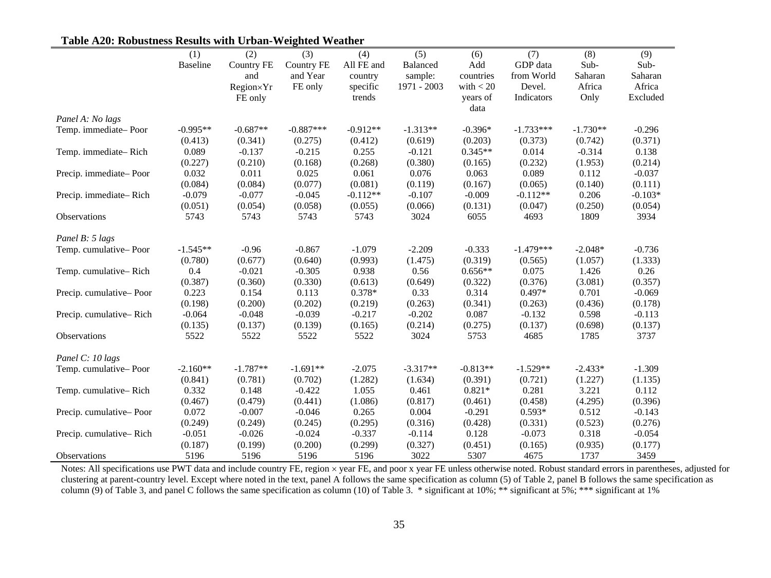|                         | (1)             | (2)               | (3)               | (4)        | (5)         | (6)         | (7)         | (8)        | (9)       |
|-------------------------|-----------------|-------------------|-------------------|------------|-------------|-------------|-------------|------------|-----------|
|                         | <b>Baseline</b> | <b>Country FE</b> | <b>Country FE</b> | All FE and | Balanced    | Add         | GDP data    | Sub-       | Sub-      |
|                         |                 | and               | and Year          | country    | sample:     | countries   | from World  | Saharan    | Saharan   |
|                         |                 | Region×Yr         | FE only           | specific   | 1971 - 2003 | with $<$ 20 | Devel.      | Africa     | Africa    |
|                         |                 | FE only           |                   | trends     |             | years of    | Indicators  | Only       | Excluded  |
|                         |                 |                   |                   |            |             | data        |             |            |           |
| Panel A: No lags        |                 |                   |                   |            |             |             |             |            |           |
| Temp. immediate-Poor    | $-0.995**$      | $-0.687**$        | $-0.887***$       | $-0.912**$ | $-1.313**$  | $-0.396*$   | $-1.733***$ | $-1.730**$ | $-0.296$  |
|                         | (0.413)         | (0.341)           | (0.275)           | (0.412)    | (0.619)     | (0.203)     | (0.373)     | (0.742)    | (0.371)   |
| Temp. immediate-Rich    | 0.089           | $-0.137$          | $-0.215$          | 0.255      | $-0.121$    | $0.345**$   | 0.014       | $-0.314$   | 0.138     |
|                         | (0.227)         | (0.210)           | (0.168)           | (0.268)    | (0.380)     | (0.165)     | (0.232)     | (1.953)    | (0.214)   |
| Precip. immediate-Poor  | 0.032           | 0.011             | 0.025             | 0.061      | 0.076       | 0.063       | 0.089       | 0.112      | $-0.037$  |
|                         | (0.084)         | (0.084)           | (0.077)           | (0.081)    | (0.119)     | (0.167)     | (0.065)     | (0.140)    | (0.111)   |
| Precip. immediate-Rich  | $-0.079$        | $-0.077$          | $-0.045$          | $-0.112**$ | $-0.107$    | $-0.009$    | $-0.112**$  | 0.206      | $-0.103*$ |
|                         | (0.051)         | (0.054)           | (0.058)           | (0.055)    | (0.066)     | (0.131)     | (0.047)     | (0.250)    | (0.054)   |
| Observations            | 5743            | 5743              | 5743              | 5743       | 3024        | 6055        | 4693        | 1809       | 3934      |
| Panel B: 5 lags         |                 |                   |                   |            |             |             |             |            |           |
| Temp. cumulative-Poor   | $-1.545**$      | $-0.96$           | $-0.867$          | $-1.079$   | $-2.209$    | $-0.333$    | $-1.479***$ | $-2.048*$  | $-0.736$  |
|                         | (0.780)         | (0.677)           | (0.640)           | (0.993)    | (1.475)     | (0.319)     | (0.565)     | (1.057)    | (1.333)   |
| Temp. cumulative-Rich   | 0.4             | $-0.021$          | $-0.305$          | 0.938      | 0.56        | $0.656**$   | 0.075       | 1.426      | 0.26      |
|                         | (0.387)         | (0.360)           | (0.330)           | (0.613)    | (0.649)     | (0.322)     | (0.376)     | (3.081)    | (0.357)   |
| Precip. cumulative-Poor | 0.223           | 0.154             | 0.113             | 0.378*     | 0.33        | 0.314       | $0.497*$    | 0.701      | $-0.069$  |
|                         | (0.198)         | (0.200)           | (0.202)           | (0.219)    | (0.263)     | (0.341)     | (0.263)     | (0.436)    | (0.178)   |
| Precip. cumulative-Rich | $-0.064$        | $-0.048$          | $-0.039$          | $-0.217$   | $-0.202$    | 0.087       | $-0.132$    | 0.598      | $-0.113$  |
|                         | (0.135)         | (0.137)           | (0.139)           | (0.165)    | (0.214)     | (0.275)     | (0.137)     | (0.698)    | (0.137)   |
| Observations            | 5522            | 5522              | 5522              | 5522       | 3024        | 5753        | 4685        | 1785       | 3737      |
| Panel C: 10 lags        |                 |                   |                   |            |             |             |             |            |           |
| Temp. cumulative-Poor   | $-2.160**$      | $-1.787**$        | $-1.691**$        | $-2.075$   | $-3.317**$  | $-0.813**$  | $-1.529**$  | $-2.433*$  | $-1.309$  |
|                         | (0.841)         | (0.781)           | (0.702)           | (1.282)    | (1.634)     | (0.391)     | (0.721)     | (1.227)    | (1.135)   |
| Temp. cumulative-Rich   | 0.332           | 0.148             | $-0.422$          | 1.055      | 0.461       | $0.821*$    | 0.281       | 3.221      | 0.112     |
|                         | (0.467)         | (0.479)           | (0.441)           | (1.086)    | (0.817)     | (0.461)     | (0.458)     | (4.295)    | (0.396)   |
| Precip. cumulative-Poor | 0.072           | $-0.007$          | $-0.046$          | 0.265      | 0.004       | $-0.291$    | $0.593*$    | 0.512      | $-0.143$  |
|                         | (0.249)         | (0.249)           | (0.245)           | (0.295)    | (0.316)     | (0.428)     | (0.331)     | (0.523)    | (0.276)   |
| Precip. cumulative-Rich | $-0.051$        | $-0.026$          | $-0.024$          | $-0.337$   | $-0.114$    | 0.128       | $-0.073$    | 0.318      | $-0.054$  |
|                         | (0.187)         | (0.199)           | (0.200)           | (0.299)    | (0.327)     | (0.451)     | (0.165)     | (0.935)    | (0.177)   |
| Observations            | 5196            | 5196              | 5196              | 5196       | 3022        | 5307        | 4675        | 1737       | 3459      |

# **Table A20: Robustness Results with Urban-Weighted Weather**

Notes: All specifications use PWT data and include country FE, region  $\times$  year FE, and poor x year FE unless otherwise noted. Robust standard errors in parentheses, adjusted for clustering at parent-country level. Except where noted in the text, panel A follows the same specification as column (5) of Table 2, panel B follows the same specification as column (9) of Table 3, and panel C follows the same specification as column (10) of Table 3. \* significant at 10%; \*\* significant at 5%; \*\*\* significant at 1%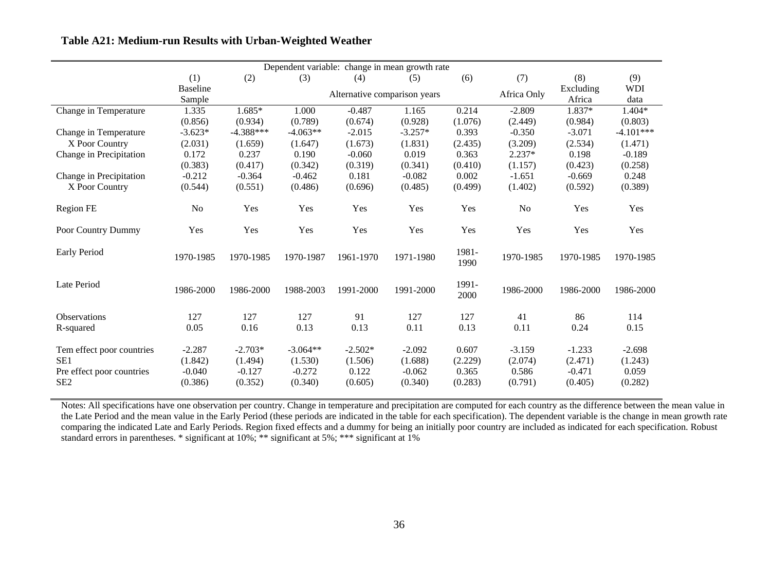| Dependent variable: change in mean growth rate |                 |             |            |           |                              |               |                |           |             |
|------------------------------------------------|-----------------|-------------|------------|-----------|------------------------------|---------------|----------------|-----------|-------------|
|                                                | (1)             | (2)         | (3)        | (4)       | (5)                          | (6)           | (7)            | (8)       | (9)         |
|                                                | <b>Baseline</b> |             |            |           | Alternative comparison years |               | Africa Only    | Excluding | <b>WDI</b>  |
|                                                | Sample          |             |            |           |                              |               |                | Africa    | data        |
| Change in Temperature                          | 1.335           | $1.685*$    | 1.000      | $-0.487$  | 1.165                        | 0.214         | $-2.809$       | 1.837*    | 1.404*      |
|                                                | (0.856)         | (0.934)     | (0.789)    | (0.674)   | (0.928)                      | (1.076)       | (2.449)        | (0.984)   | (0.803)     |
| Change in Temperature                          | $-3.623*$       | $-4.388***$ | $-4.063**$ | $-2.015$  | $-3.257*$                    | 0.393         | $-0.350$       | $-3.071$  | $-4.101***$ |
| X Poor Country                                 | (2.031)         | (1.659)     | (1.647)    | (1.673)   | (1.831)                      | (2.435)       | (3.209)        | (2.534)   | (1.471)     |
| Change in Precipitation                        | 0.172           | 0.237       | 0.190      | $-0.060$  | 0.019                        | 0.363         | $2.237*$       | 0.198     | $-0.189$    |
|                                                | (0.383)         | (0.417)     | (0.342)    | (0.319)   | (0.341)                      | (0.410)       | (1.157)        | (0.423)   | (0.258)     |
| Change in Precipitation                        | $-0.212$        | $-0.364$    | $-0.462$   | 0.181     | $-0.082$                     | 0.002         | $-1.651$       | $-0.669$  | 0.248       |
| X Poor Country                                 | (0.544)         | (0.551)     | (0.486)    | (0.696)   | (0.485)                      | (0.499)       | (1.402)        | (0.592)   | (0.389)     |
| Region FE                                      | No              | Yes         | Yes        | Yes       | Yes                          | Yes           | N <sub>o</sub> | Yes       | Yes         |
| Poor Country Dummy                             | Yes             | Yes         | Yes        | Yes       | Yes                          | Yes           | Yes            | Yes       | Yes         |
| Early Period                                   | 1970-1985       | 1970-1985   | 1970-1987  | 1961-1970 | 1971-1980                    | 1981-<br>1990 | 1970-1985      | 1970-1985 | 1970-1985   |
| Late Period                                    | 1986-2000       | 1986-2000   | 1988-2003  | 1991-2000 | 1991-2000                    | 1991-<br>2000 | 1986-2000      | 1986-2000 | 1986-2000   |
| <b>Observations</b>                            | 127             | 127         | 127        | 91        | 127                          | 127           | 41             | 86        | 114         |
| R-squared                                      | 0.05            | 0.16        | 0.13       | 0.13      | 0.11                         | 0.13          | 0.11           | 0.24      | 0.15        |
| Tem effect poor countries                      | $-2.287$        | $-2.703*$   | $-3.064**$ | $-2.502*$ | $-2.092$                     | 0.607         | $-3.159$       | $-1.233$  | $-2.698$    |
| SE <sub>1</sub>                                | (1.842)         | (1.494)     | (1.530)    | (1.506)   | (1.688)                      | (2.229)       | (2.074)        | (2.471)   | (1.243)     |
| Pre effect poor countries                      | $-0.040$        | $-0.127$    | $-0.272$   | 0.122     | $-0.062$                     | 0.365         | 0.586          | $-0.471$  | 0.059       |
| SE <sub>2</sub>                                | (0.386)         | (0.352)     | (0.340)    | (0.605)   | (0.340)                      | (0.283)       | (0.791)        | (0.405)   | (0.282)     |

# **Table A21: Medium-run Results with Urban-Weighted Weather**

Notes: All specifications have one observation per country. Change in temperature and precipitation are computed for each country as the difference between the mean value in the Late Period and the mean value in the Early Period (these periods are indicated in the table for each specification). The dependent variable is the change in mean growth rate comparing the indicated Late and Early Periods. Region fixed effects and a dummy for being an initially poor country are included as indicated for each specification. Robust standard errors in parentheses. \* significant at 10%; \*\* significant at 5%; \*\*\* significant at 1%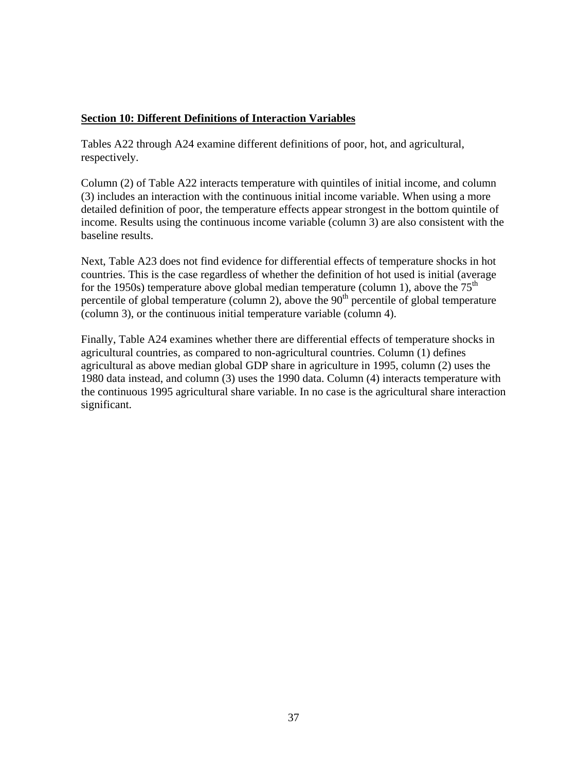# <span id="page-36-0"></span>**Section 10: Different Definitions of Interaction Variables**

Tables A22 through A24 examine different definitions of poor, hot, and agricultural, respectively.

Column (2) of Table A22 interacts temperature with quintiles of initial income, and column (3) includes an interaction with the continuous initial income variable. When using a more detailed definition of poor, the temperature effects appear strongest in the bottom quintile of income. Results using the continuous income variable (column 3) are also consistent with the baseline results.

Next, Table A23 does not find evidence for differential effects of temperature shocks in hot countries. This is the case regardless of whether the definition of hot used is initial (average for the 1950s) temperature above global median temperature (column 1), above the  $75<sup>th</sup>$ percentile of global temperature (column 2), above the  $90<sup>th</sup>$  percentile of global temperature (column 3), or the continuous initial temperature variable (column 4).

Finally, Table A24 examines whether there are differential effects of temperature shocks in agricultural countries, as compared to non-agricultural countries. Column (1) defines agricultural as above median global GDP share in agriculture in 1995, column (2) uses the 1980 data instead, and column (3) uses the 1990 data. Column (4) interacts temperature with the continuous 1995 agricultural share variable. In no case is the agricultural share interaction significant.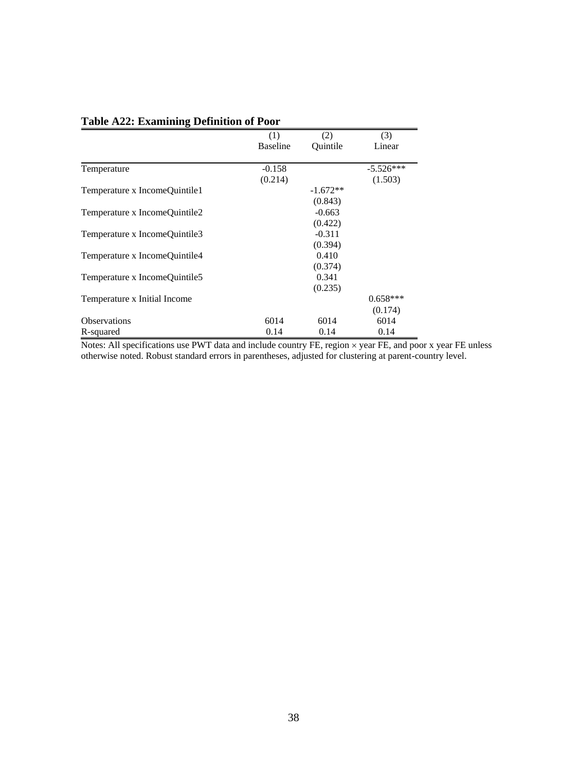|                               | (1)             | (2)        | (3)         |
|-------------------------------|-----------------|------------|-------------|
|                               | <b>Baseline</b> | Ouintile   | Linear      |
|                               |                 |            |             |
| Temperature                   | $-0.158$        |            | $-5.526***$ |
|                               | (0.214)         |            | (1.503)     |
| Temperature x IncomeQuintile1 |                 | $-1.672**$ |             |
|                               |                 | (0.843)    |             |
| Temperature x IncomeQuintile2 |                 | $-0.663$   |             |
|                               |                 | (0.422)    |             |
| Temperature x IncomeQuintile3 |                 | $-0.311$   |             |
|                               |                 | (0.394)    |             |
| Temperature x IncomeQuintile4 |                 | 0.410      |             |
|                               |                 | (0.374)    |             |
| Temperature x IncomeQuintile5 |                 | 0.341      |             |
|                               |                 | (0.235)    |             |
| Temperature x Initial Income  |                 |            | $0.658***$  |
|                               |                 |            | (0.174)     |
| <b>Observations</b>           | 6014            | 6014       | 6014        |
| R-squared                     | 0.14            | 0.14       | 0.14        |

# **Table A22: Examining Definition of Poor**

Notes: All specifications use PWT data and include country FE, region × year FE, and poor x year FE unless otherwise noted. Robust standard errors in parentheses, adjusted for clustering at parent-country level.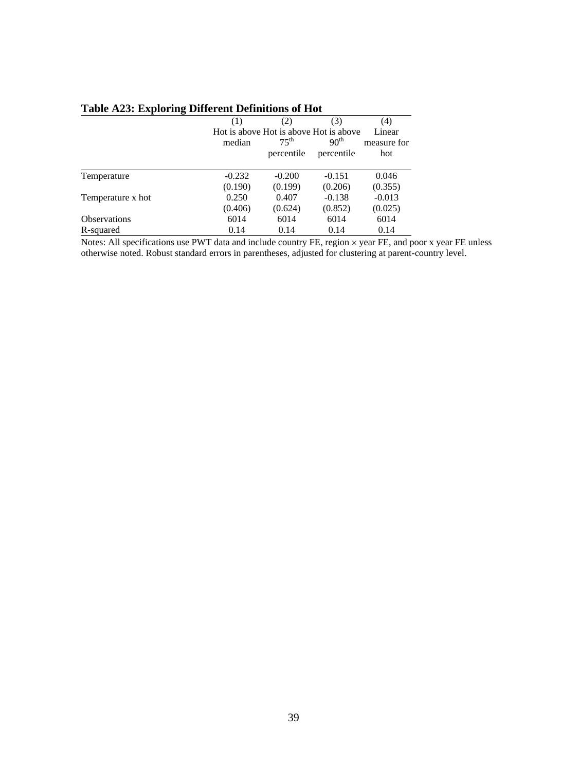|                     | (1)      | (2)                                    | (3)              | (4)         |
|---------------------|----------|----------------------------------------|------------------|-------------|
|                     |          | Hot is above Hot is above Hot is above |                  | Linear      |
|                     | median   | 75 <sup>th</sup>                       | 90 <sup>th</sup> | measure for |
|                     |          | percentile                             | percentile       | hot         |
|                     | $-0.232$ | $-0.200$                               | $-0.151$         | 0.046       |
| Temperature         |          |                                        |                  |             |
|                     | (0.190)  | (0.199)                                | (0.206)          | (0.355)     |
| Temperature x hot   | 0.250    | 0.407                                  | $-0.138$         | $-0.013$    |
|                     | (0.406)  | (0.624)                                | (0.852)          | (0.025)     |
| <b>Observations</b> | 6014     | 6014                                   | 6014             | 6014        |
| R-squared           | 0.14     | 0.14                                   | 0.14             | 0.14        |

# **Table A23: Exploring Different Definitions of Hot**

Notes: All specifications use PWT data and include country FE, region × year FE, and poor x year FE unless otherwise noted. Robust standard errors in parentheses, adjusted for clustering at parent-country level.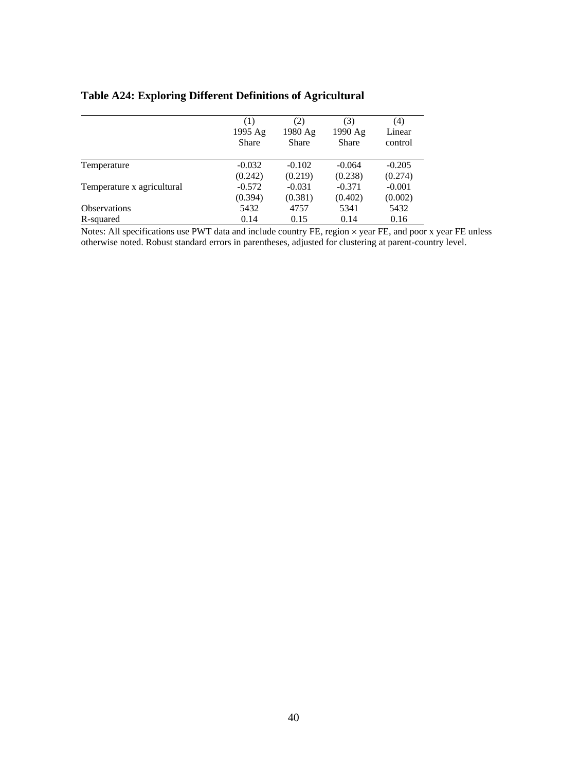| <b>Table A24: Exploring Different Definitions of Agricultural</b> |  |  |
|-------------------------------------------------------------------|--|--|
|-------------------------------------------------------------------|--|--|

|                            | (1)<br>1995 Ag<br>Share | (2)<br>1980 Ag<br><b>Share</b> | (3)<br>1990 Ag<br>Share | (4)<br>Linear<br>control |
|----------------------------|-------------------------|--------------------------------|-------------------------|--------------------------|
| Temperature                | $-0.032$                | $-0.102$                       | $-0.064$                | $-0.205$                 |
|                            | (0.242)                 | (0.219)                        | (0.238)                 | (0.274)                  |
| Temperature x agricultural | $-0.572$<br>(0.394)     | $-0.031$<br>(0.381)            | $-0.371$<br>(0.402)     | $-0.001$<br>(0.002)      |
| <b>Observations</b>        | 5432                    | 4757                           | 5341                    | 5432                     |
| R-squared                  | 0.14                    | 0.15                           | 0.14                    | 0.16                     |

Notes: All specifications use PWT data and include country FE, region × year FE, and poor x year FE unless otherwise noted. Robust standard errors in parentheses, adjusted for clustering at parent-country level.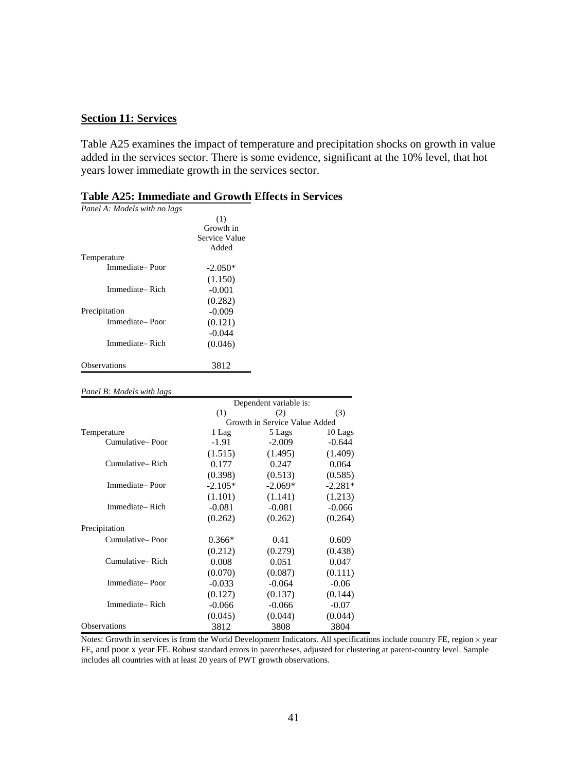### <span id="page-40-0"></span>**Section 11: Services**

Table A25 examines the impact of temperature and precipitation shocks on growth in value added in the services sector. There is some evidence, significant at the 10% level, that hot years lower immediate growth in the services sector.

| Panel A: Models with no lags |               |
|------------------------------|---------------|
|                              | (1)           |
|                              | Growth in     |
|                              | Service Value |
|                              | Added         |
| Temperature                  |               |
| Immediate-Poor               | $-2.050*$     |
|                              | (1.150)       |
| Immediate– Rich              | $-0.001$      |
|                              | (0.282)       |
| Precipitation                | $-0.009$      |
| Immediate-Poor               | (0.121)       |
|                              | $-0.044$      |
| Immediate– Rich              | (0.046)       |
| <b>Observations</b>          | 3812          |

### **Table A25: Immediate and Growth Effects in Services**

#### *Panel B: Models with lags*

|                     | Dependent variable is: |                               |           |  |  |
|---------------------|------------------------|-------------------------------|-----------|--|--|
|                     | (1)                    | (2)                           | (3)       |  |  |
|                     |                        | Growth in Service Value Added |           |  |  |
| Temperature         | 1 Lag                  | 5 Lags                        | 10 Lags   |  |  |
| Cumulative-Poor     | $-1.91$                | $-2.009$                      | $-0.644$  |  |  |
|                     | (1.515)                | (1.495)                       | (1.409)   |  |  |
| Cumulative-Rich     | 0.177                  | 0.247                         | 0.064     |  |  |
|                     | (0.398)                | (0.513)                       | (0.585)   |  |  |
| Immediate-Poor      | $-2.105*$              | $-2.069*$                     | $-2.281*$ |  |  |
|                     | (1.101)                | (1.141)                       | (1.213)   |  |  |
| Immediate-Rich      | $-0.081$               | $-0.081$                      | $-0.066$  |  |  |
|                     | (0.262)                | (0.262)                       | (0.264)   |  |  |
| Precipitation       |                        |                               |           |  |  |
| Cumulative-Poor     | $0.366*$               | 0.41                          | 0.609     |  |  |
|                     | (0.212)                | (0.279)                       | (0.438)   |  |  |
| Cumulative-Rich     | 0.008                  | 0.051                         | 0.047     |  |  |
|                     | (0.070)                | (0.087)                       | (0.111)   |  |  |
| Immediate-Poor      | $-0.033$               | $-0.064$                      | $-0.06$   |  |  |
|                     | (0.127)                | (0.137)                       | (0.144)   |  |  |
| Immediate-Rich      | $-0.066$               | $-0.066$                      | $-0.07$   |  |  |
|                     | (0.045)                | (0.044)                       | (0.044)   |  |  |
| <b>Observations</b> | 3812                   | 3808                          | 3804      |  |  |

Notes: Growth in services is from the World Development Indicators. All specifications include country FE, region × year FE, and poor x year FE. Robust standard errors in parentheses, adjusted for clustering at parent-country level. Sample includes all countries with at least 20 years of PWT growth observations.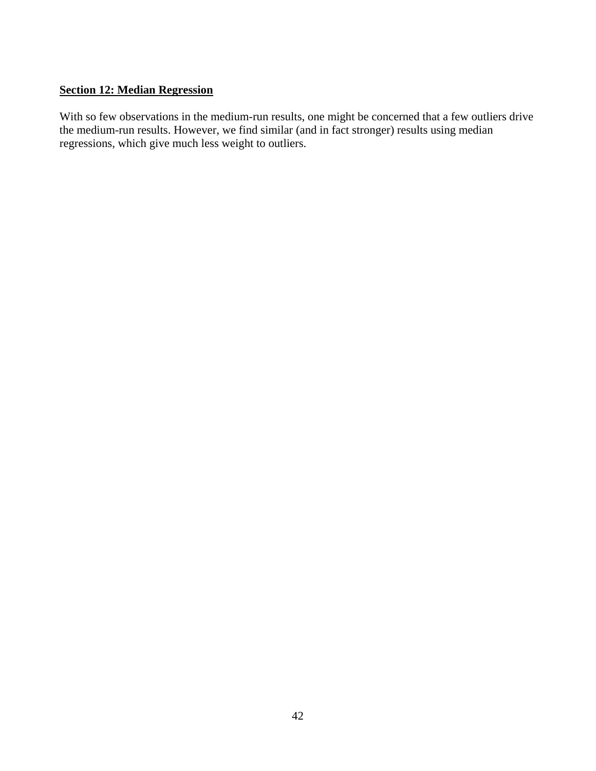# <span id="page-41-0"></span>**Section 12: Median Regression**

With so few observations in the medium-run results, one might be concerned that a few outliers drive the medium-run results. However, we find similar (and in fact stronger) results using median regressions, which give much less weight to outliers.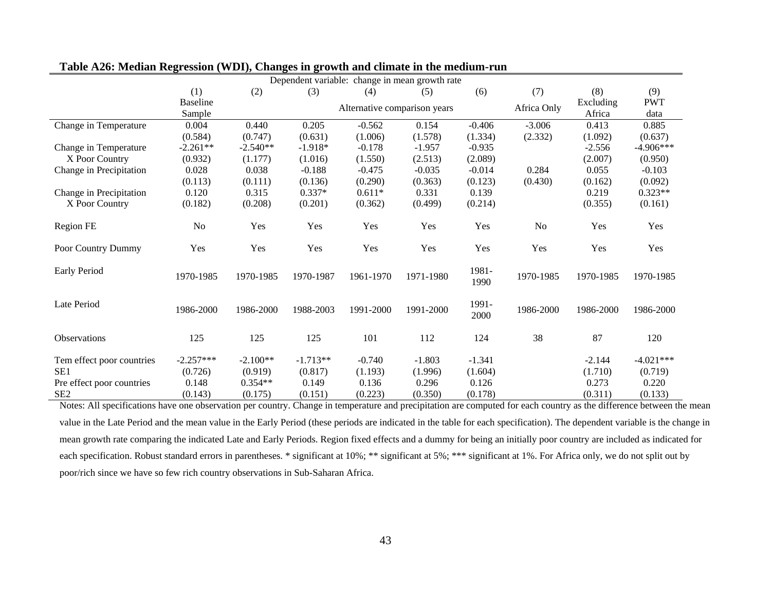| Dependent variable: change in mean growth rate |                 |            |            |                              |           |               |             |           |             |
|------------------------------------------------|-----------------|------------|------------|------------------------------|-----------|---------------|-------------|-----------|-------------|
|                                                | (1)             | (2)        | (3)        | (4)                          | (5)       | (6)           | (7)         | (8)       | (9)         |
|                                                | <b>Baseline</b> |            |            | Alternative comparison years |           |               | Africa Only | Excluding | <b>PWT</b>  |
|                                                | Sample          |            |            |                              |           |               |             | Africa    | data        |
| Change in Temperature                          | 0.004           | 0.440      | 0.205      | $-0.562$                     | 0.154     | $-0.406$      | $-3.006$    | 0.413     | 0.885       |
|                                                | (0.584)         | (0.747)    | (0.631)    | (1.006)                      | (1.578)   | (1.334)       | (2.332)     | (1.092)   | (0.637)     |
| Change in Temperature                          | $-2.261**$      | $-2.540**$ | $-1.918*$  | $-0.178$                     | $-1.957$  | $-0.935$      |             | $-2.556$  | $-4.906***$ |
| X Poor Country                                 | (0.932)         | (1.177)    | (1.016)    | (1.550)                      | (2.513)   | (2.089)       |             | (2.007)   | (0.950)     |
| Change in Precipitation                        | 0.028           | 0.038      | $-0.188$   | $-0.475$                     | $-0.035$  | $-0.014$      | 0.284       | 0.055     | $-0.103$    |
|                                                | (0.113)         | (0.111)    | (0.136)    | (0.290)                      | (0.363)   | (0.123)       | (0.430)     | (0.162)   | (0.092)     |
| Change in Precipitation                        | 0.120           | 0.315      | $0.337*$   | $0.611*$                     | 0.331     | 0.139         |             | 0.219     | $0.323**$   |
| X Poor Country                                 | (0.182)         | (0.208)    | (0.201)    | (0.362)                      | (0.499)   | (0.214)       |             | (0.355)   | (0.161)     |
| Region FE                                      | No              | Yes        | Yes        | Yes                          | Yes       | Yes           | No          | Yes       | Yes         |
| Poor Country Dummy                             | Yes             | Yes        | Yes        | Yes                          | Yes       | Yes           | Yes         | Yes       | Yes         |
| <b>Early Period</b>                            | 1970-1985       | 1970-1985  | 1970-1987  | 1961-1970                    | 1971-1980 | 1981-<br>1990 | 1970-1985   | 1970-1985 | 1970-1985   |
| Late Period                                    | 1986-2000       | 1986-2000  | 1988-2003  | 1991-2000                    | 1991-2000 | 1991-<br>2000 | 1986-2000   | 1986-2000 | 1986-2000   |
| <b>Observations</b>                            | 125             | 125        | 125        | 101                          | 112       | 124           | 38          | 87        | 120         |
| Tem effect poor countries                      | $-2.257***$     | $-2.100**$ | $-1.713**$ | $-0.740$                     | $-1.803$  | $-1.341$      |             | $-2.144$  | $-4.021***$ |
| SE <sub>1</sub>                                | (0.726)         | (0.919)    | (0.817)    | (1.193)                      | (1.996)   | (1.604)       |             | (1.710)   | (0.719)     |
| Pre effect poor countries                      | 0.148           | $0.354**$  | 0.149      | 0.136                        | 0.296     | 0.126         |             | 0.273     | 0.220       |
| SE <sub>2</sub>                                | (0.143)         | (0.175)    | (0.151)    | (0.223)                      | (0.350)   | (0.178)       |             | (0.311)   | (0.133)     |

### **Table A26: Median Regression (WDI), Changes in growth and climate in the medium-run**

Notes: All specifications have one observation per country. Change in temperature and precipitation are computed for each country as the difference between the mean value in the Late Period and the mean value in the Early Period (these periods are indicated in the table for each specification). The dependent variable is the change in mean growth rate comparing the indicated Late and Early Periods. Region fixed effects and a dummy for being an initially poor country are included as indicated for each specification. Robust standard errors in parentheses. \* significant at 10%; \*\* significant at 5%; \*\*\* significant at 1%. For Africa only, we do not split out by poor/rich since we have so few rich country observations in Sub-Saharan Africa.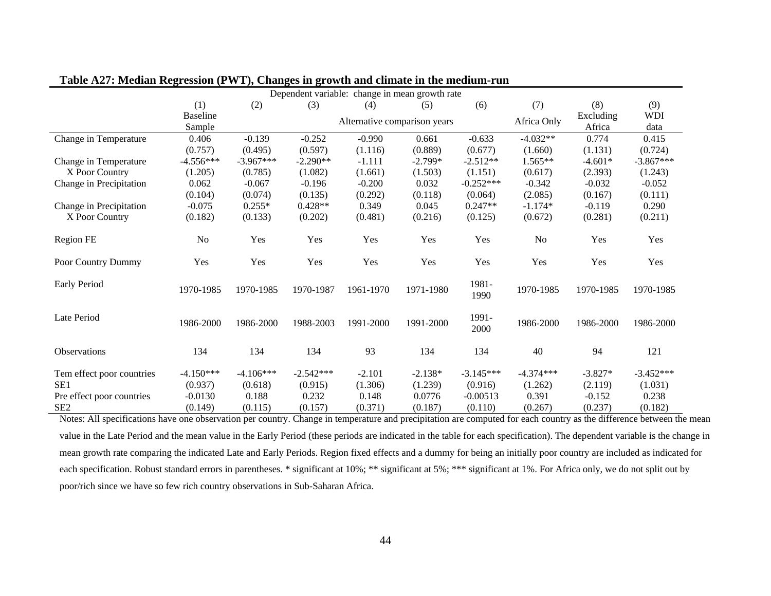| Dependent variable: change in mean growth rate |                 |             |             |                              |           |               |             |           |             |
|------------------------------------------------|-----------------|-------------|-------------|------------------------------|-----------|---------------|-------------|-----------|-------------|
|                                                | (1)             | (2)         | (3)         | (4)                          | (5)       | (6)           | (7)         | (8)       | (9)         |
|                                                | <b>Baseline</b> |             |             |                              |           |               | Africa Only | Excluding | <b>WDI</b>  |
|                                                | Sample          |             |             | Alternative comparison years |           |               |             | Africa    | data        |
| Change in Temperature                          | 0.406           | $-0.139$    | $-0.252$    | $-0.990$                     | 0.661     | $-0.633$      | $-4.032**$  | 0.774     | 0.415       |
|                                                | (0.757)         | (0.495)     | (0.597)     | (1.116)                      | (0.889)   | (0.677)       | (1.660)     | (1.131)   | (0.724)     |
| Change in Temperature                          | $-4.556***$     | $-3.967***$ | $-2.290**$  | $-1.111$                     | $-2.799*$ | $-2.512**$    | $1.565**$   | $-4.601*$ | $-3.867***$ |
| X Poor Country                                 | (1.205)         | (0.785)     | (1.082)     | (1.661)                      | (1.503)   | (1.151)       | (0.617)     | (2.393)   | (1.243)     |
| Change in Precipitation                        | 0.062           | $-0.067$    | $-0.196$    | $-0.200$                     | 0.032     | $-0.252***$   | $-0.342$    | $-0.032$  | $-0.052$    |
|                                                | (0.104)         | (0.074)     | (0.135)     | (0.292)                      | (0.118)   | (0.064)       | (2.085)     | (0.167)   | (0.111)     |
| Change in Precipitation                        | $-0.075$        | $0.255*$    | $0.428**$   | 0.349                        | 0.045     | $0.247**$     | $-1.174*$   | $-0.119$  | 0.290       |
| X Poor Country                                 | (0.182)         | (0.133)     | (0.202)     | (0.481)                      | (0.216)   | (0.125)       | (0.672)     | (0.281)   | (0.211)     |
| Region FE                                      | No              | Yes         | Yes         | Yes                          | Yes       | Yes           | No          | Yes       | Yes         |
| Poor Country Dummy                             | Yes             | Yes         | Yes         | Yes                          | Yes       | Yes           | Yes         | Yes       | Yes         |
| Early Period                                   | 1970-1985       | 1970-1985   | 1970-1987   | 1961-1970                    | 1971-1980 | 1981-<br>1990 | 1970-1985   | 1970-1985 | 1970-1985   |
| Late Period                                    | 1986-2000       | 1986-2000   | 1988-2003   | 1991-2000                    | 1991-2000 | 1991-<br>2000 | 1986-2000   | 1986-2000 | 1986-2000   |
| Observations                                   | 134             | 134         | 134         | 93                           | 134       | 134           | 40          | 94        | 121         |
| Tem effect poor countries                      | $-4.150***$     | $-4.106***$ | $-2.542***$ | $-2.101$                     | $-2.138*$ | $-3.145***$   | $-4.374***$ | $-3.827*$ | $-3.452***$ |
| SE1                                            | (0.937)         | (0.618)     | (0.915)     | (1.306)                      | (1.239)   | (0.916)       | (1.262)     | (2.119)   | (1.031)     |
| Pre effect poor countries                      | $-0.0130$       | 0.188       | 0.232       | 0.148                        | 0.0776    | $-0.00513$    | 0.391       | $-0.152$  | 0.238       |
| SE <sub>2</sub>                                | (0.149)         | (0.115)     | (0.157)     | (0.371)                      | (0.187)   | (0.110)       | (0.267)     | (0.237)   | (0.182)     |

| Table A27: Median Regression (PWT), Changes in growth and climate in the medium-run |  |  |  |
|-------------------------------------------------------------------------------------|--|--|--|
|-------------------------------------------------------------------------------------|--|--|--|

Notes: All specifications have one observation per country. Change in temperature and precipitation are computed for each country as the difference between the mean value in the Late Period and the mean value in the Early Period (these periods are indicated in the table for each specification). The dependent variable is the change in mean growth rate comparing the indicated Late and Early Periods. Region fixed effects and a dummy for being an initially poor country are included as indicated for each specification. Robust standard errors in parentheses. \* significant at 10%; \*\* significant at 5%; \*\*\* significant at 1%. For Africa only, we do not split out by poor/rich since we have so few rich country observations in Sub-Saharan Africa.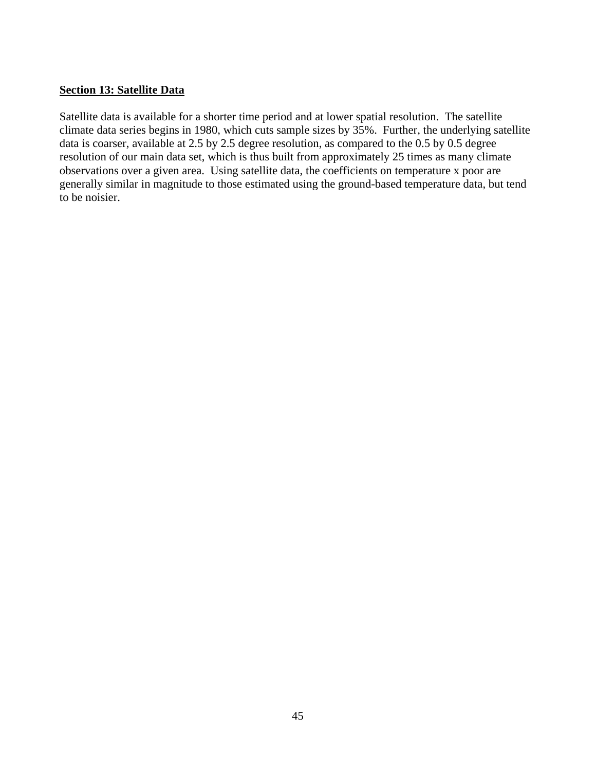### <span id="page-44-0"></span>**Section 13: Satellite Data**

Satellite data is available for a shorter time period and at lower spatial resolution. The satellite climate data series begins in 1980, which cuts sample sizes by 35%. Further, the underlying satellite data is coarser, available at 2.5 by 2.5 degree resolution, as compared to the 0.5 by 0.5 degree resolution of our main data set, which is thus built from approximately 25 times as many climate observations over a given area. Using satellite data, the coefficients on temperature x poor are generally similar in magnitude to those estimated using the ground-based temperature data, but tend to be noisier.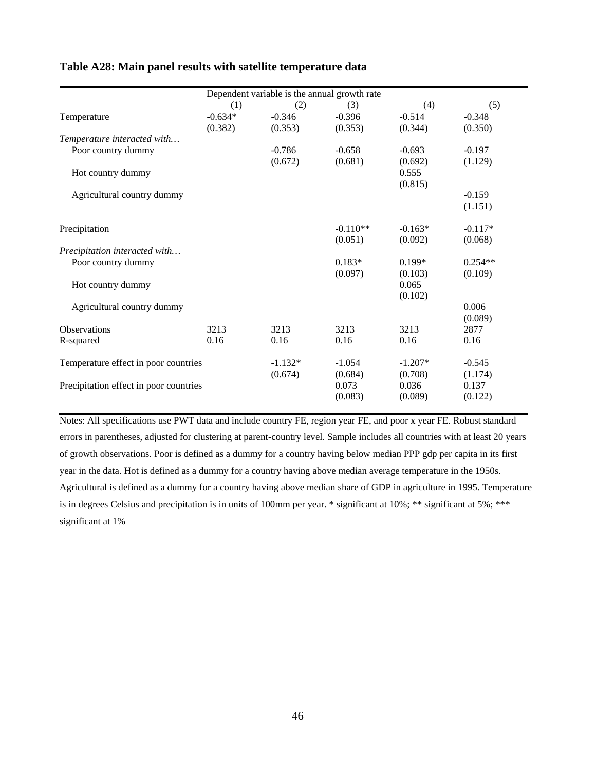| (1)                                    | (2)       | (3)        | (4)                                          | (5)       |
|----------------------------------------|-----------|------------|----------------------------------------------|-----------|
| $-0.634*$                              | $-0.346$  | $-0.396$   | $-0.514$                                     | $-0.348$  |
| (0.382)                                | (0.353)   | (0.353)    | (0.344)                                      | (0.350)   |
|                                        |           |            |                                              |           |
|                                        | $-0.786$  | $-0.658$   | $-0.693$                                     | $-0.197$  |
|                                        | (0.672)   | (0.681)    | (0.692)                                      | (1.129)   |
|                                        |           |            | 0.555                                        |           |
|                                        |           |            | (0.815)                                      |           |
|                                        |           |            |                                              | $-0.159$  |
|                                        |           |            |                                              | (1.151)   |
|                                        |           | $-0.110**$ | $-0.163*$                                    | $-0.117*$ |
|                                        |           | (0.051)    | (0.092)                                      | (0.068)   |
|                                        |           |            |                                              |           |
|                                        |           | $0.183*$   | $0.199*$                                     | $0.254**$ |
|                                        |           | (0.097)    | (0.103)                                      | (0.109)   |
|                                        |           |            | 0.065                                        |           |
|                                        |           |            | (0.102)                                      |           |
|                                        |           |            |                                              | 0.006     |
|                                        |           |            |                                              | (0.089)   |
| 3213                                   | 3213      | 3213       | 3213                                         | 2877      |
| 0.16                                   | 0.16      | 0.16       | 0.16                                         | 0.16      |
| Temperature effect in poor countries   | $-1.132*$ | $-1.054$   | $-1.207*$                                    | $-0.545$  |
|                                        | (0.674)   | (0.684)    | (0.708)                                      | (1.174)   |
| Precipitation effect in poor countries |           | 0.073      | 0.036                                        | 0.137     |
|                                        |           | (0.083)    | (0.089)                                      | (0.122)   |
|                                        |           |            | Dependent variable is the annual growth rate |           |

### **Table A28: Main panel results with satellite temperature data**

Notes: All specifications use PWT data and include country FE, region year FE, and poor x year FE. Robust standard errors in parentheses, adjusted for clustering at parent-country level. Sample includes all countries with at least 20 years of growth observations. Poor is defined as a dummy for a country having below median PPP gdp per capita in its first year in the data. Hot is defined as a dummy for a country having above median average temperature in the 1950s. Agricultural is defined as a dummy for a country having above median share of GDP in agriculture in 1995. Temperature is in degrees Celsius and precipitation is in units of 100mm per year. \* significant at 10%; \*\* significant at 5%; \*\*\* significant at 1%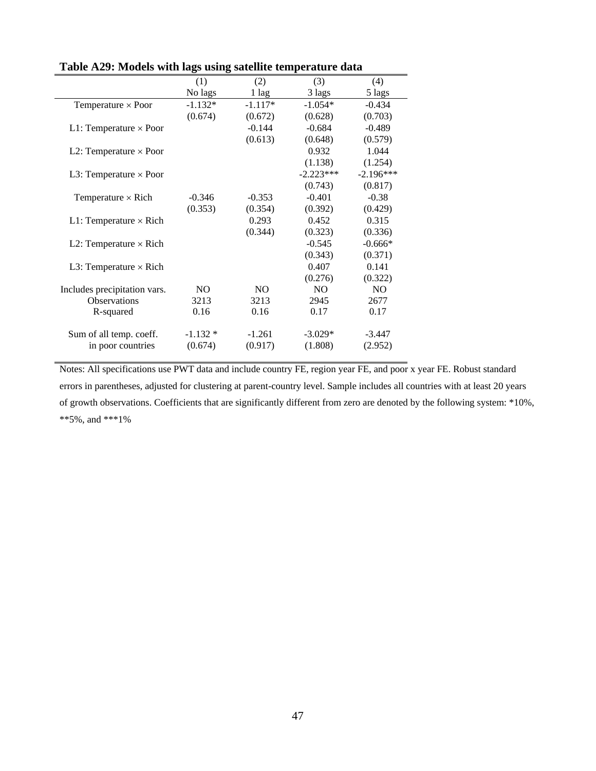| (1)            | (2)            | (3)                 | (4)            |
|----------------|----------------|---------------------|----------------|
| No lags        | 1 lag          | 3 lags              | 5 lags         |
| $-1.132*$      | $-1.117*$      | $-1.054*$           | $-0.434$       |
| (0.674)        | (0.672)        | (0.628)             | (0.703)        |
|                | $-0.144$       | $-0.684$            | $-0.489$       |
|                | (0.613)        | (0.648)             | (0.579)        |
|                |                | 0.932               | 1.044          |
|                |                | (1.138)             | (1.254)        |
|                |                | $-2.223***$         | $-2.196***$    |
|                |                | (0.743)             | (0.817)        |
| $-0.346$       | $-0.353$       | $-0.401$            | $-0.38$        |
| (0.353)        | (0.354)        | (0.392)             | (0.429)        |
|                | 0.293          | 0.452               | 0.315          |
|                | (0.344)        | (0.323)             | (0.336)        |
|                |                | $-0.545$            | $-0.666*$      |
|                |                | (0.343)             | (0.371)        |
|                |                | 0.407               | 0.141          |
|                |                | (0.276)             | (0.322)        |
| N <sub>O</sub> | N <sub>O</sub> | N <sub>O</sub>      | N <sub>O</sub> |
| 3213           | 3213           | 2945                | 2677           |
| 0.16           | 0.16           | 0.17                | 0.17           |
|                |                |                     |                |
| $-1.132*$      |                | $-3.029*$           | $-3.447$       |
|                |                |                     | (2.952)        |
|                | (0.674)        | $-1.261$<br>(0.917) | (1.808)        |

**Table A29: Models with lags using satellite temperature data**

Notes: All specifications use PWT data and include country FE, region year FE, and poor x year FE. Robust standard errors in parentheses, adjusted for clustering at parent-country level. Sample includes all countries with at least 20 years of growth observations. Coefficients that are significantly different from zero are denoted by the following system: \*10%, \*\*5%, and \*\*\*1%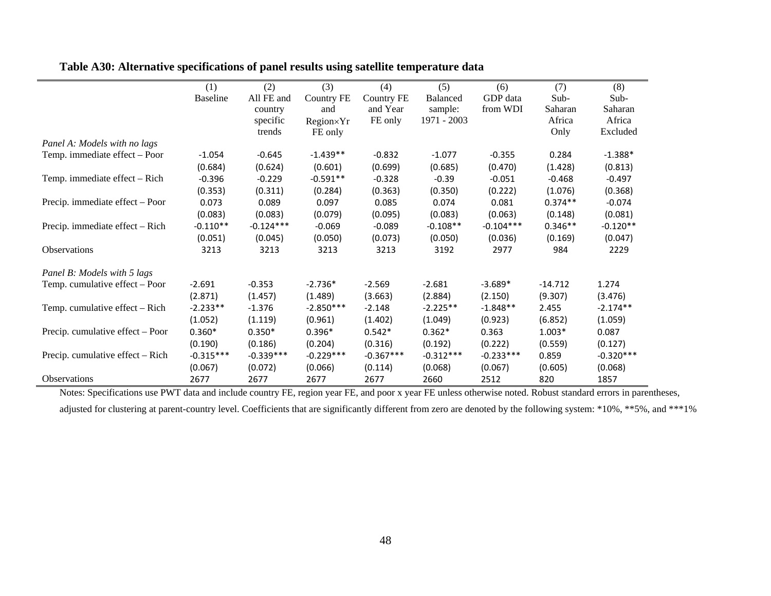|                                  | (1)             | (2)         | (3)         | (4)         | (5)         | (6)         | (7)       | (8)         |
|----------------------------------|-----------------|-------------|-------------|-------------|-------------|-------------|-----------|-------------|
|                                  | <b>Baseline</b> | All FE and  | Country FE  | Country FE  | Balanced    | GDP data    | Sub-      | Sub-        |
|                                  |                 | country     | and         | and Year    | sample:     | from WDI    | Saharan   | Saharan     |
|                                  |                 | specific    | Region×Yr   | FE only     | 1971 - 2003 |             | Africa    | Africa      |
|                                  |                 | trends      | FE only     |             |             |             | Only      | Excluded    |
| Panel A: Models with no lags     |                 |             |             |             |             |             |           |             |
| Temp. immediate effect - Poor    | $-1.054$        | $-0.645$    | $-1.439**$  | $-0.832$    | $-1.077$    | $-0.355$    | 0.284     | $-1.388*$   |
|                                  | (0.684)         | (0.624)     | (0.601)     | (0.699)     | (0.685)     | (0.470)     | (1.428)   | (0.813)     |
| Temp. immediate effect - Rich    | $-0.396$        | $-0.229$    | $-0.591**$  | $-0.328$    | $-0.39$     | $-0.051$    | $-0.468$  | $-0.497$    |
|                                  | (0.353)         | (0.311)     | (0.284)     | (0.363)     | (0.350)     | (0.222)     | (1.076)   | (0.368)     |
| Precip. immediate effect - Poor  | 0.073           | 0.089       | 0.097       | 0.085       | 0.074       | 0.081       | $0.374**$ | $-0.074$    |
|                                  | (0.083)         | (0.083)     | (0.079)     | (0.095)     | (0.083)     | (0.063)     | (0.148)   | (0.081)     |
| Precip. immediate effect - Rich  | $-0.110**$      | $-0.124***$ | $-0.069$    | $-0.089$    | $-0.108**$  | $-0.104***$ | $0.346**$ | $-0.120**$  |
|                                  | (0.051)         | (0.045)     | (0.050)     | (0.073)     | (0.050)     | (0.036)     | (0.169)   | (0.047)     |
| Observations                     | 3213            | 3213        | 3213        | 3213        | 3192        | 2977        | 984       | 2229        |
| Panel B: Models with 5 lags      |                 |             |             |             |             |             |           |             |
| Temp. cumulative effect – Poor   | $-2.691$        | $-0.353$    | $-2.736*$   | $-2.569$    | $-2.681$    | $-3.689*$   | $-14.712$ | 1.274       |
|                                  | (2.871)         | (1.457)     | (1.489)     | (3.663)     | (2.884)     | (2.150)     | (9.307)   | (3.476)     |
| Temp. cumulative effect – Rich   | $-2.233**$      | $-1.376$    | $-2.850***$ | $-2.148$    | $-2.225**$  | $-1.848**$  | 2.455     | $-2.174**$  |
|                                  | (1.052)         | (1.119)     | (0.961)     | (1.402)     | (1.049)     | (0.923)     | (6.852)   | (1.059)     |
| Precip. cumulative effect – Poor | $0.360*$        | $0.350*$    | $0.396*$    | $0.542*$    | $0.362*$    | 0.363       | $1.003*$  | 0.087       |
|                                  | (0.190)         | (0.186)     | (0.204)     | (0.316)     | (0.192)     | (0.222)     | (0.559)   | (0.127)     |
| Precip. cumulative effect - Rich | $-0.315***$     | $-0.339***$ | $-0.229***$ | $-0.367***$ | $-0.312***$ | $-0.233***$ | 0.859     | $-0.320***$ |
|                                  | (0.067)         | (0.072)     | (0.066)     | (0.114)     | (0.068)     | (0.067)     | (0.605)   | (0.068)     |
| Observations                     | 2677            | 2677        | 2677        | 2677        | 2660        | 2512        | 820       | 1857        |

**Table A30: Alternative specifications of panel results using satellite temperature data**

 $\equiv$ 

Notes: Specifications use PWT data and include country FE, region year FE, and poor x year FE unless otherwise noted. Robust standard errors in parentheses,

adjusted for clustering at parent-country level. Coefficients that are significantly different from zero are denoted by the following system: \*10%, \*\*5%, and \*\*\*1%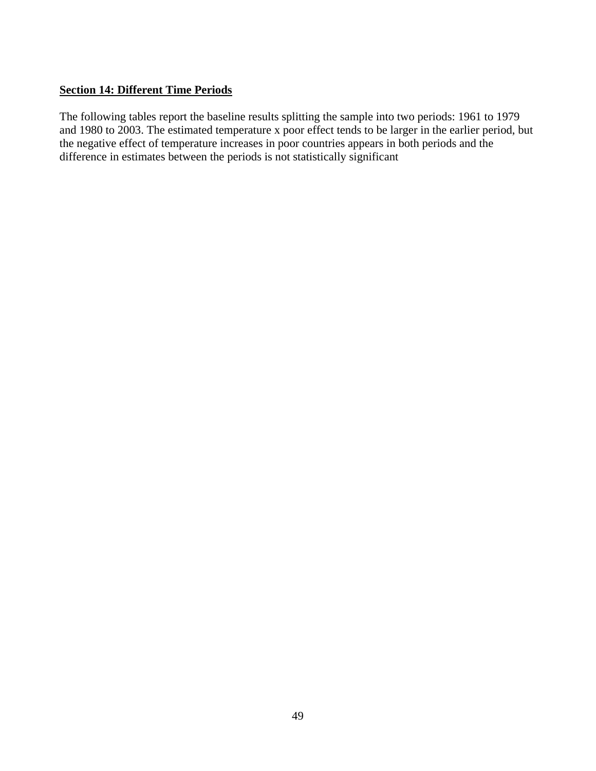# <span id="page-48-0"></span>**Section 14: Different Time Periods**

The following tables report the baseline results splitting the sample into two periods: 1961 to 1979 and 1980 to 2003. The estimated temperature x poor effect tends to be larger in the earlier period, but the negative effect of temperature increases in poor countries appears in both periods and the difference in estimates between the periods is not statistically significant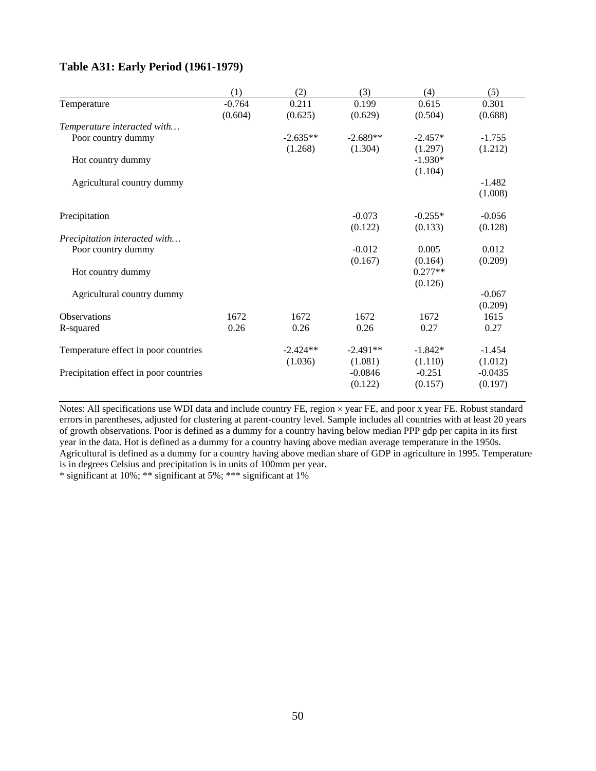# **Table A31: Early Period (1961-1979)**

|                                        | (1)      | (2)        | (3)        | (4)       | (5)       |
|----------------------------------------|----------|------------|------------|-----------|-----------|
| Temperature                            | $-0.764$ | 0.211      | 0.199      | 0.615     | 0.301     |
|                                        | (0.604)  | (0.625)    | (0.629)    | (0.504)   | (0.688)   |
| Temperature interacted with            |          |            |            |           |           |
| Poor country dummy                     |          | $-2.635**$ | $-2.689**$ | $-2.457*$ | $-1.755$  |
|                                        |          | (1.268)    | (1.304)    | (1.297)   | (1.212)   |
| Hot country dummy                      |          |            |            | $-1.930*$ |           |
|                                        |          |            |            | (1.104)   |           |
| Agricultural country dummy             |          |            |            |           | $-1.482$  |
|                                        |          |            |            |           | (1.008)   |
| Precipitation                          |          |            | $-0.073$   | $-0.255*$ | $-0.056$  |
|                                        |          |            | (0.122)    | (0.133)   | (0.128)   |
| Precipitation interacted with          |          |            |            |           |           |
| Poor country dummy                     |          |            | $-0.012$   | 0.005     | 0.012     |
|                                        |          |            | (0.167)    | (0.164)   | (0.209)   |
| Hot country dummy                      |          |            |            | $0.277**$ |           |
|                                        |          |            |            | (0.126)   |           |
| Agricultural country dummy             |          |            |            |           | $-0.067$  |
|                                        |          |            |            |           | (0.209)   |
| <b>Observations</b>                    | 1672     | 1672       | 1672       | 1672      | 1615      |
| R-squared                              | 0.26     | 0.26       | 0.26       | 0.27      | 0.27      |
| Temperature effect in poor countries   |          | $-2.424**$ | $-2.491**$ | $-1.842*$ | $-1.454$  |
|                                        |          | (1.036)    | (1.081)    | (1.110)   | (1.012)   |
| Precipitation effect in poor countries |          |            | $-0.0846$  | $-0.251$  | $-0.0435$ |
|                                        |          |            | (0.122)    | (0.157)   | (0.197)   |

Notes: All specifications use WDI data and include country FE, region × year FE, and poor x year FE. Robust standard errors in parentheses, adjusted for clustering at parent-country level. Sample includes all countries with at least 20 years of growth observations. Poor is defined as a dummy for a country having below median PPP gdp per capita in its first year in the data. Hot is defined as a dummy for a country having above median average temperature in the 1950s. Agricultural is defined as a dummy for a country having above median share of GDP in agriculture in 1995. Temperature is in degrees Celsius and precipitation is in units of 100mm per year.

\* significant at 10%; \*\* significant at 5%; \*\*\* significant at 1%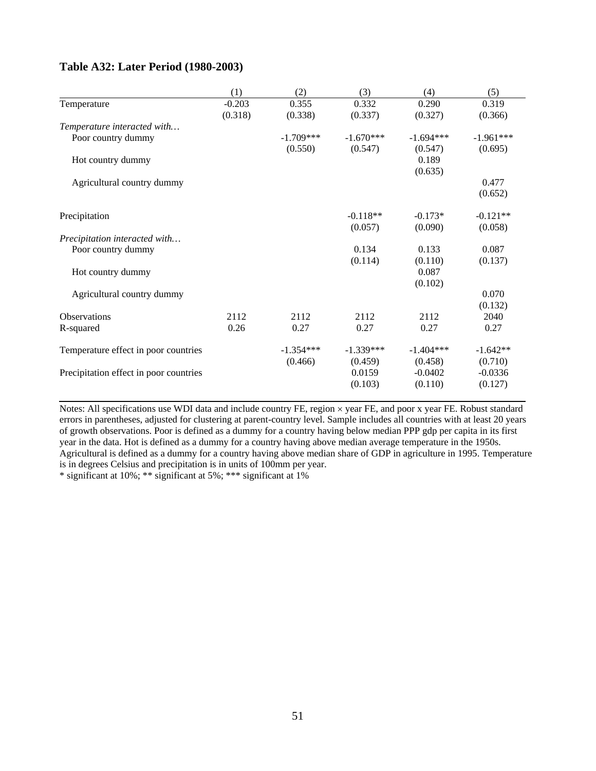### **Table A32: Later Period (1980-2003)**

|                                        | (1)      | (2)         | (3)         | (4)         | (5)         |
|----------------------------------------|----------|-------------|-------------|-------------|-------------|
| Temperature                            | $-0.203$ | 0.355       | 0.332       | 0.290       | 0.319       |
|                                        | (0.318)  | (0.338)     | (0.337)     | (0.327)     | (0.366)     |
| Temperature interacted with            |          |             |             |             |             |
| Poor country dummy                     |          | $-1.709***$ | $-1.670***$ | $-1.694***$ | $-1.961***$ |
|                                        |          | (0.550)     | (0.547)     | (0.547)     | (0.695)     |
| Hot country dummy                      |          |             |             | 0.189       |             |
|                                        |          |             |             | (0.635)     |             |
| Agricultural country dummy             |          |             |             |             | 0.477       |
|                                        |          |             |             |             | (0.652)     |
| Precipitation                          |          |             | $-0.118**$  | $-0.173*$   | $-0.121**$  |
|                                        |          |             | (0.057)     | (0.090)     | (0.058)     |
| Precipitation interacted with          |          |             |             |             |             |
| Poor country dummy                     |          |             | 0.134       | 0.133       | 0.087       |
|                                        |          |             | (0.114)     | (0.110)     | (0.137)     |
| Hot country dummy                      |          |             |             | 0.087       |             |
|                                        |          |             |             | (0.102)     |             |
| Agricultural country dummy             |          |             |             |             | 0.070       |
|                                        |          |             |             |             | (0.132)     |
| <b>Observations</b>                    | 2112     | 2112        | 2112        | 2112        | 2040        |
| R-squared                              | 0.26     | 0.27        | 0.27        | 0.27        | 0.27        |
| Temperature effect in poor countries   |          | $-1.354***$ | $-1.339***$ | $-1.404***$ | $-1.642**$  |
|                                        |          | (0.466)     | (0.459)     | (0.458)     | (0.710)     |
| Precipitation effect in poor countries |          |             | 0.0159      | $-0.0402$   | $-0.0336$   |
|                                        |          |             | (0.103)     | (0.110)     | (0.127)     |

Notes: All specifications use WDI data and include country FE, region × year FE, and poor x year FE. Robust standard errors in parentheses, adjusted for clustering at parent-country level. Sample includes all countries with at least 20 years of growth observations. Poor is defined as a dummy for a country having below median PPP gdp per capita in its first year in the data. Hot is defined as a dummy for a country having above median average temperature in the 1950s. Agricultural is defined as a dummy for a country having above median share of GDP in agriculture in 1995. Temperature is in degrees Celsius and precipitation is in units of 100mm per year.

\* significant at 10%; \*\* significant at 5%; \*\*\* significant at 1%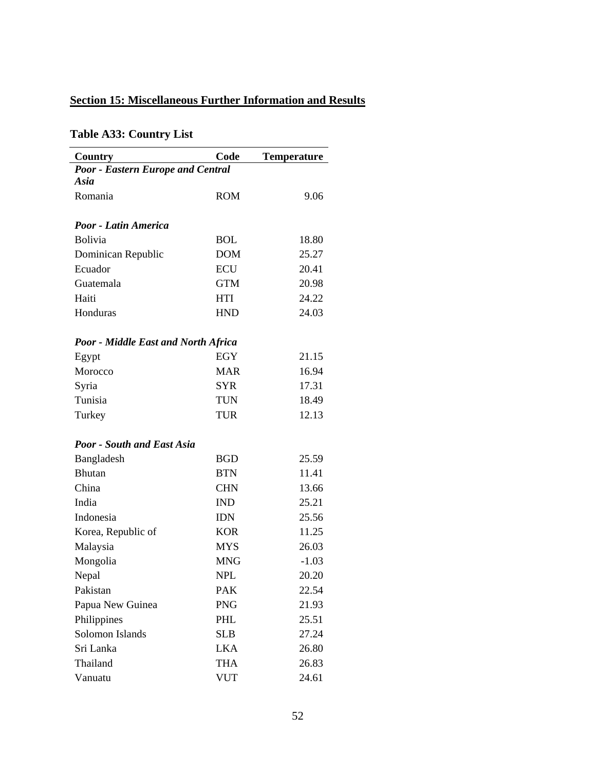# <span id="page-51-0"></span>**Section 15: Miscellaneous Further Information and Results**

# **Table A33: Country List**

| Country                                    | Code       | <b>Temperature</b> |
|--------------------------------------------|------------|--------------------|
| <b>Poor - Eastern Europe and Central</b>   |            |                    |
| Asia                                       |            |                    |
| Romania                                    | <b>ROM</b> | 9.06               |
| Poor - Latin America                       |            |                    |
| <b>Bolivia</b>                             | BOL        | 18.80              |
| Dominican Republic                         | <b>DOM</b> | 25.27              |
| Ecuador                                    | <b>ECU</b> | 20.41              |
| Guatemala                                  | <b>GTM</b> | 20.98              |
| Haiti                                      | HTI        | 24.22              |
| Honduras                                   | <b>HND</b> | 24.03              |
|                                            |            |                    |
| <b>Poor - Middle East and North Africa</b> |            |                    |
| Egypt                                      | <b>EGY</b> | 21.15              |
| Morocco                                    | <b>MAR</b> | 16.94              |
| Syria                                      | <b>SYR</b> | 17.31              |
| Tunisia                                    | <b>TUN</b> | 18.49              |
| Turkey                                     | <b>TUR</b> | 12.13              |
| <b>Poor - South and East Asia</b>          |            |                    |
| Bangladesh                                 | <b>BGD</b> | 25.59              |
| <b>Bhutan</b>                              | <b>BTN</b> | 11.41              |
| China                                      | <b>CHN</b> | 13.66              |
| India                                      | <b>IND</b> | 25.21              |
| Indonesia                                  | <b>IDN</b> | 25.56              |
| Korea, Republic of                         | <b>KOR</b> | 11.25              |
| Malaysia                                   | <b>MYS</b> | 26.03              |
| Mongolia                                   | <b>MNG</b> | $-1.03$            |
| Nepal                                      | NPL        | 20.20              |
| Pakistan                                   | <b>PAK</b> | 22.54              |
| Papua New Guinea                           | <b>PNG</b> | 21.93              |
| Philippines                                | PHL        | 25.51              |
| Solomon Islands                            | <b>SLB</b> | 27.24              |
| Sri Lanka                                  | <b>LKA</b> | 26.80              |
| Thailand                                   | <b>THA</b> | 26.83              |
| Vanuatu                                    | <b>VUT</b> | 24.61              |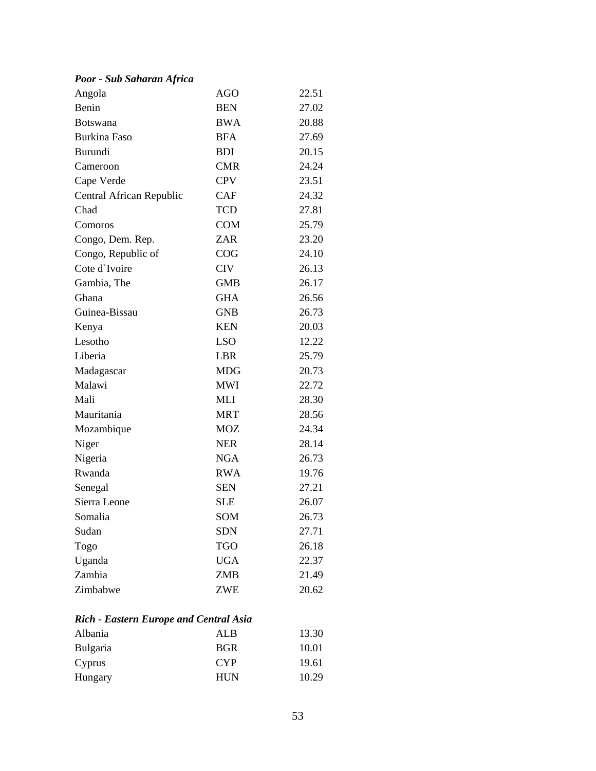# *Poor - Sub Saharan Africa*

| Angola                   | AGO        | 22.51 |
|--------------------------|------------|-------|
| Benin                    | <b>BEN</b> | 27.02 |
| <b>Botswana</b>          | BWA        | 20.88 |
| <b>Burkina Faso</b>      | <b>BFA</b> | 27.69 |
| <b>Burundi</b>           | <b>BDI</b> | 20.15 |
| Cameroon                 | <b>CMR</b> | 24.24 |
| Cape Verde               | <b>CPV</b> | 23.51 |
| Central African Republic | <b>CAF</b> | 24.32 |
| Chad                     | <b>TCD</b> | 27.81 |
| Comoros                  | <b>COM</b> | 25.79 |
| Congo, Dem. Rep.         | <b>ZAR</b> | 23.20 |
| Congo, Republic of       | COG        | 24.10 |
| Cote d'Ivoire            | <b>CIV</b> | 26.13 |
| Gambia, The              | <b>GMB</b> | 26.17 |
| Ghana                    | <b>GHA</b> | 26.56 |
| Guinea-Bissau            | <b>GNB</b> | 26.73 |
| Kenya                    | <b>KEN</b> | 20.03 |
| Lesotho                  | <b>LSO</b> | 12.22 |
| Liberia                  | LBR        | 25.79 |
| Madagascar               | <b>MDG</b> | 20.73 |
| Malawi                   | <b>MWI</b> | 22.72 |
| Mali                     | MLI        | 28.30 |
| Mauritania               | <b>MRT</b> | 28.56 |
| Mozambique               | <b>MOZ</b> | 24.34 |
| Niger                    | <b>NER</b> | 28.14 |
| Nigeria                  | <b>NGA</b> | 26.73 |
| Rwanda                   | <b>RWA</b> | 19.76 |
| Senegal                  | <b>SEN</b> | 27.21 |
| Sierra Leone             | <b>SLE</b> | 26.07 |
| Somalia                  | SOM        | 26.73 |
| Sudan                    | <b>SDN</b> | 27.71 |
| Togo                     | <b>TGO</b> | 26.18 |
| Uganda                   | <b>UGA</b> | 22.37 |
| Zambia                   | ZMB        | 21.49 |
| Zimbabwe                 | <b>ZWE</b> | 20.62 |
|                          |            |       |

# *Rich - Eastern Europe and Central Asia*

| Albania         | AL B       | 13.30 |
|-----------------|------------|-------|
| <b>Bulgaria</b> | <b>BGR</b> | 10.01 |
| Cyprus          | <b>CYP</b> | 19.61 |
| Hungary         | <b>HUN</b> | 10.29 |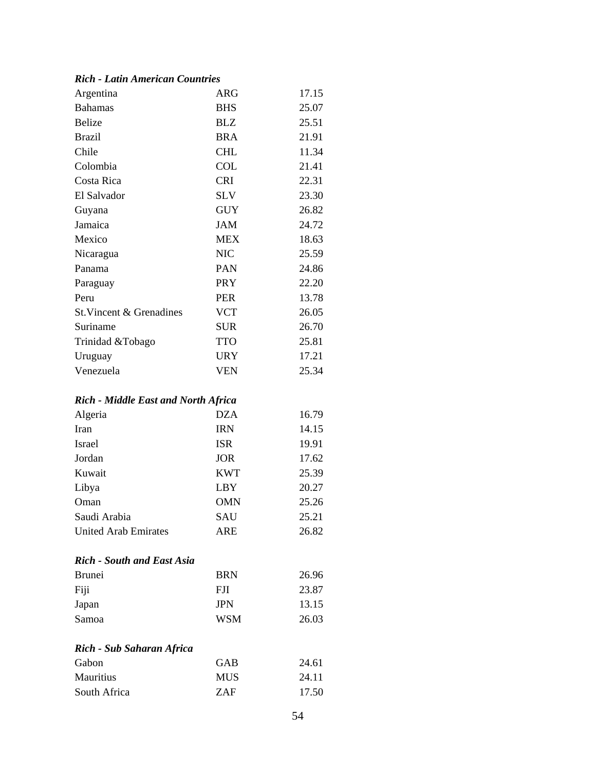### *Rich - Latin American Countries*

| Argentina                                  | <b>ARG</b> | 17.15 |
|--------------------------------------------|------------|-------|
| <b>Bahamas</b>                             | <b>BHS</b> | 25.07 |
| <b>Belize</b>                              | <b>BLZ</b> | 25.51 |
| <b>Brazil</b>                              | <b>BRA</b> | 21.91 |
| Chile                                      | <b>CHL</b> | 11.34 |
| Colombia                                   | <b>COL</b> | 21.41 |
| Costa Rica                                 | <b>CRI</b> | 22.31 |
| El Salvador                                | <b>SLV</b> | 23.30 |
| Guyana                                     | <b>GUY</b> | 26.82 |
| Jamaica                                    | <b>JAM</b> | 24.72 |
| Mexico                                     | <b>MEX</b> | 18.63 |
| Nicaragua                                  | <b>NIC</b> | 25.59 |
| Panama                                     | PAN        | 24.86 |
| Paraguay                                   | <b>PRY</b> | 22.20 |
| Peru                                       | <b>PER</b> | 13.78 |
| St. Vincent & Grenadines                   | <b>VCT</b> | 26.05 |
| Suriname                                   | <b>SUR</b> | 26.70 |
| Trinidad &Tobago                           | <b>TTO</b> | 25.81 |
| Uruguay                                    | <b>URY</b> | 17.21 |
| Venezuela                                  | <b>VEN</b> | 25.34 |
| <b>Rich - Middle East and North Africa</b> |            |       |
| Algeria                                    | <b>DZA</b> | 16.79 |
| Iran                                       | <b>IRN</b> | 14.15 |
| Israel                                     | <b>ISR</b> | 19.91 |
| Jordan                                     | <b>JOR</b> | 17.62 |
| Kuwait                                     | <b>KWT</b> | 25.39 |
| Libya                                      | LBY        | 20.27 |
| Oman                                       | <b>OMN</b> | 25.26 |
| Saudi Arabia                               | SAU        | 25.21 |
| <b>United Arab Emirates</b>                | <b>ARE</b> | 26.82 |
| <b>Rich - South and East Asia</b>          |            |       |
| <b>Brunei</b>                              | <b>BRN</b> | 26.96 |
| Fiji                                       | <b>FJI</b> | 23.87 |
| Japan                                      | <b>JPN</b> | 13.15 |
| Samoa                                      | <b>WSM</b> | 26.03 |

# *Rich - Sub Saharan Africa*

| Gabon            | GAB        | 24.61 |
|------------------|------------|-------|
| <b>Mauritius</b> | <b>MUS</b> | 24.11 |
| South Africa     | <b>ZAF</b> | 17.50 |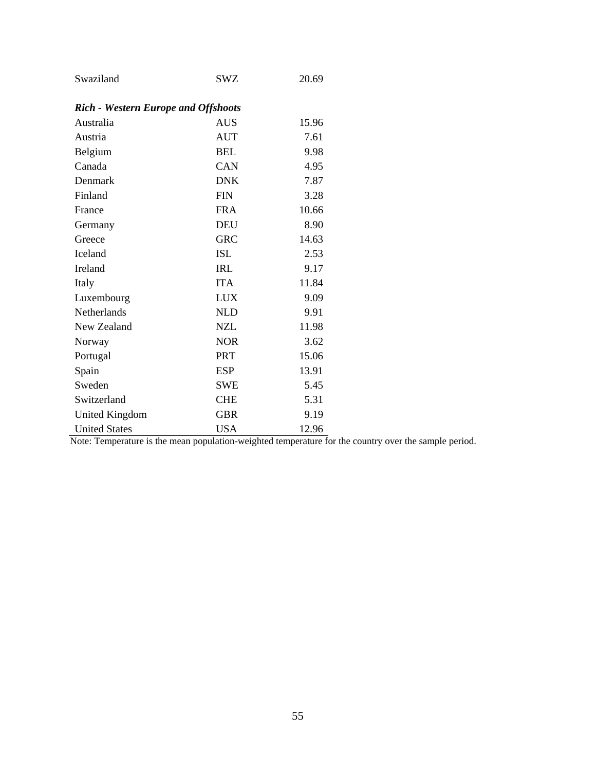| Swaziland                                  | <b>SWZ</b> | 20.69 |
|--------------------------------------------|------------|-------|
| <b>Rich - Western Europe and Offshoots</b> |            |       |
| Australia                                  | <b>AUS</b> | 15.96 |
| Austria                                    | <b>AUT</b> | 7.61  |
| Belgium                                    | <b>BEL</b> | 9.98  |
| Canada                                     | CAN        | 4.95  |
| Denmark                                    | <b>DNK</b> | 7.87  |
| Finland                                    | <b>FIN</b> | 3.28  |
| France                                     | <b>FRA</b> | 10.66 |
| Germany                                    | <b>DEU</b> | 8.90  |
| Greece                                     | <b>GRC</b> | 14.63 |
| Iceland                                    | <b>ISL</b> | 2.53  |
| Ireland                                    | <b>IRL</b> | 9.17  |
| Italy                                      | <b>ITA</b> | 11.84 |
| Luxembourg                                 | <b>LUX</b> | 9.09  |
| Netherlands                                | <b>NLD</b> | 9.91  |
| New Zealand                                | <b>NZL</b> | 11.98 |
| Norway                                     | <b>NOR</b> | 3.62  |
| Portugal                                   | <b>PRT</b> | 15.06 |
| Spain                                      | ESP        | 13.91 |
| Sweden                                     | <b>SWE</b> | 5.45  |
| Switzerland                                | <b>CHE</b> | 5.31  |
| <b>United Kingdom</b>                      | <b>GBR</b> | 9.19  |
| <b>United States</b>                       | <b>USA</b> | 12.96 |

Note: Temperature is the mean population-weighted temperature for the country over the sample period.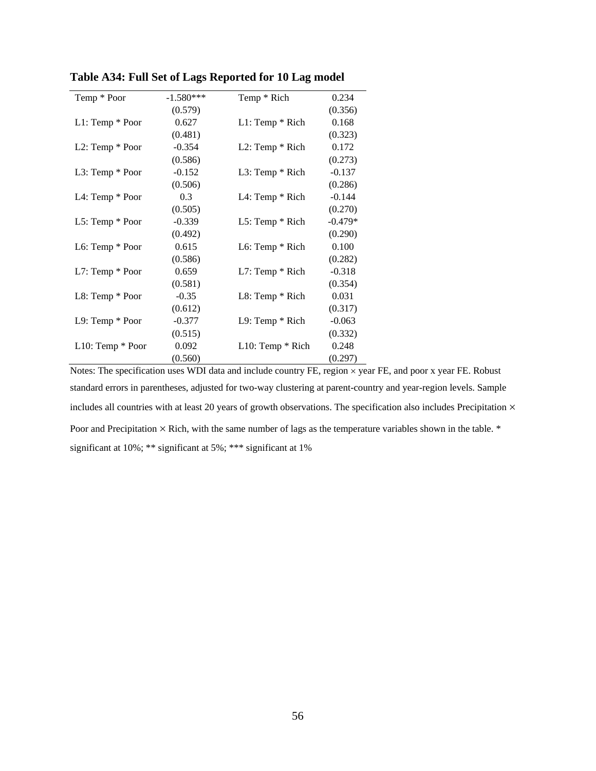| Temp * Poor           | $-1.580***$ | Temp * Rich           | 0.234     |
|-----------------------|-------------|-----------------------|-----------|
|                       | (0.579)     |                       | (0.356)   |
| $L1: Temp * Poor$     | 0.627       | $L1$ : Temp $*$ Rich  | 0.168     |
|                       | (0.481)     |                       | (0.323)   |
| L2: Temp * Poor       | $-0.354$    | $L2$ : Temp $*$ Rich  | 0.172     |
|                       | (0.586)     |                       | (0.273)   |
| L3: Temp * Poor       | $-0.152$    | $L3$ : Temp $*$ Rich  | $-0.137$  |
|                       | (0.506)     |                       | (0.286)   |
| L4: Temp * Poor       | 0.3         | L4: Temp * Rich       | $-0.144$  |
|                       | (0.505)     |                       | (0.270)   |
| $L5$ : Temp $*$ Poor  | $-0.339$    | L5: Temp * Rich       | $-0.479*$ |
|                       | (0.492)     |                       | (0.290)   |
| L6: Temp * Poor       | 0.615       | L6: Temp $*$ Rich     | 0.100     |
|                       | (0.586)     |                       | (0.282)   |
| $L7$ : Temp $*$ Poor  | 0.659       | $L7$ : Temp $*$ Rich  | $-0.318$  |
|                       | (0.581)     |                       | (0.354)   |
| L8: Temp * Poor       | $-0.35$     | $L8$ : Temp $*$ Rich  | 0.031     |
|                       | (0.612)     |                       | (0.317)   |
| $L9: Temp * Poor$     | $-0.377$    | $L9$ : Temp $*$ Rich  | $-0.063$  |
|                       | (0.515)     |                       | (0.332)   |
| $L10$ : Temp $*$ Poor | 0.092       | $L10$ : Temp $*$ Rich | 0.248     |
|                       | (0.560)     |                       | (0.297)   |

**Table A34: Full Set of Lags Reported for 10 Lag model**

Notes: The specification uses WDI data and include country FE, region  $\times$  year FE, and poor x year FE. Robust standard errors in parentheses, adjusted for two-way clustering at parent-country and year-region levels. Sample includes all countries with at least 20 years of growth observations. The specification also includes Precipitation  $\times$ Poor and Precipitation  $\times$  Rich, with the same number of lags as the temperature variables shown in the table.  $*$ significant at 10%; \*\* significant at 5%; \*\*\* significant at 1%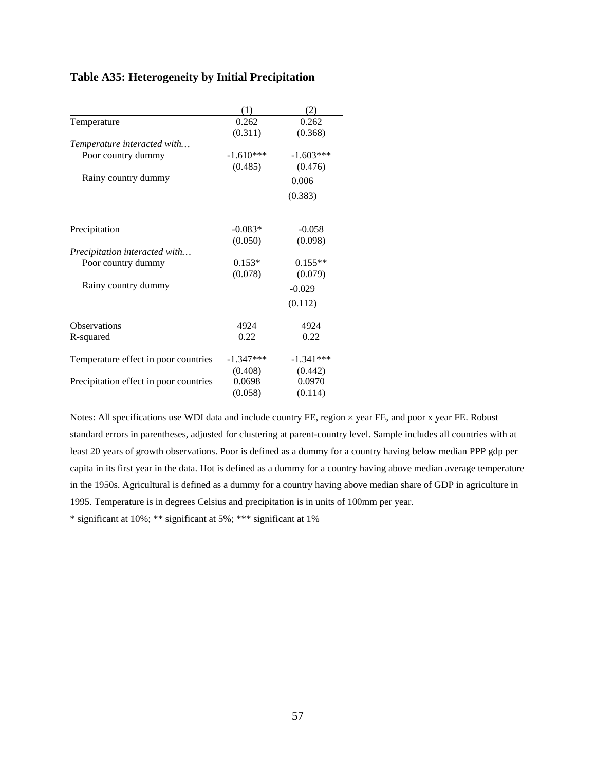# **Table A35: Heterogeneity by Initial Precipitation**

|                                        | (1)         | (2)         |
|----------------------------------------|-------------|-------------|
| Temperature                            | 0.262       | 0.262       |
|                                        | (0.311)     | (0.368)     |
| Temperature interacted with            |             |             |
| Poor country dummy                     | $-1.610***$ | $-1.603***$ |
|                                        | (0.485)     | (0.476)     |
| Rainy country dummy                    |             | 0.006       |
|                                        |             | (0.383)     |
| Precipitation                          | $-0.083*$   | $-0.058$    |
|                                        | (0.050)     | (0.098)     |
| Precipitation interacted with          |             |             |
| Poor country dummy                     | $0.153*$    | $0.155**$   |
|                                        | (0.078)     | (0.079)     |
| Rainy country dummy                    |             | $-0.029$    |
|                                        |             | (0.112)     |
| <b>Observations</b>                    | 4924        | 4924        |
| R-squared                              | 0.22        | 0.22        |
| Temperature effect in poor countries   | $-1.347***$ | $-1.341***$ |
|                                        | (0.408)     | (0.442)     |
| Precipitation effect in poor countries | 0.0698      | 0.0970      |
|                                        | (0.058)     | (0.114)     |

Notes: All specifications use WDI data and include country FE, region × year FE, and poor x year FE. Robust standard errors in parentheses, adjusted for clustering at parent-country level. Sample includes all countries with at least 20 years of growth observations. Poor is defined as a dummy for a country having below median PPP gdp per capita in its first year in the data. Hot is defined as a dummy for a country having above median average temperature in the 1950s. Agricultural is defined as a dummy for a country having above median share of GDP in agriculture in 1995. Temperature is in degrees Celsius and precipitation is in units of 100mm per year.

 $\overline{\phantom{a}}$ 

\* significant at 10%; \*\* significant at 5%; \*\*\* significant at 1%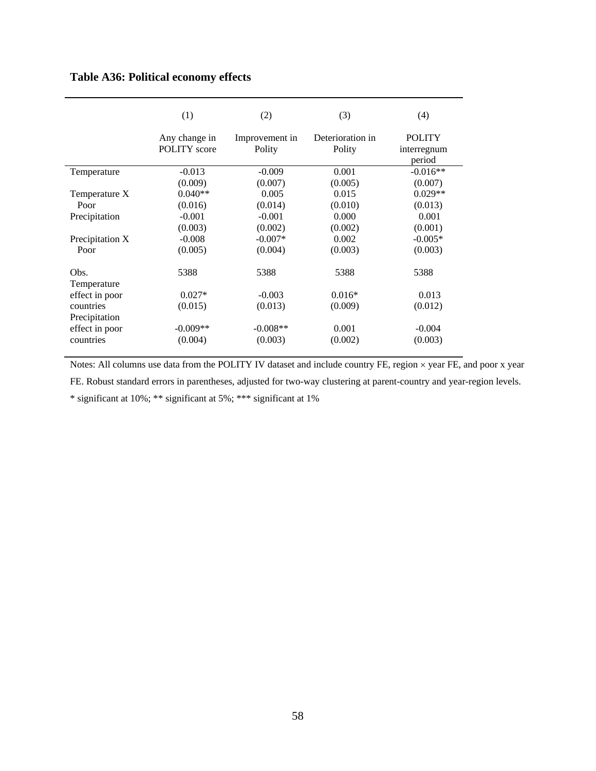# **Table A36: Political economy effects**

|                            | (1)                                  | (2)                      | (3)                        | (4)                                    |
|----------------------------|--------------------------------------|--------------------------|----------------------------|----------------------------------------|
|                            | Any change in<br><b>POLITY</b> score | Improvement in<br>Polity | Deterioration in<br>Polity | <b>POLITY</b><br>interregnum<br>period |
| Temperature                | $-0.013$                             | $-0.009$                 | 0.001                      | $-0.016**$                             |
|                            | (0.009)                              | (0.007)                  | (0.005)                    | (0.007)                                |
| Temperature X              | $0.040**$                            | 0.005                    | 0.015                      | $0.029**$                              |
| Poor                       | (0.016)                              | (0.014)                  | (0.010)                    | (0.013)                                |
| Precipitation              | $-0.001$                             | $-0.001$                 | 0.000                      | 0.001                                  |
|                            | (0.003)                              | (0.002)                  | (0.002)                    | (0.001)                                |
| Precipitation X            | $-0.008$                             | $-0.007*$                | 0.002                      | $-0.005*$                              |
| Poor                       | (0.005)                              | (0.004)                  | (0.003)                    | (0.003)                                |
| Obs.<br>Temperature        | 5388                                 | 5388                     | 5388                       | 5388                                   |
| effect in poor             | $0.027*$                             | $-0.003$                 | $0.016*$                   | 0.013                                  |
| countries<br>Precipitation | (0.015)                              | (0.013)                  | (0.009)                    | (0.012)                                |
| effect in poor             | $-0.009**$                           | $-0.008**$               | 0.001                      | $-0.004$                               |
| countries                  | (0.004)                              | (0.003)                  | (0.002)                    | (0.003)                                |

Notes: All columns use data from the POLITY IV dataset and include country FE, region  $\times$  year FE, and poor x year

FE. Robust standard errors in parentheses, adjusted for two-way clustering at parent-country and year-region levels.

\* significant at 10%; \*\* significant at 5%; \*\*\* significant at 1%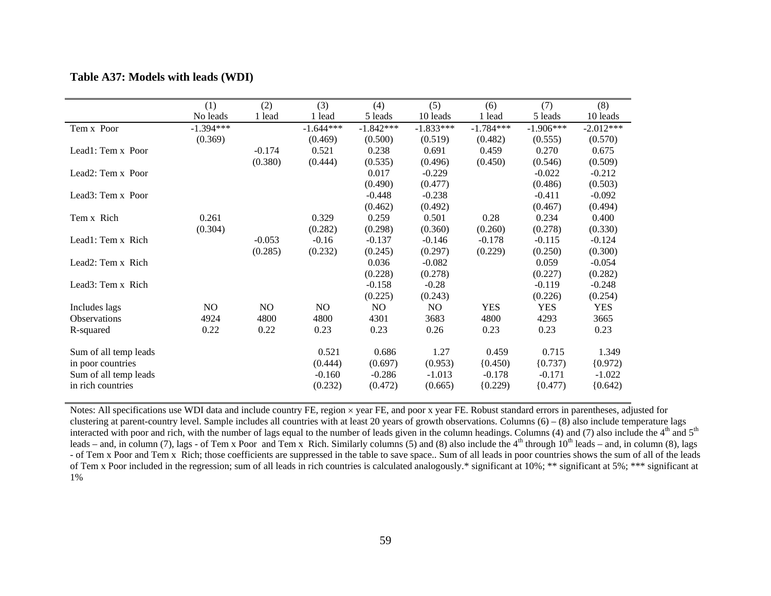| 10 leads<br>$-2.012***$<br>(0.570) |
|------------------------------------|
|                                    |
|                                    |
|                                    |
| 0.675                              |
| (0.509)                            |
| $-0.212$                           |
| (0.503)                            |
| $-0.092$                           |
| (0.494)                            |
| 0.400                              |
| (0.330)                            |
| $-0.124$                           |
| (0.300)                            |
| $-0.054$                           |
| (0.282)                            |
| $-0.248$                           |
| (0.254)                            |
| <b>YES</b>                         |
| 3665                               |
| 0.23                               |
|                                    |
| 1.349                              |
| (0.972)                            |
| $-1.022$                           |
| (0.642)                            |
|                                    |

### **Table A37: Models with leads (WDI)**

Notes: All specifications use WDI data and include country FE, region × year FE, and poor x year FE. Robust standard errors in parentheses, adjusted for clustering at parent-country level. Sample includes all countries with at least 20 years of growth observations. Columns  $(6) - (8)$  also include temperature lags interacted with poor and rich, with the number of lags equal to the number of leads given in the column headings. Columns (4) and (7) also include the 4<sup>th</sup> and 5<sup>th</sup> leads – and, in column (7), lags - of Tem x Poor and Tem x Rich. Similarly columns (5) and (8) also include the  $4<sup>th</sup>$  through  $10<sup>th</sup>$  leads – and, in column (8), lags - of Tem x Poor and Tem x Rich; those coefficients are suppressed in the table to save space.. Sum of all leads in poor countries shows the sum of all of the leads of Tem x Poor included in the regression; sum of all leads in rich countries is calculated analogously.\* significant at 10%; \*\* significant at 5%; \*\*\* significant at 1%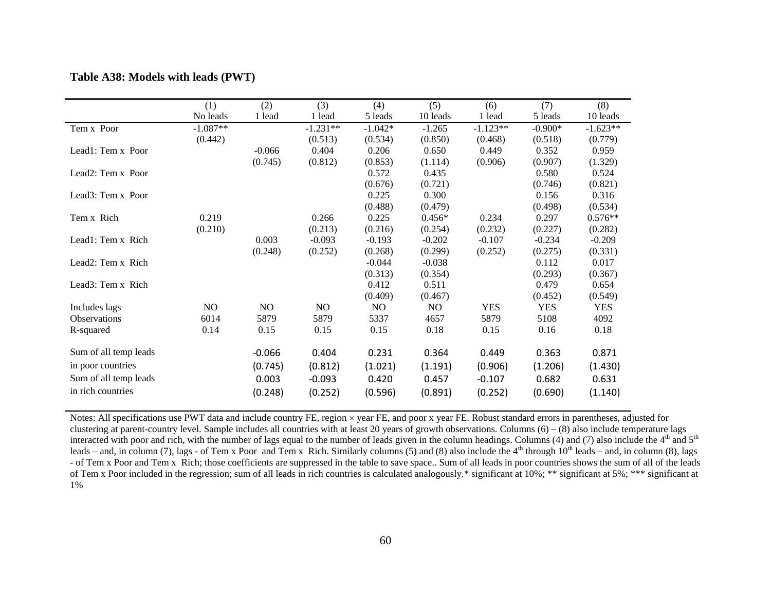|                                | (1)        | (2)      | (3)        | (4)       | (5)      | (6)        | (7)        | (8)        |
|--------------------------------|------------|----------|------------|-----------|----------|------------|------------|------------|
|                                | No leads   | 1 lead   | 1 lead     | 5 leads   | 10 leads | 1 lead     | 5 leads    | 10 leads   |
| Tem x Poor                     | $-1.087**$ |          | $-1.231**$ | $-1.042*$ | $-1.265$ | $-1.123**$ | $-0.900*$  | $-1.623**$ |
|                                | (0.442)    |          | (0.513)    | (0.534)   | (0.850)  | (0.468)    | (0.518)    | (0.779)    |
| Lead1: Tem x Poor              |            | $-0.066$ | 0.404      | 0.206     | 0.650    | 0.449      | 0.352      | 0.959      |
|                                |            | (0.745)  | (0.812)    | (0.853)   | (1.114)  | (0.906)    | (0.907)    | (1.329)    |
| Lead <sub>2</sub> : Tem x Poor |            |          |            | 0.572     | 0.435    |            | 0.580      | 0.524      |
|                                |            |          |            | (0.676)   | (0.721)  |            | (0.746)    | (0.821)    |
| Lead3: Tem x Poor              |            |          |            | 0.225     | 0.300    |            | 0.156      | 0.316      |
|                                |            |          |            | (0.488)   | (0.479)  |            | (0.498)    | (0.534)    |
| Tem x Rich                     | 0.219      |          | 0.266      | 0.225     | $0.456*$ | 0.234      | 0.297      | $0.576**$  |
|                                | (0.210)    |          | (0.213)    | (0.216)   | (0.254)  | (0.232)    | (0.227)    | (0.282)    |
| Lead1: Tem x Rich              |            | 0.003    | $-0.093$   | $-0.193$  | $-0.202$ | $-0.107$   | $-0.234$   | $-0.209$   |
|                                |            | (0.248)  | (0.252)    | (0.268)   | (0.299)  | (0.252)    | (0.275)    | (0.331)    |
| Lead2: Tem x Rich              |            |          |            | $-0.044$  | $-0.038$ |            | 0.112      | 0.017      |
|                                |            |          |            | (0.313)   | (0.354)  |            | (0.293)    | (0.367)    |
| Lead3: Tem x Rich              |            |          |            | 0.412     | 0.511    |            | 0.479      | 0.654      |
|                                |            |          |            | (0.409)   | (0.467)  |            | (0.452)    | (0.549)    |
| Includes lags                  | NO.        | NO.      | NO.        | NO.       | NO.      | <b>YES</b> | <b>YES</b> | <b>YES</b> |
| <b>Observations</b>            | 6014       | 5879     | 5879       | 5337      | 4657     | 5879       | 5108       | 4092       |
| R-squared                      | 0.14       | 0.15     | 0.15       | 0.15      | 0.18     | 0.15       | 0.16       | 0.18       |
| Sum of all temp leads          |            | $-0.066$ | 0.404      | 0.231     | 0.364    | 0.449      | 0.363      | 0.871      |
| in poor countries              |            | (0.745)  | (0.812)    | (1.021)   | (1.191)  | (0.906)    | (1.206)    | (1.430)    |
| Sum of all temp leads          |            | 0.003    | $-0.093$   | 0.420     | 0.457    | $-0.107$   | 0.682      | 0.631      |
| in rich countries              |            |          |            |           |          |            |            |            |
|                                |            | (0.248)  | (0.252)    | (0.596)   | (0.891)  | (0.252)    | (0.690)    | (1.140)    |

#### **Table A38: Models with leads (PWT)**

Notes: All specifications use PWT data and include country FE, region × year FE, and poor x year FE. Robust standard errors in parentheses, adjusted for clustering at parent-country level. Sample includes all countries with at least 20 years of growth observations. Columns  $(6) - (8)$  also include temperature lags interacted with poor and rich, with the number of lags equal to the number of leads given in the column headings. Columns (4) and (7) also include the  $4<sup>th</sup>$  and  $5<sup>th</sup>$ leads – and, in column (7), lags - of Tem x Poor and Tem x Rich. Similarly columns (5) and (8) also include the  $4<sup>th</sup>$  through  $10<sup>th</sup>$  leads – and, in column (8), lags - of Tem x Poor and Tem x Rich; those coefficients are suppressed in the table to save space.. Sum of all leads in poor countries shows the sum of all of the leads of Tem x Poor included in the regression; sum of all leads in rich countries is calculated analogously.\* significant at 10%; \*\* significant at 5%; \*\*\* significant at 1%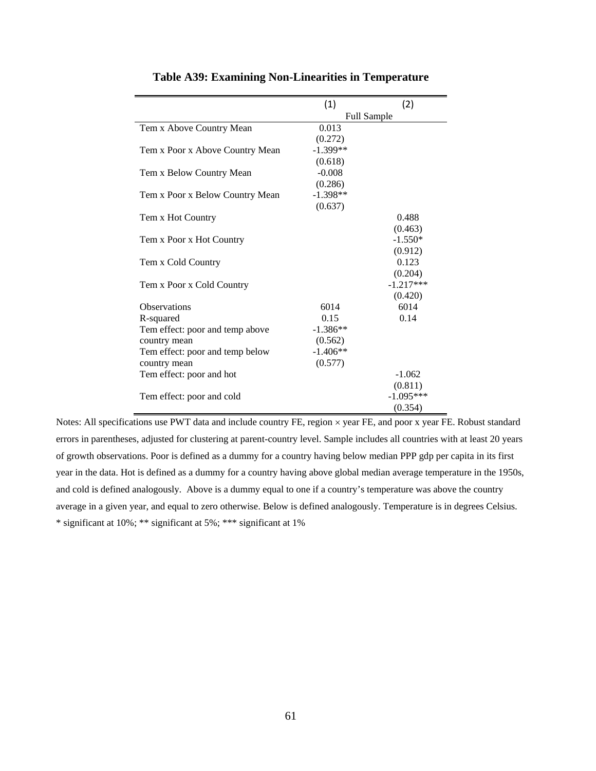|                                 | (1)                | (2)         |  |
|---------------------------------|--------------------|-------------|--|
|                                 | <b>Full Sample</b> |             |  |
| Tem x Above Country Mean        | 0.013              |             |  |
|                                 | (0.272)            |             |  |
| Tem x Poor x Above Country Mean | $-1.399**$         |             |  |
|                                 | (0.618)            |             |  |
| Tem x Below Country Mean        | $-0.008$           |             |  |
|                                 | (0.286)            |             |  |
| Tem x Poor x Below Country Mean | $-1.398**$         |             |  |
|                                 | (0.637)            |             |  |
| Tem x Hot Country               |                    | 0.488       |  |
|                                 |                    | (0.463)     |  |
| Tem x Poor x Hot Country        |                    | $-1.550*$   |  |
|                                 |                    | (0.912)     |  |
| Tem x Cold Country              |                    | 0.123       |  |
|                                 |                    | (0.204)     |  |
| Tem x Poor x Cold Country       |                    | $-1.217***$ |  |
|                                 |                    | (0.420)     |  |
| <b>Observations</b>             | 6014               | 6014        |  |
| R-squared                       | 0.15               | 0.14        |  |
| Tem effect: poor and temp above | $-1.386**$         |             |  |
| country mean                    | (0.562)            |             |  |
| Tem effect: poor and temp below | $-1.406**$         |             |  |
| country mean                    | (0.577)            |             |  |
| Tem effect: poor and hot        |                    | $-1.062$    |  |
|                                 |                    | (0.811)     |  |
| Tem effect: poor and cold       |                    | $-1.095***$ |  |
|                                 |                    | (0.354)     |  |

### **Table A39: Examining Non-Linearities in Temperature**

Notes: All specifications use PWT data and include country FE, region × year FE, and poor x year FE. Robust standard errors in parentheses, adjusted for clustering at parent-country level. Sample includes all countries with at least 20 years of growth observations. Poor is defined as a dummy for a country having below median PPP gdp per capita in its first year in the data. Hot is defined as a dummy for a country having above global median average temperature in the 1950s, and cold is defined analogously. Above is a dummy equal to one if a country's temperature was above the country average in a given year, and equal to zero otherwise. Below is defined analogously. Temperature is in degrees Celsius. \* significant at 10%; \*\* significant at 5%; \*\*\* significant at 1%